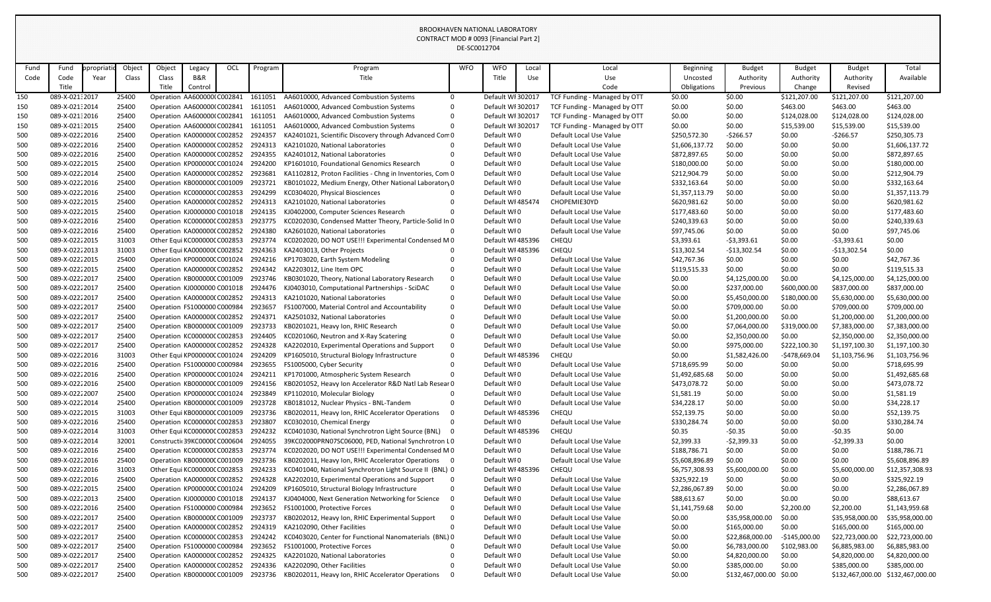| Fund       | Fund                             | propriati | Object         | Object       | Legacy                                                     | OCL | Program            | Program                                                                                          | <b>WFO</b>    | <b>WFO</b>                 | Local | Local                                              | <b>Beginning</b>               | <b>Budget</b>           | <b>Budget</b>    | <b>Budget</b>    | Total                             |
|------------|----------------------------------|-----------|----------------|--------------|------------------------------------------------------------|-----|--------------------|--------------------------------------------------------------------------------------------------|---------------|----------------------------|-------|----------------------------------------------------|--------------------------------|-------------------------|------------------|------------------|-----------------------------------|
| Code       | Code                             | Year      | Class          | Class        | B&R                                                        |     |                    | Title                                                                                            |               | Title                      | Use   | Use                                                | Uncosted                       | Authority               | Authority        | Authority        | Available                         |
|            | Title                            |           |                | <b>Title</b> | Control                                                    |     |                    |                                                                                                  |               |                            |       | Code                                               | Obligations                    | Previous                | Change           | Revised          |                                   |
| 150        | 089-X-021:2017                   |           | 25400          |              | Operation AA600000(C002841                                 |     | 1611051            | AA6010000, Advanced Combustion Systems                                                           | $\mathbf{0}$  | Default WI 302017          |       | TCF Funding - Managed by OTT                       | \$0.00                         | \$0.00                  | \$121,207.00     | \$121,207.00     | \$121,207.00                      |
| 150        | 089-X-021:2014                   |           | 25400          |              | Operation AA600000(C002841                                 |     | 1611051            | AA6010000, Advanced Combustion Systems                                                           | $\mathbf{0}$  | Default WI 302017          |       | TCF Funding - Managed by OTT                       | \$0.00                         | \$0.00                  | \$463.00         | \$463.00         | \$463.00                          |
| 150        | 089-X-021:2016                   |           | 25400          |              | Operation AA600000(C002841                                 |     | 1611051            | AA6010000, Advanced Combustion Systems                                                           | 0             | Default WI 302017          |       | TCF Funding - Managed by OTT                       | \$0.00                         | \$0.00                  | \$124,028.00     | \$124,028.00     | \$124,028.00                      |
| 150        | 089-X-021:2015                   |           | 25400          |              | Operation AA600000(C002841                                 |     | 1611051            | AA6010000, Advanced Combustion Systems                                                           | 0             | Default WI 302017          |       | TCF Funding - Managed by OTT                       | \$0.00                         | \$0.00                  | \$15,539.00      | \$15,539.00      | \$15,539.00                       |
| 500        | 089-X-02222016                   |           | 25400          |              | Operation KA0000000 C002852                                |     | 2924357            | KA2401021, Scientific Discovery through Advanced Com0                                            |               | Default WI0                |       | Default Local Use Value                            | \$250,572.30                   | $-5266.57$              | \$0.00           | $-5266.57$       | \$250,305.73                      |
| 500        | 089-X-02222016                   |           | 25400          |              | Operation KA0000000 C002852                                |     | 2924313            | KA2101020, National Laboratories                                                                 |               | Default WI0                |       | Default Local Use Value                            | \$1,606,137.72                 | \$0.00                  | \$0.00           | \$0.00           | \$1,606,137.72                    |
| 500        | 089-X-02222016                   |           | 25400          |              | Operation KA0000000 C002852                                |     | 2924355            | KA2401012, National Laboratories                                                                 |               | Default WI0                |       | Default Local Use Value                            | \$872,897.65                   | \$0.00                  | \$0.00           | \$0.00           | \$872,897.65                      |
| 500        | 089-X-02222015                   |           | 25400          |              | Operation KP000000CC001024                                 |     | 2924200            | KP1601010, Foundational Genomics Research                                                        |               | Default WI0                |       | Default Local Use Value                            | \$180,000.00                   | \$0.00                  | \$0.00           | \$0.00           | \$180,000.00                      |
| 500        | 089-X-02222014                   |           | 25400          |              | Operation KA0000000 C002852                                |     | 2923681            | KA1102812, Proton Facilities - Chng in Inventories, Com 0                                        |               | Default WI0                |       | Default Local Use Value                            | \$212,904.79                   | \$0.00                  | \$0.00           | \$0.00           | \$212,904.79                      |
| 500        | 089-X-02222016                   |           | 25400          |              | Operation KB000000CC001009                                 |     | 2923721            | KB0101022, Medium Energy, Other National Laboratory 0                                            |               | Default WI0                |       | Default Local Use Value                            | \$332,163.64                   | \$0.00                  | \$0.00           | \$0.00           | \$332,163.64                      |
| 500        | 089-X-02222016                   |           | 25400          |              | Operation KC000000C C002853                                |     | 2924299            | KC0304020, Physical Biosciences                                                                  |               | Default WI0                |       | Default Local Use Value                            | \$1,357,113.79                 | \$0.00                  | \$0.00           | \$0.00           | \$1,357,113.79                    |
| 500        | 089-X-02222015                   |           | 25400          |              | Operation KA0000000 C002852                                |     | 2924313            | KA2101020, National Laboratories                                                                 |               | Default WI 485474          |       | CHOPEMIE30YD                                       | \$620,981.62                   | \$0.00                  | \$0.00           | \$0.00           | \$620,981.62                      |
| 500        | 089-X-02222015                   |           | 25400          |              | Operation KJ0000000 C001018                                |     | 2924135            | KJ0402000, Computer Sciences Research                                                            | 0             | Default WI0                |       | Default Local Use Value                            | \$177,483.60                   | \$0.00                  | \$0.00           | \$0.00           | \$177,483.60                      |
| 500        | 089-X-02222016                   |           | 25400          |              | Operation KC000000CC002853                                 |     | 2923775            | KC0202030, Condensed Matter Theory, Particle-Solid In 0                                          |               | Default WI0                |       | Default Local Use Value                            | \$240,339.63                   | \$0.00                  | \$0.00           | \$0.00           | \$240,339.63                      |
| 500        | 089-X-02222016                   |           | 25400          |              | Operation KA0000000 C002852                                |     | 2924380            | KA2601020, National Laboratories                                                                 | 0             | Default WI0                |       | Default Local Use Value                            | \$97,745.06                    | \$0.00                  | \$0.00           | \$0.00           | \$97,745.06                       |
| 500        | 089-X-02222015                   |           | 31003          |              | Other Equi KC000000C C002853                               |     | 2923774            | KC0202020, DO NOT USE!!! Experimental Condensed M0                                               |               | Default WI 485396          |       | CHEQU                                              | \$3,393.61                     | $-53,393.61$            | \$0.00           | $-53,393.61$     | \$0.00                            |
| 500        | 089-X-02222013                   |           | 31003          |              | Other Equi KA000000(C002852                                |     | 2924363            | KA2403013, Other Projects                                                                        |               | Default WI 485396          |       | CHEQU                                              | \$13,302.54                    | $-$13,302.54$           | \$0.00           | $-$13,302.54$    | \$0.00                            |
| 500        | 089-X-02222015                   |           | 25400          |              | Operation KP000000CC001024                                 |     | 2924216            | KP1703020, Earth System Modeling                                                                 |               | Default WI0                |       | Default Local Use Value                            | \$42,767.36                    | \$0.00                  | \$0.00           | \$0.00           | \$42,767.36                       |
| 500        | 089-X-02222015                   |           | 25400          |              | Operation KA0000000 C002852                                |     | 2924342            | KA2203012, Line Item OPC                                                                         | 0             | Default WI0                |       | Default Local Use Value                            | \$119,515.33                   | \$0.00                  | \$0.00           | \$0.00           | \$119,515.33                      |
| 500        | 089-X-02222017                   |           | 25400          |              | Operation KB000000CC001009                                 |     | 2923746            | KB0301020, Theory, National Laboratory Research                                                  | 0             | Default WI0                |       | Default Local Use Value                            | \$0.00                         | \$4,125,000.00          | \$0.00           | \$4,125,000.00   | \$4,125,000.00                    |
| 500        | 089-X-02222017                   |           | 25400          |              | Operation KJ0000000 C001018                                |     | 2924476            | KJ0403010, Computational Partnerships - SciDAC                                                   | 0             | Default WI0                |       | Default Local Use Value                            | \$0.00                         | \$237,000.00            | \$600,000.00     | \$837,000.00     | \$837,000.00                      |
| 500        | 089-X-02222017                   |           | 25400          |              | Operation KA0000000 C002852                                |     | 2924313            | KA2101020, National Laboratories                                                                 | 0             | Default WI0                |       | Default Local Use Value                            | \$0.00                         | \$5,450,000.00          | \$180,000.00     | \$5,630,000.00   | \$5,630,000.00                    |
| 500        | 089-X-02222017                   |           | 25400          |              | Operation FS1000000 C000984                                |     | 2923657            | FS1007000, Material Control and Accountability                                                   | $\mathbf 0$   | Default WI0                |       | Default Local Use Value                            | \$0.00                         | \$709,000.00            | \$0.00           | \$709,000.00     | \$709,000.00                      |
| 500        | 089-X-02222017                   |           | 25400          |              | Operation KA0000000 C002852                                |     | 2924371            | KA2501032, National Laboratories                                                                 | 0             | Default WI0                |       | Default Local Use Value                            | \$0.00                         | \$1,200,000.00          | \$0.00           | \$1,200,000.00   | \$1,200,000.00                    |
| 500        | 089-X-02222017                   |           | 25400          |              | Operation KB000000CC001009                                 |     | 2923733            | KB0201021, Heavy Ion, RHIC Research                                                              |               | Default WI0                |       | Default Local Use Value                            | \$0.00                         | \$7,064,000.00          | \$319,000.00     | \$7,383,000.00   | \$7,383,000.00                    |
| 500        | 089-X-02222017                   |           | 25400          |              | Operation KC000000CC002853                                 |     | 2924405            | KC0201060, Neutron and X-Ray Scatering                                                           | 0             | Default WI0                |       | Default Local Use Value                            | \$0.00                         | \$2,350,000.00          | \$0.00           | \$2,350,000.00   | \$2,350,000.00                    |
| 500        | 089-X-02222017                   |           | 25400          |              | Operation KA0000000 C002852                                |     | 2924328            | KA2202010, Experimental Operations and Support                                                   | $\Omega$      | Default WI0                |       | Default Local Use Value                            | \$0.00                         | \$975,000.00            | \$222,100.30     | \$1,197,100.30   | \$1,197,100.30                    |
| 500        | 089-X-02222016                   |           | 31003          |              | Other Equi KP000000C C001024                               |     | 2924209            | KP1605010, Structural Biology Infrastructure                                                     | $\mathbf{0}$  | Default WI 485396          |       | CHEQU                                              | \$0.00                         | \$1,582,426.00          | -\$478,669.04    | \$1,103,756.96   | \$1,103,756.96                    |
| 500        | 089-X-02222016<br>089-X-02222016 |           | 25400          |              | Operation FS1000000 C000984<br>Operation KP000000C C001024 |     | 2923655<br>2924211 | FS1005000, Cyber Security                                                                        | 0<br>$\Omega$ | Default WI0<br>Default WI0 |       | Default Local Use Value<br>Default Local Use Value | \$718,695.99                   | \$0.00                  | \$0.00           | \$0.00           | \$718,695.99<br>\$1,492,685.68    |
| 500        | 089-X-02222016                   |           | 25400          |              |                                                            |     | 2924156            | KP1701000, Atmospheric System Research<br>KB0201052, Heavy Ion Accelerator R&D Natl Lab Resear 0 |               | Default WI0                |       | Default Local Use Value                            | \$1,492,685.68<br>\$473,078.72 | \$0.00                  | \$0.00<br>\$0.00 | \$0.00           | \$473,078.72                      |
| 500<br>500 | 089-X-02222007                   |           | 25400<br>25400 |              | Operation KB000000CC001009<br>Operation KP000000C C001024  |     | 2923849            | KP1102010, Molecular Biology                                                                     | 0             | Default WI0                |       | Default Local Use Value                            | \$1,581.19                     | \$0.00<br>\$0.00        | \$0.00           | \$0.00<br>\$0.00 | \$1,581.19                        |
| 500        | 089-X-02222014                   |           | 25400          |              | Operation KB000000CC001009                                 |     | 2923728            | KB0181012, Nuclear Physics - BNL-Tandem                                                          | 0             | Default WI0                |       | Default Local Use Value                            | \$34,228.17                    | \$0.00                  | \$0.00           | \$0.00           | \$34,228.17                       |
| 500        | 089-X-02222015                   |           | 31003          |              | Other Equi KB000000C C001009                               |     | 2923736            | KB0202011, Heavy Ion, RHIC Accelerator Operations                                                | $\Omega$      | Default WI 485396          |       | CHEQU                                              | \$52,139.75                    | \$0.00                  | \$0.00           | \$0.00           | \$52,139.75                       |
| 500        | 089-X-02222016                   |           | 25400          |              | Operation KC000000CC002853                                 |     | 2923807            | KC0302010, Chemical Energy                                                                       | 0             | Default WI0                |       | Default Local Use Value                            | \$330,284.74                   | \$0.00                  | \$0.00           | \$0.00           | \$330,284.74                      |
| 500        | 089-X-02222014                   |           | 31003          |              | Other Equi KC000000C C002853                               |     | 2924232            | KC0401030, National Synchrotron Light Source (BNL)                                               | - 0           | Default WI 485396          |       | <b>CHEQU</b>                                       | \$0.35                         | $-50.35$                | \$0.00           | $-50.35$         | \$0.00                            |
| 500        | 089-X-02222014                   |           | 32001          |              | Constructic 39KC0000C C000604                              |     | 2924055            | 39KC02000PRN07SC06000, PED, National Synchrotron L0                                              |               | Default WI0                |       | Default Local Use Value                            | \$2,399.33                     | $-52,399.33$            | \$0.00           | $-52,399.33$     | \$0.00                            |
| 500        | 089-X-02222016                   |           | 25400          |              | Operation KC000000CC002853                                 |     | 2923774            | KC0202020, DO NOT USE!!! Experimental Condensed M 0                                              |               | Default WI0                |       | Default Local Use Value                            | \$188,786.71                   | \$0.00                  | \$0.00           | \$0.00           | \$188,786.71                      |
| 500        | 089-X-02222016                   |           | 25400          |              | Operation KB000000CC001009                                 |     | 2923736            | KB0202011, Heavy Ion, RHIC Accelerator Operations 0                                              |               | Default WI0                |       | Default Local Use Value                            | \$5,608,896.89                 | \$0.00                  | \$0.00           | \$0.00           | \$5,608,896.89                    |
| 500        | 089-X-02222016                   |           | 31003          |              | Other Equi KC000000C C002853                               |     | 2924233            | KC0401040, National Synchrotron Light Source II (BNL) 0                                          |               | Default WI 485396          |       | <b>CHEQU</b>                                       | \$6,757,308.93                 | \$5,600,000.00          | \$0.00           | \$5,600,000.00   | \$12,357,308.93                   |
| 500        | 089-X-02222016                   |           | 25400          |              | Operation KA0000000 C002852                                |     | 2924328            | KA2202010, Experimental Operations and Support                                                   | 0             | Default WI0                |       | Default Local Use Value                            | \$325,922.19                   | \$0.00                  | \$0.00           | \$0.00           | \$325,922.19                      |
| 500        | 089-X-02222015                   |           | 25400          |              | Operation KP000000CC001024                                 |     | 2924209            | KP1605010, Structural Biology Infrastructure                                                     | $\Omega$      | Default WI0                |       | Default Local Use Value                            | \$2,286,067.89                 | \$0.00                  | \$0.00           | \$0.00           | \$2,286,067.89                    |
| 500        | 089-X-02222013                   |           | 25400          |              | Operation KJ0000000 C001018                                |     | 2924137            | KJ0404000, Next Generation Networking for Science                                                | 0             | Default WI0                |       | Default Local Use Value                            | \$88,613.67                    | \$0.00                  | \$0.00           | \$0.00           | \$88,613.67                       |
| 500        | 089-X-02222016                   |           | 25400          |              | Operation FS1000000 C000984                                |     | 2923652            | FS1001000, Protective Forces                                                                     | 0             | Default WI0                |       | Default Local Use Value                            | \$1,141,759.68                 | \$0.00                  | \$2,200.00       | \$2,200.00       | \$1,143,959.68                    |
| 500        | 089-X-02222017                   |           | 25400          |              | Operation KB000000C C001009                                |     | 2923737            | KB0202012, Heavy Ion, RHIC Experimental Support                                                  | 0             | Default WI0                |       | Default Local Use Value                            | \$0.00                         | \$35,958,000.00         | \$0.00           | \$35,958,000.00  | \$35,958,000.00                   |
| 500        | 089-X-02222017                   |           | 25400          |              | Operation KA0000000 C002852                                |     | 2924319            | KA2102090, Other Facilities                                                                      | 0             | Default WI0                |       | Default Local Use Value                            | \$0.00                         | \$165,000.00            | \$0.00           | \$165,000.00     | \$165,000.00                      |
| 500        | 089-X-02222017                   |           | 25400          |              | Operation KC000000CC002853                                 |     | 2924242            | KC0403020, Center for Functional Nanomaterials (BNL) 0                                           |               | Default WI0                |       | Default Local Use Value                            | \$0.00                         | \$22,868,000.00         | $-$145,000.00$   | \$22,723,000.00  | \$22,723,000.00                   |
| 500        | 089-X-02222017                   |           | 25400          |              | Operation FS1000000 C000984                                |     | 2923652            | FS1001000, Protective Forces                                                                     | 0             | Default WI0                |       | Default Local Use Value                            | \$0.00                         | \$6,783,000.00          | \$102,983.00     | \$6,885,983.00   | \$6,885,983.00                    |
| 500        | 089-X-02222017                   |           | 25400          |              | Operation KA0000000 C002852                                |     | 2924325            | KA2201020, National Laboratories                                                                 |               | Default WI0                |       | Default Local Use Value                            | \$0.00                         | \$4,820,000.00          | \$0.00           | \$4,820,000.00   | \$4,820,000.00                    |
| 500        | 089-X-02222017                   |           | 25400          |              | Operation KA0000000 C002852                                |     | 2924336            | KA2202090, Other Facilities                                                                      |               | Default WI0                |       | Default Local Use Value                            | \$0.00                         | \$385,000.00            | \$0.00           | \$385,000.00     | \$385,000.00                      |
| 500        | 089-X-02222017                   |           | 25400          |              | Operation KB000000CC001009                                 |     | 2923736            | KB0202011, Heavy Ion, RHIC Accelerator Operations                                                |               | Default WI0                |       | Default Local Use Value                            | \$0.00                         | \$132,467,000.00 \$0.00 |                  |                  | \$132,467,000.00 \$132,467,000.00 |

BROOKHAVEN NATIONAL LABORATORY CONTRACT MOD # 0093 [Financial Part 2] DE-SC0012704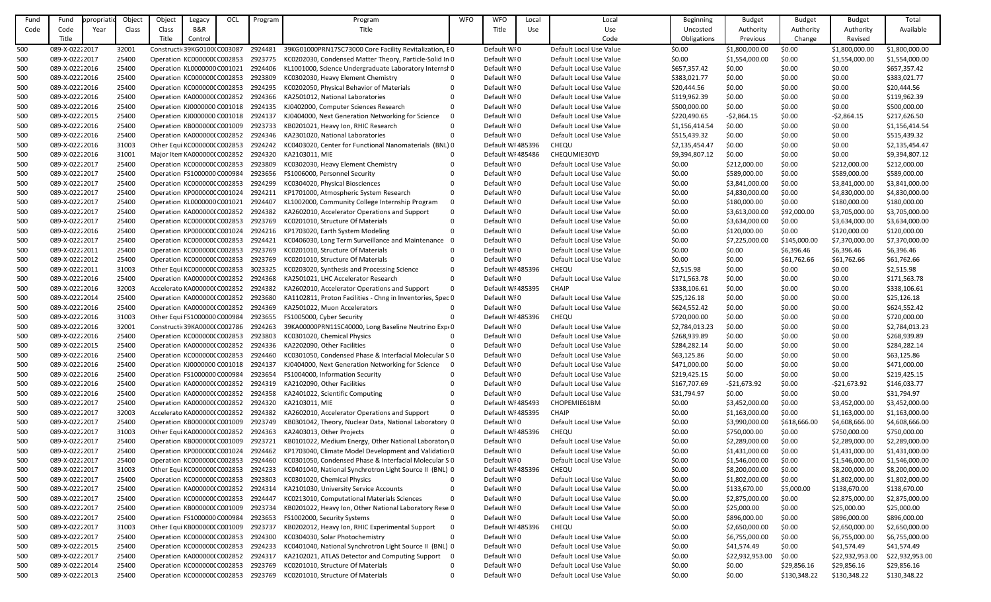| Fund | Fund           | <b>propriati</b> | Object | Object                             | Legacy                       | OCL | Program | Program                                                    | <b>WFO</b>  | <b>WFO</b>        | Local | Local                   | <b>Beginning</b> | <b>Budget</b>   | <b>Budget</b> | <b>Budget</b>   | Total           |
|------|----------------|------------------|--------|------------------------------------|------------------------------|-----|---------|------------------------------------------------------------|-------------|-------------------|-------|-------------------------|------------------|-----------------|---------------|-----------------|-----------------|
| Code | Code           | Year             | Class  | Class                              | <b>B&amp;R</b>               |     |         | Title                                                      |             | Title             | Use   | Use                     | Uncosted         | Authority       | Authority     | Authority       | Available       |
|      | Title          |                  |        | Title                              | Control                      |     |         |                                                            |             |                   |       | Code                    | Obligations      | Previous        | Change        | Revised         |                 |
| 500  | 089-X-02222017 |                  | 32001  |                                    | Constructic39KG0100(C003087  |     | 2924481 | 39KG01000PRN17SC73000 Core Facility Revitalization, EO     |             | Default WI0       |       | Default Local Use Value | \$0.00           | \$1,800,000.00  | \$0.00        | \$1,800,000.00  | \$1,800,000.00  |
|      |                |                  |        |                                    |                              |     |         |                                                            |             |                   |       |                         |                  |                 |               |                 |                 |
| 500  | 089-X-02222017 |                  | 25400  |                                    | Operation KC000000CC002853   |     | 2923775 | KC0202030, Condensed Matter Theory, Particle-Solid In 0    |             | Default WI0       |       | Default Local Use Value | \$0.00           | \$1,554,000.00  | \$0.00        | \$1,554,000.00  | \$1,554,000.00  |
| 500  | 089-X-02222016 |                  | 25400  |                                    | Operation KL0000000 C001021  |     | 2924406 | KL1001000, Science Undergraduate Laboratory Internsh 0     |             | Default WI0       |       | Default Local Use Value | \$657,357.42     | \$0.00          | \$0.00        | \$0.00          | \$657,357.42    |
| 500  | 089-X-02222016 |                  | 25400  |                                    | Operation KC000000CC002853   |     | 2923809 | KC0302030, Heavy Element Chemistry                         |             | Default WI0       |       | Default Local Use Value | \$383,021.77     | \$0.00          | \$0.00        | \$0.00          | \$383,021.77    |
| 500  | 089-X-02222016 |                  | 25400  |                                    | Operation KC000000CC002853   |     | 2924295 | KC0202050, Physical Behavior of Materials                  | $\Omega$    | Default WI0       |       | Default Local Use Value | \$20,444.56      | \$0.00          | \$0.00        | \$0.00          | \$20,444.56     |
| 500  | 089-X-02222016 |                  | 25400  |                                    | Operation KA0000000 C002852  |     | 2924366 | KA2501012, National Laboratories                           |             | Default WI0       |       | Default Local Use Value | \$119,962.39     | \$0.00          | \$0.00        | \$0.00          | \$119,962.39    |
| 500  | 089-X-02222016 |                  | 25400  |                                    | Operation KJ0000000 C001018  |     | 2924135 | KJ0402000, Computer Sciences Research                      | $\Omega$    | Default WI0       |       | Default Local Use Value | \$500,000.00     | \$0.00          | \$0.00        | \$0.00          | \$500,000.00    |
| 500  | 089-X-02222015 |                  | 25400  |                                    | Operation KJ0000000 C001018  |     | 2924137 | KJ0404000, Next Generation Networking for Science          | $\Omega$    | Default WI0       |       | Default Local Use Value | \$220,490.65     | $-52,864.15$    | \$0.00        | $-52,864.15$    | \$217,626.50    |
| 500  | 089-X-02222016 |                  | 25400  |                                    | Operation KB000000C C001009  |     | 2923733 | KB0201021, Heavy Ion, RHIC Research                        |             | Default WI0       |       | Default Local Use Value | \$1,156,414.54   | \$0.00          | \$0.00        | \$0.00          | \$1,156,414.54  |
| 500  | 089-X-02222016 |                  | 25400  |                                    | Operation KA0000000 C002852  |     | 2924346 | KA2301020, National Laboratories                           | $\Omega$    | Default WI0       |       | Default Local Use Value | \$515,439.32     | \$0.00          | \$0.00        | \$0.00          | \$515,439.32    |
| 500  | 089-X-02222016 |                  | 31003  |                                    | Other Equi KC000000C C002853 |     | 2924242 | KC0403020, Center for Functional Nanomaterials (BNL) 0     |             | Default WI 485396 |       | <b>CHEQU</b>            | \$2,135,454.47   | \$0.00          | \$0.00        | \$0.00          | \$2,135,454.47  |
| 500  | 089-X-02222016 |                  | 31001  |                                    | Major Iten KA0000000 C002852 |     | 2924320 | KA2103011, MIE                                             | $\Omega$    | Default WI 485486 |       | CHEQUMIE30YD            | \$9,394,807.12   | \$0.00          | \$0.00        | \$0.00          | \$9,394,807.12  |
| 500  | 089-X-02222017 |                  | 25400  |                                    | Operation KC000000CC002853   |     | 2923809 | KC0302030, Heavy Element Chemistry                         |             | Default WI0       |       | Default Local Use Value | \$0.00           | \$212,000.00    | \$0.00        | \$212,000.00    | \$212,000.00    |
| 500  | 089-X-02222017 |                  | 25400  |                                    | Operation FS1000000 C000984  |     | 2923656 | FS1006000, Personnel Security                              |             | Default WI0       |       | Default Local Use Value | \$0.00           | \$589,000.00    | \$0.00        | \$589,000.00    | \$589,000.00    |
| 500  | 089-X-02222017 |                  | 25400  |                                    | Operation KC000000CC002853   |     | 2924299 | KC0304020, Physical Biosciences                            |             | Default WI0       |       | Default Local Use Value | \$0.00           | \$3,841,000.00  | \$0.00        | \$3,841,000.00  | \$3,841,000.00  |
| 500  | 089-X-02222017 |                  | 25400  |                                    | Operation KP000000C C001024  |     | 2924211 | KP1701000, Atmospheric System Research                     | $\Omega$    | Default WI0       |       | Default Local Use Value | \$0.00           | \$4,830,000.00  | \$0.00        | \$4,830,000.00  | \$4,830,000.00  |
| 500  | 089-X-02222017 |                  | 25400  |                                    | Operation KL0000000 C001021  |     | 2924407 | KL1002000, Community College Internship Program            | $\mathbf 0$ | Default WI0       |       | Default Local Use Value | \$0.00           | \$180,000.00    | \$0.00        | \$180,000.00    | \$180,000.00    |
|      | 089-X-02222017 |                  | 25400  |                                    |                              |     | 2924382 | KA2602010, Accelerator Operations and Support              | $\Omega$    | Default WI0       |       | Default Local Use Value |                  |                 |               |                 | \$3,705,000.00  |
| 500  |                |                  |        |                                    | Operation KA0000000 C002852  |     |         |                                                            |             |                   |       |                         | \$0.00           | \$3,613,000.00  | \$92,000.00   | \$3,705,000.00  |                 |
| 500  | 089-X-02222017 |                  | 25400  |                                    | Operation KC000000CC002853   |     | 2923769 | KC0201010, Structure Of Materials                          |             | Default WI0       |       | Default Local Use Value | \$0.00           | \$3,634,000.00  | \$0.00        | \$3,634,000.00  | \$3,634,000.00  |
| 500  | 089-X-02222016 |                  | 25400  |                                    | Operation KP000000C C001024  |     | 2924216 | KP1703020, Earth System Modeling                           |             | Default WI0       |       | Default Local Use Value | \$0.00           | \$120,000.00    | \$0.00        | \$120,000.00    | \$120,000.00    |
| 500  | 089-X-02222017 |                  | 25400  |                                    | Operation KC000000CC002853   |     | 2924421 | KC0406030, Long Term Surveillance and Maintenance          | 0           | Default WI0       |       | Default Local Use Value | \$0.00           | \$7,225,000.00  | \$145,000.00  | \$7,370,000.00  | \$7,370,000.00  |
| 500  | 089-X-02222011 |                  | 25400  |                                    | Operation KC000000CC002853   |     | 2923769 | KC0201010, Structure Of Materials                          |             | Default WI0       |       | Default Local Use Value | \$0.00           | \$0.00          | \$6,396.46    | \$6,396.46      | \$6,396.46      |
| 500  | 089-X-02222012 |                  | 25400  |                                    | Operation KC000000CC002853   |     | 2923769 | KC0201010, Structure Of Materials                          | $\Omega$    | Default WI0       |       | Default Local Use Value | \$0.00           | \$0.00          | \$61,762.66   | \$61,762.66     | \$61,762.66     |
| 500  | 089-X-02222011 |                  | 31003  |                                    | Other Equi KC000000C C002853 |     | 3023325 | KC0203020, Synthesis and Processing Science                | $\Omega$    | Default WI 485396 |       | <b>CHEQU</b>            | \$2,515.98       | \$0.00          | \$0.00        | \$0.00          | \$2,515.98      |
| 500  | 089-X-02222016 |                  | 25400  |                                    | Operation KA0000000 C002852  |     | 2924368 | KA2501021, LHC Accelerator Research                        | $\Omega$    | Default WI0       |       | Default Local Use Value | \$171,563.78     | \$0.00          | \$0.00        | \$0.00          | \$171,563.78    |
| 500  | 089-X-02222016 |                  | 32003  |                                    | Accelerato KA0000000 C002852 |     | 2924382 | KA2602010, Accelerator Operations and Support              | $\Omega$    | Default WI 485395 |       | <b>CHAIP</b>            | \$338,106.61     | \$0.00          | \$0.00        | \$0.00          | \$338,106.61    |
| 500  | 089-X-02222014 |                  | 25400  |                                    | Operation KA0000000 C002852  |     | 2923680 | KA1102811, Proton Facilities - Chng in Inventories, Spec 0 |             | Default WI0       |       | Default Local Use Value | \$25,126.18      | \$0.00          | \$0.00        | \$0.00          | \$25,126.18     |
| 500  | 089-X-02222016 |                  | 25400  |                                    | Operation KA000000(C002852   |     | 2924369 | KA2501022, Muon Accelerators                               | $\Omega$    | Default WI0       |       | Default Local Use Value | \$624,552.42     | \$0.00          | \$0.00        | \$0.00          | \$624,552.42    |
| 500  | 089-X-02222016 |                  | 31003  |                                    | Other Equi FS1000000 C000984 |     | 2923655 | FS1005000, Cyber Security                                  | $\Omega$    | Default WI 485396 |       | CHEQU                   | \$720,000.00     | \$0.00          | \$0.00        | \$0.00          | \$720,000.00    |
| 500  | 089-X-02222016 |                  | 32001  |                                    | Constructic39KA0000CC002786  |     | 2924263 | 39KA00000PRN11SC40000, Long Baseline Neutrino Expt0        |             | Default WI0       |       | Default Local Use Value | \$2,784,013.23   | \$0.00          | \$0.00        | \$0.00          | \$2,784,013.23  |
| 500  | 089-X-02222016 |                  | 25400  |                                    | Operation KC000000CC002853   |     | 2923803 | KC0301020, Chemical Physics                                |             | Default WI0       |       | Default Local Use Value | \$268,939.89     | \$0.00          | \$0.00        | \$0.00          | \$268,939.89    |
| 500  | 089-X-02222015 |                  | 25400  |                                    | Operation KA0000000 C002852  |     | 2924336 | KA2202090, Other Facilities                                |             | Default WI0       |       | Default Local Use Value | \$284,282.14     | \$0.00          | \$0.00        | \$0.00          | \$284,282.14    |
| 500  | 089-X-02222016 |                  | 25400  |                                    | Operation KC000000CC002853   |     | 2924460 | KC0301050, Condensed Phase & Interfacial Molecular S 0     |             | Default WI0       |       | Default Local Use Value | \$63,125.86      | \$0.00          | \$0.00        | \$0.00          | \$63,125.86     |
| 500  | 089-X-02222016 |                  | 25400  |                                    | Operation KJ0000000 C001018  |     | 2924137 | KJ0404000, Next Generation Networking for Science          | 0           | Default WI0       |       | Default Local Use Value | \$471,000.00     | \$0.00          | \$0.00        | \$0.00          | \$471,000.00    |
| 500  | 089-X-02222016 |                  | 25400  |                                    | Operation FS1000000 C000984  |     | 2923654 | FS1004000, Information Security                            |             | Default WI0       |       | Default Local Use Value | \$219,425.15     | \$0.00          | \$0.00        | \$0.00          | \$219,425.15    |
|      |                |                  |        |                                    |                              |     |         |                                                            |             |                   |       |                         |                  |                 |               |                 |                 |
| 500  | 089-X-02222016 |                  | 25400  |                                    | Operation KA0000000 C002852  |     | 2924319 | KA2102090, Other Facilities                                |             | Default WI0       |       | Default Local Use Value | \$167,707.69     | $-521,673.92$   | \$0.00        | $-521,673.92$   | \$146,033.77    |
| 500  | 089-X-02222016 |                  | 25400  |                                    | Operation KA0000000 C002852  |     | 2924358 | KA2401022, Scientific Computing                            |             | Default WI0       |       | Default Local Use Value | \$31,794.97      | \$0.00          | \$0.00        | \$0.00          | \$31,794.97     |
| 500  | 089-X-02222017 |                  | 25400  |                                    | Operation KA0000000 C002852  |     | 2924320 | KA2103011, MIE                                             |             | Default WI 485493 |       | CHOPEMIE61BM            | \$0.00           | \$3,452,000.00  | \$0.00        | \$3,452,000.00  | \$3,452,000.00  |
| 500  | 089-X-02222017 |                  | 32003  |                                    | Accelerato KA0000000 C002852 |     | 2924382 | KA2602010, Accelerator Operations and Support              | $\Omega$    | Default WI 485395 |       | <b>CHAIP</b>            | \$0.00           | \$1,163,000.00  | \$0.00        | \$1,163,000.00  | \$1,163,000.00  |
| 500  | 089-X-02222017 |                  | 25400  |                                    | Operation KB000000C C001009  |     | 2923749 | KB0301042, Theory, Nuclear Data, National Laboratory 0     |             | Default WI0       |       | Default Local Use Value | \$0.00           | \$3,990,000.00  | \$618,666.00  | \$4,608,666.00  | \$4,608,666.00  |
| 500  | 089-X-02222017 |                  | 31003  |                                    | Other Equi KA0000000 C002852 |     | 2924363 | KA2403013, Other Projects                                  |             | Default WI 485396 |       | <b>CHEQU</b>            | \$0.00           | \$750,000.00    | \$0.00        | \$750,000.00    | \$750,000.00    |
| 500  | 089-X-02222017 |                  | 25400  |                                    | Operation KB000000C C001009  |     | 2923721 | KB0101022, Medium Energy, Other National Laboratory 0      |             | Default WI0       |       | Default Local Use Value | \$0.00           | \$2,289,000.00  | \$0.00        | \$2,289,000.00  | \$2,289,000.00  |
| 500  | 089-X-02222017 |                  | 25400  |                                    | Operation KP000000CC001024   |     | 2924462 | KP1703040, Climate Model Development and Validatior 0      |             | Default WI0       |       | Default Local Use Value | \$0.00           | \$1,431,000.00  | \$0.00        | \$1,431,000.00  | \$1,431,000.00  |
| 500  | 089-X-02222017 |                  | 25400  |                                    | Operation KC000000CC002853   |     | 2924460 | KC0301050, Condensed Phase & Interfacial Molecular S 0     |             | Default WI0       |       | Default Local Use Value | \$0.00           | \$1,546,000.00  | \$0.00        | \$1,546,000.00  | \$1,546,000.00  |
| 500  | 089-X-02222017 |                  | 31003  |                                    | Other Equi KC000000C C002853 |     | 2924233 | KC0401040, National Synchrotron Light Source II (BNL) 0    |             | Default WI 485396 |       | CHEQU                   | \$0.00           | \$8,200,000.00  | \$0.00        | \$8,200,000.00  | \$8,200,000.00  |
| 500  | 089-X-02222017 |                  | 25400  |                                    | Operation KC000000CC002853   |     | 2923803 | KC0301020, Chemical Physics                                |             | Default WI0       |       | Default Local Use Value | \$0.00           | \$1,802,000.00  | \$0.00        | \$1,802,000.00  | \$1,802,000.00  |
| 500  | 089-X-02222017 |                  | 25400  |                                    | Operation KA0000000 C002852  |     | 2924314 | KA2101030, University Service Accounts                     |             | Default WI0       |       | Default Local Use Value | \$0.00           | \$133,670.00    | \$5,000.00    | \$138,670.00    | \$138,670.00    |
| 500  | 089-X-02222017 |                  | 25400  |                                    | Operation KC000000CC002853   |     | 2924447 | KC0213010, Computational Materials Sciences                |             | Default WI0       |       | Default Local Use Value | \$0.00           | \$2,875,000.00  | \$0.00        | \$2,875,000.00  | \$2,875,000.00  |
| 500  | 089-X-02222017 |                  | 25400  |                                    | Operation KB000000C C001009  |     | 2923734 | KB0201022, Heavy Ion, Other National Laboratory Rese 0     |             | Default WI0       |       | Default Local Use Value | \$0.00           | \$25,000.00     | \$0.00        | \$25,000.00     | \$25,000.00     |
| 500  | 089-X-02222017 |                  | 25400  |                                    | Operation FS1000000 C000984  |     | 2923653 | FS1002000, Security Systems                                | $\Omega$    | Default WI0       |       | Default Local Use Value | \$0.00           | \$896,000.00    | \$0.00        | \$896,000.00    | \$896,000.00    |
| 500  | 089-X-02222017 |                  | 31003  |                                    | Other Equi KB000000C C001009 |     | 2923737 | KB0202012, Heavy Ion, RHIC Experimental Support            | 0           | Default WI 485396 |       | <b>CHEQU</b>            | \$0.00           | \$2,650,000.00  | \$0.00        | \$2,650,000.00  | \$2,650,000.00  |
| 500  | 089-X-02222017 |                  | 25400  |                                    | Operation KC000000CC002853   |     | 2924300 | KC0304030, Solar Photochemistry                            | $\Omega$    | Default WI0       |       | Default Local Use Value | \$0.00           | \$6,755,000.00  | \$0.00        | \$6,755,000.00  | \$6,755,000.00  |
|      | 089-X-02222015 |                  | 25400  |                                    | Operation KC000000CC002853   |     | 2924233 | KC0401040, National Synchrotron Light Source II (BNL) 0    |             | Default WI0       |       | Default Local Use Value |                  | \$41,574.49     |               | \$41,574.49     | \$41,574.49     |
| 500  |                |                  |        |                                    |                              |     |         |                                                            |             |                   |       |                         | \$0.00           |                 | \$0.00        |                 |                 |
| 500  | 089-X-02222017 |                  | 25400  |                                    | Operation KA0000000 C002852  |     | 2924317 | KA2102021, ATLAS Detector and Computing Support            | - 0         | Default WI0       |       | Default Local Use Value | \$0.00           | \$22,932,953.00 | \$0.00        | \$22,932,953.00 | \$22,932,953.00 |
| 500  | 089-X-02222014 |                  | 25400  |                                    | Operation KC000000CC002853   |     | 2923769 | KC0201010, Structure Of Materials                          | $\Omega$    | Default WI0       |       | Default Local Use Value | \$0.00           | \$0.00          | \$29,856.16   | \$29,856.16     | \$29,856.16     |
| 500  | 089-X-02222013 |                  | 25400  | Operation KC000000CC002853 2923769 |                              |     |         | KC0201010, Structure Of Materials                          | $\Omega$    | Default WI0       |       | Default Local Use Value | \$0.00           | \$0.00          | \$130,348.22  | \$130,348.22    | \$130,348.22    |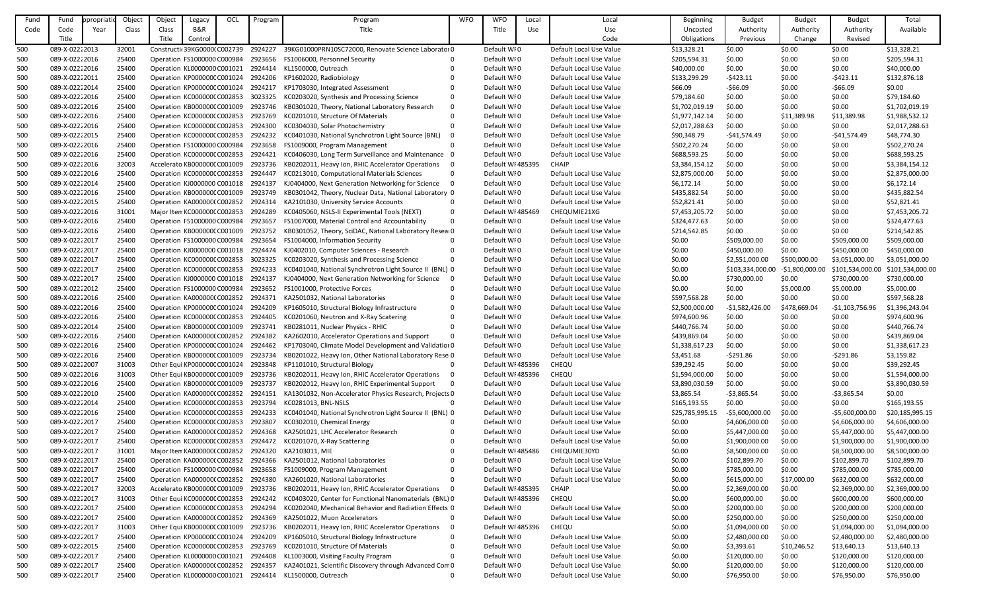| Fund | Fund           | ppropriatio | Object | Object                        | Legacy  | OCL | Program | Program                                                 | <b>WFO</b>   | <b>WFO</b>        | Local | Local                   | Beginning       | <b>Budget</b>    | <b>Budget</b>   | <b>Budget</b>    | Total            |
|------|----------------|-------------|--------|-------------------------------|---------|-----|---------|---------------------------------------------------------|--------------|-------------------|-------|-------------------------|-----------------|------------------|-----------------|------------------|------------------|
| Code | Code           | Year        | Class  | Class                         | B&R     |     |         | Title                                                   |              | Title             | Use   | Use                     | Uncosted        | Authority        | Authority       | Authority        | Available        |
|      | Title          |             |        | Title                         | Control |     |         |                                                         |              |                   |       | Code                    | Obligations     | Previous         | Change          | Revised          |                  |
| 500  | 089-X-02222013 |             | 32001  | Constructic 39KG00000 C002739 |         |     | 2924227 | 39KG01000PRN10SC72000, Renovate Science Laborator 0     |              | Default WI0       |       | Default Local Use Value | \$13,328.21     | \$0.00           | \$0.00          | \$0.00           | \$13,328.21      |
|      | 089-X-02222016 |             | 25400  |                               |         |     | 2923656 |                                                         |              | Default WI0       |       |                         |                 |                  | \$0.00          |                  |                  |
| 500  |                |             |        | Operation FS1000000 C000984   |         |     |         | FS1006000, Personnel Security                           |              |                   |       | Default Local Use Value | \$205,594.31    | \$0.00           |                 | \$0.00           | \$205,594.31     |
| 500  | 089-X-02222016 |             | 25400  | Operation KL0000000 C001021   |         |     | 2924414 | KL1500000, Outreach                                     |              | Default WI0       |       | Default Local Use Value | \$40,000.00     | \$0.00           | \$0.00          | \$0.00           | \$40,000.00      |
| 500  | 089-X-02222011 |             | 25400  | Operation KP000000C C001024   |         |     | 2924206 | KP1602020, Radiobiology                                 |              | Default WI0       |       | Default Local Use Value | \$133,299.29    | $-5423.11$       | \$0.00          | $-5423.11$       | \$132,876.18     |
| 500  | 089-X-02222014 |             | 25400  | Operation KP000000C C001024   |         |     | 2924217 | KP1703030, Integrated Assessment                        |              | Default WI0       |       | Default Local Use Value | \$66.09         | $-566.09$        | \$0.00          | $-566.09$        | \$0.00           |
| 500  | 089-X-02222016 |             | 25400  | Operation KC000000C C002853   |         |     | 3023325 | KC0203020, Synthesis and Processing Science             | 0            | Default WI0       |       | Default Local Use Value | \$79,184.60     | \$0.00           | \$0.00          | \$0.00           | \$79,184.60      |
| 500  | 089-X-02222016 |             | 25400  | Operation KB000000C C001009   |         |     | 2923746 | KB0301020, Theory, National Laboratory Research         | $\mathbf{0}$ | Default WI0       |       | Default Local Use Value | \$1,702,019.19  | \$0.00           | \$0.00          | \$0.00           | \$1,702,019.19   |
| 500  | 089-X-02222016 |             | 25400  | Operation KC000000C C002853   |         |     | 2923769 | KC0201010, Structure Of Materials                       |              | Default WI0       |       | Default Local Use Value | \$1,977,142.14  | \$0.00           | \$11,389.98     | \$11,389.98      | \$1,988,532.12   |
| 500  | 089-X-02222016 |             | 25400  | Operation KC000000C C002853   |         |     | 2924300 | KC0304030, Solar Photochemistry                         |              | Default WI0       |       | Default Local Use Value | \$2,017,288.63  | \$0.00           | \$0.00          | \$0.00           | \$2,017,288.63   |
| 500  | 089-X-02222015 |             | 25400  | Operation KC000000C C002853   |         |     | 2924232 | KC0401030, National Synchrotron Light Source (BNL)      | -0           | Default WI0       |       | Default Local Use Value | \$90,348.79     | $-541,574.49$    | \$0.00          | $-$41,574.49$    | \$48,774.30      |
| 500  | 089-X-02222016 |             | 25400  | Operation FS1000000 C000984   |         |     | 2923658 | FS1009000, Program Management                           | $\Omega$     | Default WI0       |       | Default Local Use Value | \$502,270.24    | \$0.00           | \$0.00          | \$0.00           | \$502,270.24     |
| 500  | 089-X-02222016 |             | 25400  | Operation KC000000CC002853    |         |     | 2924421 | KC0406030, Long Term Surveillance and Maintenance 0     |              | Default WI0       |       | Default Local Use Value | \$688,593.25    | \$0.00           | \$0.00          | \$0.00           | \$688,593.25     |
| 500  | 089-X-02222016 |             | 32003  | Accelerato KB000000C C001009  |         |     | 2923736 | KB0202011, Heavy Ion, RHIC Accelerator Operations       |              | Default WI 485395 |       | <b>CHAIP</b>            | \$3,384,154.12  | \$0.00           | \$0.00          | \$0.00           | \$3,384,154.12   |
| 500  | 089-X-02222016 |             | 25400  | Operation KC000000C C002853   |         |     | 2924447 | KC0213010, Computational Materials Sciences             | $\Omega$     | Default WI0       |       | Default Local Use Value | \$2,875,000.00  | \$0.00           | \$0.00          | \$0.00           | \$2,875,000.00   |
| 500  | 089-X-02222014 |             | 25400  | Operation KJ0000000 C001018   |         |     | 2924137 | KJ0404000, Next Generation Networking for Science       |              | Default WI0       |       | Default Local Use Value | \$6,172.14      | \$0.00           | \$0.00          | \$0.00           | \$6,172.14       |
| 500  | 089-X-02222016 |             | 25400  | Operation KB000000C C001009   |         |     | 2923749 | KB0301042, Theory, Nuclear Data, National Laboratory 0  |              | Default WI0       |       | Default Local Use Value | \$435,882.54    | \$0.00           | \$0.00          | \$0.00           | \$435,882.54     |
| 500  | 089-X-02222015 |             | 25400  | Operation KA000000(C002852    |         |     | 2924314 | KA2101030, University Service Accounts                  | 0            | Default WI0       |       | Default Local Use Value | \$52,821.41     | \$0.00           | \$0.00          | \$0.00           | \$52,821.41      |
|      | 089-X-02222016 |             |        |                               |         |     | 2924289 | KC0405060, NSLS-II Experimental Tools (NEXT)            | $\Omega$     | Default WI 485469 |       | CHEQUMIE21XG            |                 |                  |                 |                  |                  |
| 500  |                |             | 31001  | Major Item KC000000C C002853  |         |     |         |                                                         |              |                   |       |                         | \$7,453,205.72  | \$0.00           | \$0.00          | \$0.00           | \$7,453,205.72   |
| 500  | 089-X-02222016 |             | 25400  | Operation FS1000000 C000984   |         |     | 2923657 | FS1007000, Material Control and Accountability          | $\mathbf{0}$ | Default WI0       |       | Default Local Use Value | \$324,477.63    | \$0.00           | \$0.00          | \$0.00           | \$324,477.63     |
| 500  | 089-X-02222016 |             | 25400  | Operation KB000000C C001009   |         |     | 2923752 | KB0301052, Theory, SciDAC, National Laboratory ResearO  |              | Default WI0       |       | Default Local Use Value | \$214,542.85    | \$0.00           | \$0.00          | \$0.00           | \$214,542.85     |
| 500  | 089-X-02222017 |             | 25400  | Operation FS1000000 C000984   |         |     | 2923654 | FS1004000, Information Security                         | 0            | Default WI0       |       | Default Local Use Value | \$0.00          | \$509,000.00     | \$0.00          | \$509,000.00     | \$509,000.00     |
| 500  | 089-X-02222017 |             | 25400  | Operation KJ0000000 C001018   |         |     | 2924474 | KJ0402010, Computer Sciences - Research                 | 0            | Default WI0       |       | Default Local Use Value | \$0.00          | \$450,000.00     | \$0.00          | \$450,000.00     | \$450,000.00     |
| 500  | 089-X-02222017 |             | 25400  | Operation KC000000C C002853   |         |     | 3023325 | KC0203020, Synthesis and Processing Science             | $\Omega$     | Default WI0       |       | Default Local Use Value | \$0.00          | \$2,551,000.00   | \$500,000.00    | \$3,051,000.00   | \$3,051,000.00   |
| 500  | 089-X-02222017 |             | 25400  | Operation KC000000C C002853   |         |     | 2924233 | KC0401040, National Synchrotron Light Source II (BNL) 0 |              | Default WI0       |       | Default Local Use Value | \$0.00          | \$103,334,000.00 | $-51,800,000.0$ | \$101,534,000.00 | \$101,534,000.00 |
| 500  | 089-X-02222017 |             | 25400  | Operation KJ0000000 C001018   |         |     | 2924137 | KJ0404000, Next Generation Networking for Science       | -0           | Default WI0       |       | Default Local Use Value | \$0.00          | \$730,000.00     | \$0.00          | \$730,000.00     | \$730,000.00     |
| 500  | 089-X-02222012 |             | 25400  | Operation FS1000000 C000984   |         |     | 2923652 | FS1001000, Protective Forces                            |              | Default WI0       |       | Default Local Use Value | \$0.00          | \$0.00           | \$5,000.00      | \$5,000.00       | \$5,000.00       |
| 500  | 089-X-02222016 |             | 25400  | Operation KA000000(C002852    |         |     | 2924371 | KA2501032, National Laboratories                        |              | Default WI0       |       | Default Local Use Value | \$597,568.28    | \$0.00           | \$0.00          | \$0.00           | \$597,568.28     |
| 500  | 089-X-02222016 |             | 25400  | Operation KP000000CC001024    |         |     | 2924209 | KP1605010, Structural Biology Infrastructure            | $\Omega$     | Default WI0       |       | Default Local Use Value | \$2,500,000.00  | $-$1,582,426.00$ | \$478,669.04    | $-51,103,756.96$ | \$1,396,243.04   |
| 500  | 089-X-02222016 |             | 25400  | Operation KC000000C C002853   |         |     | 2924405 | KC0201060, Neutron and X-Ray Scatering                  | 0            | Default WI0       |       | Default Local Use Value | \$974,600.96    | \$0.00           | \$0.00          | \$0.00           | \$974,600.96     |
| 500  | 089-X-02222014 |             | 25400  | Operation KB000000CC001009    |         |     | 2923741 | KB0281011, Nuclear Physics - RHIC                       |              | Default WI0       |       | Default Local Use Value | \$440,766.74    | \$0.00           | \$0.00          | \$0.00           | \$440,766.74     |
| 500  | 089-X-02222016 |             | 25400  | Operation KA000000(C002852    |         |     | 2924382 | KA2602010, Accelerator Operations and Support           | $\Omega$     | Default WI0       |       | Default Local Use Value | \$439,869.04    | \$0.00           | \$0.00          | \$0.00           | \$439,869.04     |
| 500  | 089-X-02222016 |             | 25400  | Operation KP000000C C001024   |         |     | 2924462 | KP1703040, Climate Model Development and Validatior 0   |              | Default WI0       |       | Default Local Use Value | \$1,338,617.23  | \$0.00           | \$0.00          | \$0.00           | \$1,338,617.23   |
| 500  | 089-X-02222016 |             | 25400  | Operation KB000000CC001009    |         |     | 2923734 | KB0201022, Heavy Ion, Other National Laboratory Rese 0  |              | Default WI0       |       | Default Local Use Value | \$3,451.68      | $-5291.86$       | \$0.00          | $-5291.86$       | \$3,159.82       |
|      | 089-X-02222007 |             | 31003  | Other Equi KP000000C C001024  |         |     | 2923848 | KP1101010, Structural Biology                           | 0            | Default WI 485396 |       | CHEQU                   | \$39,292.45     | \$0.00           | \$0.00          | \$0.00           | \$39,292.45      |
| 500  |                |             |        |                               |         |     |         |                                                         | $\Omega$     | Default WI 485396 |       |                         |                 |                  |                 |                  |                  |
| 500  | 089-X-02222016 |             | 31003  | Other Equi KB000000C C001009  |         |     | 2923736 | KB0202011, Heavy Ion, RHIC Accelerator Operations       |              |                   |       | <b>CHEQU</b>            | \$1,594,000.00  | \$0.00           | \$0.00          | \$0.00           | \$1,594,000.00   |
| 500  | 089-X-02222016 |             | 25400  | Operation KB000000CC001009    |         |     | 2923737 | KB0202012, Heavy Ion, RHIC Experimental Support         |              | Default WI0       |       | Default Local Use Value | \$3,890,030.59  | \$0.00           | \$0.00          | \$0.00           | \$3,890,030.59   |
| 500  | 089-X-02222010 |             | 25400  | Operation KA000000(C002852    |         |     | 2924151 | KA1301032, Non-Accelerator Physics Research, Projects 0 |              | Default WI0       |       | Default Local Use Value | \$3,865.54      | $-53,865.54$     | \$0.00          | $-53,865.54$     | \$0.00           |
| 500  | 089-X-02222014 |             | 25400  | Operation KC000000CC002853    |         |     | 2923794 | KC0281013, BNL-NSLS                                     | 0            | Default WI0       |       | Default Local Use Value | \$165,193.55    | \$0.00           | \$0.00          | \$0.00           | \$165,193.55     |
| 500  | 089-X-02222016 |             | 25400  | Operation KC000000CC002853    |         |     | 2924233 | KC0401040, National Synchrotron Light Source II (BNL) 0 |              | Default WI0       |       | Default Local Use Value | \$25,785,995.15 | $-55,600,000.00$ | \$0.00          | $-55,600,000.00$ | \$20,185,995.15  |
| 500  | 089-X-02222017 |             | 25400  | Operation KC000000C C002853   |         |     | 2923807 | KC0302010, Chemical Energy                              | 0            | Default WI0       |       | Default Local Use Value | \$0.00          | \$4,606,000.00   | \$0.00          | \$4,606,000.00   | \$4,606,000.00   |
| 500  | 089-X-02222017 |             | 25400  | Operation KA0000000 C002852   |         |     | 2924368 | KA2501021, LHC Accelerator Research                     |              | Default WI0       |       | Default Local Use Value | \$0.00          | \$5,447,000.00   | \$0.00          | \$5,447,000.00   | \$5,447,000.00   |
| 500  | 089-X-02222017 |             | 25400  | Operation KC000000C C002853   |         |     | 2924472 | KC0201070, X-Ray Scattering                             |              | Default WI0       |       | Default Local Use Value | \$0.00          | \$1,900,000.00   | \$0.00          | \$1,900,000.00   | \$1,900,000.00   |
| 500  | 089-X-02222017 |             | 31001  | Major Item KA0000000 C002852  |         |     | 2924320 | KA2103011, MIE                                          |              | Default WI 485486 |       | CHEQUMIE30YD            | \$0.00          | \$8,500,000.00   | \$0.00          | \$8,500,000.00   | \$8,500,000.00   |
| 500  | 089-X-02222017 |             | 25400  | Operation KA000000(C002852    |         |     | 2924366 | KA2501012, National Laboratories                        |              | Default WI0       |       | Default Local Use Value | \$0.00          | \$102,899.70     | \$0.00          | \$102,899.70     | \$102,899.70     |
| 500  | 089-X-02222017 |             | 25400  | Operation FS1000000 C000984   |         |     | 2923658 | FS1009000, Program Management                           |              | Default WI0       |       | Default Local Use Value | \$0.00          | \$785,000.00     | \$0.00          | \$785,000.00     | \$785,000.00     |
| 500  | 089-X-02222017 |             | 25400  | Operation KA000000(C002852    |         |     | 2924380 | KA2601020, National Laboratories                        | $\Omega$     | Default WI0       |       | Default Local Use Value | \$0.00          | \$615,000.00     | \$17,000.00     | \$632,000.00     | \$632,000.00     |
| 500  | 089-X-02222017 |             | 32003  | Accelerato KB000000C C001009  |         |     | 2923736 | KB0202011, Heavy Ion, RHIC Accelerator Operations       | -0           | Default WI 485395 |       | CHAIP                   | \$0.00          | \$2,369,000.00   | \$0.00          | \$2,369,000.00   | \$2,369,000.00   |
| 500  | 089-X-02222017 |             | 31003  | Other Equi KC000000C C002853  |         |     | 2924242 | KC0403020, Center for Functional Nanomaterials (BNL) 0  |              | Default WI 485396 |       | <b>CHEQU</b>            | \$0.00          | \$600,000.00     | \$0.00          | \$600,000.00     | \$600,000.00     |
| 500  | 089-X-02222017 |             | 25400  | Operation KC000000C C002853   |         |     | 2924294 | KC0202040, Mechanical Behavior and Radiation Effects 0  |              | Default WI0       |       | Default Local Use Value | \$0.00          | \$200,000.00     | \$0.00          | \$200,000.00     | \$200,000.00     |
| 500  | 089-X-02222017 |             | 25400  | Operation KA0000000 C002852   |         |     | 2924369 | KA2501022, Muon Accelerators                            | $\Omega$     | Default WI0       |       | Default Local Use Value | \$0.00          | \$250,000.00     | \$0.00          | \$250,000.00     | \$250,000.00     |
|      | 089-X-02222017 |             |        |                               |         |     | 2923736 |                                                         |              | Default WI 485396 |       |                         |                 |                  |                 |                  | \$1,094,000.00   |
| 500  |                |             | 31003  | Other Equi KB000000C C001009  |         |     |         | KB0202011, Heavy Ion, RHIC Accelerator Operations       | 0            |                   |       | CHEQU                   | \$0.00          | \$1,094,000.00   | \$0.00          | \$1,094,000.00   |                  |
| 500  | 089-X-02222017 |             | 25400  | Operation KP000000C C001024   |         |     | 2924209 | KP1605010, Structural Biology Infrastructure            | $\Omega$     | Default WI0       |       | Default Local Use Value | \$0.00          | \$2,480,000.00   | \$0.00          | \$2,480,000.00   | \$2,480,000.00   |
| 500  | 089-X-02222015 |             | 25400  | Operation KC000000C C002853   |         |     | 2923769 | KC0201010, Structure Of Materials                       |              | Default WI0       |       | Default Local Use Value | \$0.00          | \$3,393.61       | \$10,246.52     | \$13,640.13      | \$13,640.13      |
| 500  | 089-X-02222017 |             | 25400  | Operation KL0000000 C001021   |         |     | 2924408 | KL1003000, Visiting Faculty Program                     | 0            | Default WI0       |       | Default Local Use Value | \$0.00          | \$120,000.00     | \$0.00          | \$120,000.00     | \$120,000.00     |
| 500  | 089-X-02222017 |             | 25400  | Operation KA000000(C002852    |         |     | 2924357 | KA2401021, Scientific Discovery through Advanced Com0   |              | Default WI0       |       | Default Local Use Value | \$0.00          | \$120,000.00     | \$0.00          | \$120,000.00     | \$120,000.00     |
| 500  | 089-X-02222017 |             | 25400  | Operation KL0000000 C001021   |         |     | 2924414 | KL1500000, Outreach                                     | 0            | Default WI0       |       | Default Local Use Value | \$0.00          | \$76,950.00      | \$0.00          | \$76,950.00      | \$76,950.00      |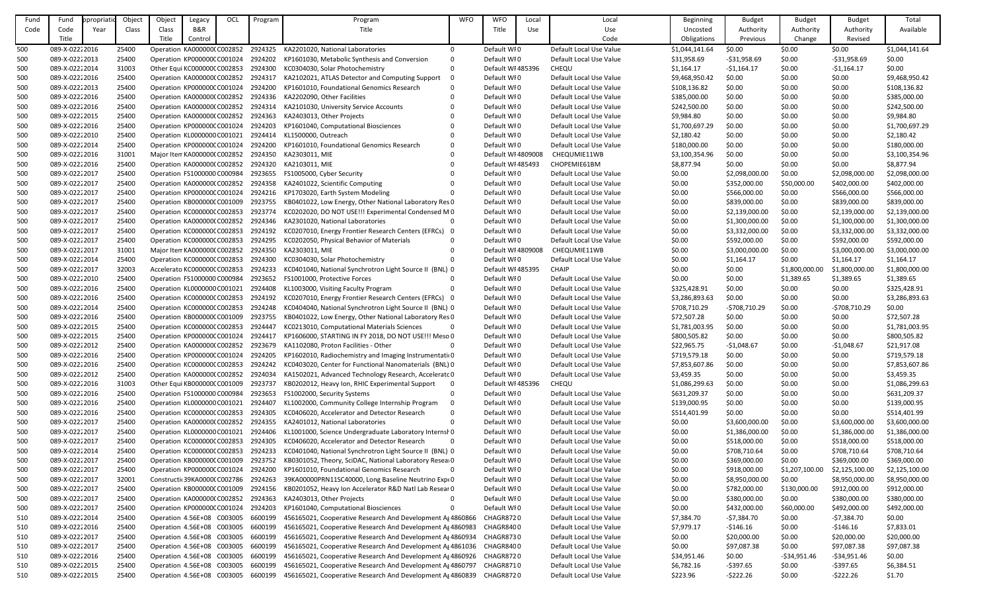| Fund | Fund           | ppropriatio | Object | Object                       | Legacy         | OCL | Program | Program                                                   | <b>WFO</b> | <b>WFO</b>         | Local | Local                   | Beginning      | <b>Budget</b>  | <b>Budget</b>  | <b>Budget</b>  | Total          |
|------|----------------|-------------|--------|------------------------------|----------------|-----|---------|-----------------------------------------------------------|------------|--------------------|-------|-------------------------|----------------|----------------|----------------|----------------|----------------|
| Code | Code           | Year        | Class  | Class                        | <b>B&amp;R</b> |     |         | Title                                                     |            | Title              | Use   | Use                     | Uncosted       | Authority      | Authority      | Authority      | Available      |
|      | Title          |             |        | Title                        | Control        |     |         |                                                           |            |                    |       | Code                    | Obligations    | Previous       | Change         | Revised        |                |
|      | 089-X-02222016 |             |        |                              |                |     |         |                                                           | $\Omega$   |                    |       |                         |                |                |                |                |                |
| 500  |                |             | 25400  | Operation KA000000(C002852   |                |     | 2924325 | KA2201020, National Laboratories                          |            | Default WI0        |       | Default Local Use Value | \$1,044,141.64 | \$0.00         | \$0.00         | \$0.00         | \$1,044,141.64 |
| 500  | 089-X-02222013 |             | 25400  | Operation KP000000CC001024   |                |     | 2924202 | KP1601030, Metabolic Synthesis and Conversion             | $\Omega$   | Default WI0        |       | Default Local Use Value | \$31,958.69    | $-531,958.69$  | \$0.00         | $-531,958.69$  | \$0.00         |
| 500  | 089-X-02222014 |             | 31003  | Other Equi KC000000C C002853 |                |     | 2924300 | KC0304030, Solar Photochemistry                           |            | Default WI 485396  |       | <b>CHEQU</b>            | \$1,164.17     | $-$1,164.17$   | \$0.00         | $-51,164.17$   | \$0.00         |
| 500  | 089-X-02222016 |             | 25400  | Operation KA0000000 C002852  |                |     | 2924317 | KA2102021, ATLAS Detector and Computing Support           |            | Default WI0        |       | Default Local Use Value | \$9,468,950.42 | \$0.00         | \$0.00         | \$0.00         | \$9,468,950.42 |
| 500  | 089-X-02222013 |             | 25400  | Operation KP000000C C001024  |                |     | 2924200 | KP1601010, Foundational Genomics Research                 |            | Default WI0        |       | Default Local Use Value | \$108,136.82   | \$0.00         | \$0.00         | \$0.00         | \$108,136.82   |
| 500  | 089-X-02222016 |             | 25400  | Operation KA000000(C002852   |                |     | 2924336 | KA2202090, Other Facilities                               |            | Default WI0        |       | Default Local Use Value | \$385,000.00   | \$0.00         | \$0.00         | \$0.00         | \$385,000.00   |
| 500  | 089-X-02222016 |             | 25400  | Operation KA0000000 C002852  |                |     | 2924314 | KA2101030, University Service Accounts                    |            | Default WI0        |       | Default Local Use Value | \$242,500.00   | \$0.00         | \$0.00         | \$0.00         | \$242,500.00   |
| 500  | 089-X-02222015 |             | 25400  | Operation KA0000000 C002852  |                |     | 2924363 | KA2403013, Other Projects                                 |            | Default WI0        |       | Default Local Use Value | \$9,984.80     | \$0.00         | \$0.00         | \$0.00         | \$9,984.80     |
| 500  | 089-X-02222016 |             | 25400  | Operation KP000000C C001024  |                |     | 2924203 | KP1601040, Computational Biosciences                      |            | Default WI0        |       | Default Local Use Value | \$1,700,697.29 | \$0.00         | \$0.00         | \$0.00         | \$1,700,697.29 |
| 500  | 089-X-02222010 |             | 25400  | Operation KL0000000 C001021  |                |     | 2924414 | KL1500000, Outreach                                       |            | Default WI0        |       | Default Local Use Value | \$2,180.42     | \$0.00         | \$0.00         | \$0.00         | \$2,180.42     |
| 500  | 089-X-02222014 |             | 25400  | Operation KP000000C C001024  |                |     | 2924200 | KP1601010, Foundational Genomics Research                 | $\Omega$   | Default WI0        |       | Default Local Use Value | \$180,000.00   | \$0.00         | \$0.00         | \$0.00         | \$180,000.00   |
| 500  | 089-X-02222016 |             | 31001  | Major Item KA0000000 C002852 |                |     | 2924350 | KA2303011, MIE                                            |            | Default WI 4809008 |       | CHEQUMIE11WB            | \$3,100,354.96 | \$0.00         | \$0.00         | \$0.00         | \$3,100,354.96 |
| 500  | 089-X-02222016 |             | 25400  | Operation KA0000000 C002852  |                |     | 2924320 | KA2103011, MIE                                            |            | Default WI 485493  |       | CHOPEMIE61BM            | \$8,877.94     | \$0.00         | \$0.00         | \$0.00         | \$8,877.94     |
| 500  | 089-X-02222017 |             | 25400  | Operation FS1000000 C000984  |                |     | 2923655 | FS1005000, Cyber Security                                 |            | Default WI0        |       | Default Local Use Value | \$0.00         | \$2,098,000.00 | \$0.00         | \$2,098,000.00 | \$2,098,000.00 |
| 500  | 089-X-02222017 |             | 25400  | Operation KA0000000 C002852  |                |     | 2924358 | KA2401022, Scientific Computing                           |            | Default WI0        |       | Default Local Use Value | \$0.00         | \$352,000.00   | \$50,000.00    | \$402,000.00   | \$402,000.00   |
| 500  | 089-X-02222017 |             | 25400  | Operation KP000000C C001024  |                |     | 2924216 | KP1703020, Earth System Modeling                          |            | Default WI0        |       | Default Local Use Value | \$0.00         | \$566,000.00   | \$0.00         | \$566,000.00   | \$566,000.00   |
| 500  | 089-X-02222017 |             | 25400  | Operation KB000000C C001009  |                |     | 2923755 | KB0401022, Low Energy, Other National Laboratory Res 0    |            | Default WI0        |       | Default Local Use Value | \$0.00         | \$839,000.00   | \$0.00         | \$839,000.00   | \$839,000.00   |
| 500  | 089-X-02222017 |             | 25400  | Operation KC000000CC002853   |                |     | 2923774 | KC0202020, DO NOT USE!!! Experimental Condensed M0        |            | Default WI0        |       | Default Local Use Value | \$0.00         | \$2,139,000.00 | \$0.00         | \$2,139,000.00 | \$2,139,000.00 |
|      | 089-X-02222017 |             | 25400  | Operation KA0000000 C002852  |                |     | 2924346 | KA2301020, National Laboratories                          |            | Default WI0        |       | Default Local Use Value | \$0.00         | \$1,300,000.00 | \$0.00         | \$1,300,000.00 | \$1,300,000.00 |
| 500  |                |             |        |                              |                |     |         |                                                           |            |                    |       |                         |                |                |                |                |                |
| 500  | 089-X-02222017 |             | 25400  | Operation KC000000CC002853   |                |     | 2924192 | KC0207010, Energy Frontier Research Centers (EFRCs) 0     |            | Default WI0        |       | Default Local Use Value | \$0.00         | \$3,332,000.00 | \$0.00         | \$3,332,000.00 | \$3,332,000.00 |
| 500  | 089-X-02222017 |             | 25400  | Operation KC000000CC002853   |                |     | 2924295 | KC0202050, Physical Behavior of Materials                 |            | Default WI0        |       | Default Local Use Value | \$0.00         | \$592,000.00   | \$0.00         | \$592,000.00   | \$592,000.00   |
| 500  | 089-X-02222017 |             | 31001  | Major Item KA0000000 C002852 |                |     | 2924350 | KA2303011, MIE                                            |            | Default WI 4809008 |       | CHEQUMIE11WB            | \$0.00         | \$3,000,000.00 | \$0.00         | \$3,000,000.00 | \$3,000,000.00 |
| 500  | 089-X-02222014 |             | 25400  | Operation KC000000CC002853   |                |     | 2924300 | KC0304030, Solar Photochemistry                           |            | Default WI0        |       | Default Local Use Value | \$0.00         | \$1,164.17     | \$0.00         | \$1,164.17     | \$1,164.17     |
| 500  | 089-X-02222017 |             | 32003  | Accelerato KC000000C C002853 |                |     | 2924233 | KC0401040, National Synchrotron Light Source II (BNL) 0   |            | Default WI 485395  |       | <b>CHAIP</b>            | \$0.00         | \$0.00         | \$1,800,000.00 | \$1,800,000.00 | \$1,800,000.00 |
| 500  | 089-X-02222010 |             | 25400  | Operation FS1000000 C000984  |                |     | 2923652 | FS1001000, Protective Forces                              |            | Default WI0        |       | Default Local Use Value | \$0.00         | \$0.00         | \$1,389.65     | \$1,389.65     | \$1,389.65     |
| 500  | 089-X-02222016 |             | 25400  | Operation KL0000000 C001021  |                |     | 2924408 | KL1003000, Visiting Faculty Program                       |            | Default WI0        |       | Default Local Use Value | \$325,428.91   | \$0.00         | \$0.00         | \$0.00         | \$325,428.91   |
| 500  | 089-X-02222016 |             | 25400  | Operation KC000000CC002853   |                |     | 2924192 | KC0207010, Energy Frontier Research Centers (EFRCs) 0     |            | Default WI0        |       | Default Local Use Value | \$3,286,893.63 | \$0.00         | \$0.00         | \$0.00         | \$3,286,893.63 |
| 500  | 089-X-02222014 |             | 25400  | Operation KC000000CC002853   |                |     | 2924248 | KC0404040, National Synchrotron Light Source II (BNL) 0   |            | Default WI0        |       | Default Local Use Value | \$708,710.29   | -\$708,710.29  | \$0.00         | $-5708,710.29$ | \$0.00         |
| 500  | 089-X-02222016 |             | 25400  | Operation KB000000C C001009  |                |     | 2923755 | KB0401022, Low Energy, Other National Laboratory Res 0    |            | Default WI0        |       | Default Local Use Value | \$72,507.28    | \$0.00         | \$0.00         | \$0.00         | \$72,507.28    |
| 500  | 089-X-02222015 |             | 25400  | Operation KC000000CC002853   |                |     | 2924447 | KC0213010, Computational Materials Sciences               |            | Default WI0        |       | Default Local Use Value | \$1,781,003.95 | \$0.00         | \$0.00         | \$0.00         | \$1,781,003.95 |
| 500  | 089-X-02222015 |             | 25400  | Operation KP000000CC001024   |                |     | 2924417 | KP1606000, STARTING IN FY 2018, DO NOT USE!!! Meso 0      |            | Default WI0        |       | Default Local Use Value | \$800,505.82   | \$0.00         | \$0.00         | \$0.00         | \$800,505.82   |
| 500  | 089-X-02222012 |             | 25400  | Operation KA0000000 C002852  |                |     | 2923679 | KA1102080, Proton Facilities - Other                      |            | Default WI0        |       | Default Local Use Value | \$22,965.75    | $-$1,048.67$   | \$0.00         | $-$1,048.67$   | \$21,917.08    |
| 500  | 089-X-02222016 |             | 25400  | Operation KP000000CC001024   |                |     | 2924205 | KP1602010, Radiochemistry and Imaging Instrumentatio      |            | Default WI0        |       | Default Local Use Value | \$719,579.18   | \$0.00         | \$0.00         | \$0.00         | \$719,579.18   |
| 500  | 089-X-02222016 |             | 25400  | Operation KC000000CC002853   |                |     | 2924242 | KC0403020, Center for Functional Nanomaterials (BNL) 0    |            | Default WI0        |       | Default Local Use Value | \$7,853,607.86 | \$0.00         | \$0.00         | \$0.00         | \$7,853,607.86 |
| 500  | 089-X-02222012 |             | 25400  | Operation KA0000000 C002852  |                |     | 2924034 | KA1502021, Advanced Technology Research, Acceleratc 0     |            | Default WI0        |       | Default Local Use Value | \$3,459.35     | \$0.00         | \$0.00         | \$0.00         | \$3,459.35     |
| 500  | 089-X-02222016 |             | 31003  | Other Equi KB000000C C001009 |                |     | 2923737 | KB0202012, Heavy Ion, RHIC Experimental Support           | - 0        | Default WI 485396  |       | <b>CHEQU</b>            | \$1,086,299.63 | \$0.00         | \$0.00         | \$0.00         | \$1,086,299.63 |
| 500  | 089-X-02222016 |             | 25400  | Operation FS1000000 C000984  |                |     | 2923653 | FS1002000, Security Systems                               |            | Default WI0        |       | Default Local Use Value | \$631,209.37   | \$0.00         | \$0.00         | \$0.00         | \$631,209.37   |
| 500  | 089-X-02222016 |             | 25400  | Operation KL0000000 C001021  |                |     | 2924407 | KL1002000, Community College Internship Program           |            | Default WI0        |       | Default Local Use Value | \$139,000.95   | \$0.00         | \$0.00         | \$0.00         | \$139,000.95   |
| 500  | 089-X-02222016 |             | 25400  | Operation KC000000CC002853   |                |     | 2924305 | KC0406020, Accelerator and Detector Research              |            | Default WI0        |       | Default Local Use Value | \$514,401.99   | \$0.00         | \$0.00         | \$0.00         | \$514,401.99   |
| 500  | 089-X-02222017 |             | 25400  | Operation KA0000000 C002852  |                |     | 2924355 | KA2401012, National Laboratories                          |            | Default WI0        |       | Default Local Use Value | \$0.00         | \$3,600,000.00 | \$0.00         | \$3,600,000.00 | \$3,600,000.00 |
|      | 089-X-02222017 |             |        |                              |                |     | 2924406 |                                                           |            | Default WI0        |       | Default Local Use Value |                |                |                |                |                |
| 500  |                |             | 25400  | Operation KL0000000 C001021  |                |     |         | KL1001000, Science Undergraduate Laboratory Internsh 0    |            |                    |       |                         | \$0.00         | \$1,386,000.00 | \$0.00         | \$1,386,000.00 | \$1,386,000.00 |
| 500  | 089-X-02222017 |             | 25400  | Operation KC000000CC002853   |                |     | 2924305 | KC0406020, Accelerator and Detector Research              |            | Default WI0        |       | Default Local Use Value | \$0.00         | \$518,000.00   | \$0.00         | \$518,000.00   | \$518,000.00   |
| 500  | 089-X-02222014 |             | 25400  | Operation KC000000CC002853   |                |     | 2924233 | KC0401040, National Synchrotron Light Source II (BNL) 0   |            | Default WI0        |       | Default Local Use Value | \$0.00         | \$708,710.64   | \$0.00         | \$708,710.64   | \$708,710.64   |
| 500  | 089-X-02222017 |             | 25400  | Operation KB000000CC001009   |                |     | 2923752 | KB0301052, Theory, SciDAC, National Laboratory Resear0    |            | Default WI0        |       | Default Local Use Value | \$0.00         | \$369,000.00   | \$0.00         | \$369,000.00   | \$369,000.00   |
| 500  | 089-X-02222017 |             | 25400  | Operation KP000000C C001024  |                |     | 2924200 | KP1601010, Foundational Genomics Research                 | $\Omega$   | Default WI0        |       | Default Local Use Value | \$0.00         | \$918,000.00   | \$1,207,100.00 | \$2,125,100.00 | \$2,125,100.00 |
| 500  | 089-X-02222017 |             | 32001  | Constructic39KA0000CC002786  |                |     | 2924263 | 39KA00000PRN11SC40000, Long Baseline Neutrino Expt0       |            | Default WI0        |       | Default Local Use Value | \$0.00         | \$8,950,000.00 | \$0.00         | \$8,950,000.00 | \$8,950,000.00 |
| 500  | 089-X-02222017 |             | 25400  | Operation KB000000CC001009   |                |     | 2924156 | KB0201052, Heavy Ion Accelerator R&D Natl Lab Resear 0    |            | Default WI0        |       | Default Local Use Value | \$0.00         | \$782,000.00   | \$130,000.00   | \$912,000.00   | \$912,000.00   |
| 500  | 089-X-02222017 |             | 25400  | Operation KA0000000 C002852  |                |     | 2924363 | KA2403013, Other Projects                                 |            | Default WI0        |       | Default Local Use Value | \$0.00         | \$380,000.00   | \$0.00         | \$380,000.00   | \$380,000.00   |
| 500  | 089-X-02222017 |             | 25400  | Operation KP000000C C001024  |                |     | 2924203 | KP1601040, Computational Biosciences                      |            | Default WI0        |       | Default Local Use Value | \$0.00         | \$432,000.00   | \$60,000.00    | \$492,000.00   | \$492,000.00   |
| 510  | 089-X-02222014 |             | 25400  | Operation 4.56E+08 C003005   |                |     | 6600199 | 456165021, Cooperative Research And Development A 4860866 |            | CHAGR8720          |       | Default Local Use Value | \$7,384.70     | $-57,384.70$   | \$0.00         | $-57,384.70$   | \$0.00         |
| 510  | 089-X-02222016 |             | 25400  | Operation 4.56E+08 C003005   |                |     | 6600199 | 456165021, Cooperative Research And Development A 4860983 |            | CHAGR8400          |       | Default Local Use Value | \$7,979.17     | -\$146.16      | \$0.00         | -\$146.16      | \$7,833.01     |
| 510  | 089-X-02222017 |             | 25400  | Operation 4.56E+08 C003005   |                |     | 6600199 | 456165021, Cooperative Research And Development A 4860934 |            | CHAGR8730          |       | Default Local Use Value | \$0.00         | \$20,000.00    | \$0.00         | \$20,000.00    | \$20,000.00    |
| 510  | 089-X-02222017 |             | 25400  | Operation 4.56E+08 C003005   |                |     | 6600199 | 456165021, Cooperative Research And Development Ag4861036 |            | CHAGR8400          |       | Default Local Use Value | \$0.00         | \$97,087.38    | \$0.00         | \$97,087.38    | \$97,087.38    |
| 510  | 089-X-02222016 |             | 25400  | Operation 4.56E+08 C003005   |                |     | 6600199 | 456165021, Cooperative Research And Development A 4860926 |            | CHAGR8720          |       | Default Local Use Value | \$34,951.46    | \$0.00         | $-534,951.46$  | $-534,951.46$  | \$0.00         |
| 510  | 089-X-02222015 |             | 25400  | Operation 4.56E+08 C003005   |                |     | 6600199 | 456165021, Cooperative Research And Development A 4860797 |            | CHAGR8710          |       | Default Local Use Value | \$6,782.16     | $-5397.65$     | \$0.00         | -\$397.65      | \$6,384.51     |
| 510  | 089-X-02222015 |             | 25400  | Operation 4.56E+08 C003005   |                |     | 6600199 | 456165021, Cooperative Research And Development Ag4860839 |            | CHAGR8720          |       | Default Local Use Value | \$223.96       | $-5222.26$     | \$0.00         | -\$222.26      | \$1.70         |
|      |                |             |        |                              |                |     |         |                                                           |            |                    |       |                         |                |                |                |                |                |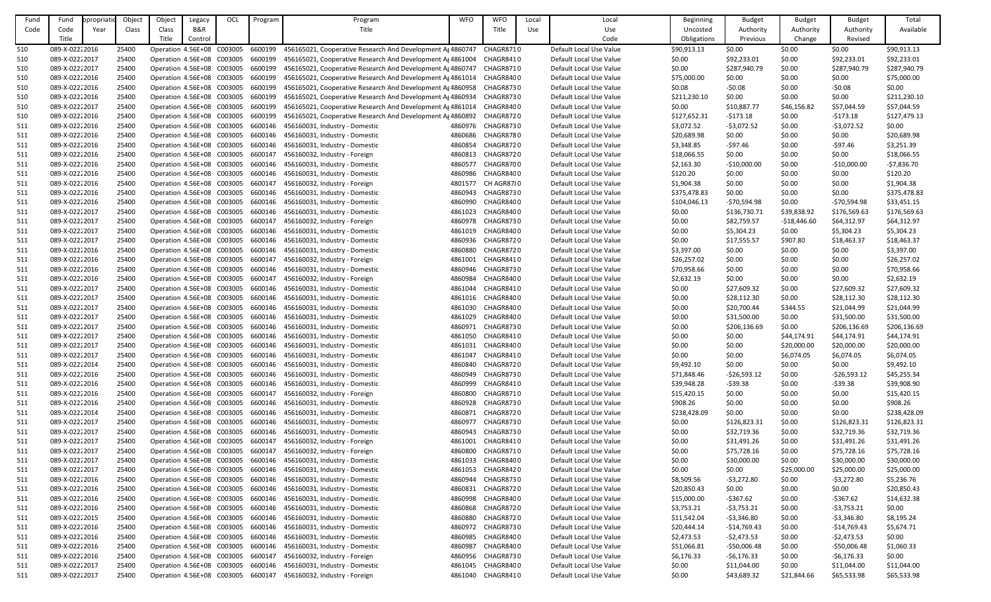| Fund       | Fund           | ppropriati | Objec          | Object                                                   | Legacy  | OCL | Program | Program                                                          | <b>WFO</b> | <b>WFO</b>        | Local | Local                                              | <b>Beginning</b> | <b>Budget</b> | <b>Budget</b>    | <b>Budget</b> | Total                    |
|------------|----------------|------------|----------------|----------------------------------------------------------|---------|-----|---------|------------------------------------------------------------------|------------|-------------------|-------|----------------------------------------------------|------------------|---------------|------------------|---------------|--------------------------|
| Code       | Code           | Year       | Class          | Class                                                    | B&R     |     |         | Title                                                            |            | Title             | Use   | Use                                                | Uncosted         | Authority     | Authority        | Authority     | Available                |
|            | Title          |            |                | Title                                                    | Control |     |         |                                                                  |            |                   |       | Code                                               | Obligations      | Previous      | Change           | Revised       |                          |
| 510        | 089-X-02222016 |            | 25400          | Operation 4.56E+08 C003005                               |         |     | 6600199 | 456165021, Cooperative Research And Development A 4860747        |            | CHAGR8710         |       | Default Local Use Value                            | \$90,913.13      | \$0.00        | \$0.00           | \$0.00        | \$90,913.13              |
| 510        | 089-X-02222017 |            | 25400          | Operation 4.56E+08 C003005                               |         |     | 6600199 | 456165021, Cooperative Research And Development As 4861004       |            | CHAGR8410         |       | Default Local Use Value                            | \$0.00           | \$92,233.01   | \$0.00           | \$92,233.01   | \$92,233.01              |
| 510        | 089-X-02222017 |            | 25400          | Operation 4.56E+08 C003005                               |         |     | 6600199 | 456165021, Cooperative Research And Development Ag4860747        |            | CHAGR8710         |       | Default Local Use Value                            | \$0.00           | \$287,940.79  | \$0.00           | \$287,940.79  | \$287,940.79             |
| 510        | 089-X-02222016 |            | 25400          | Operation 4.56E+08 C003005                               |         |     | 6600199 | 456165021, Cooperative Research And Development Ag 4861014       |            | CHAGR8400         |       | Default Local Use Value                            | \$75,000.00      | \$0.00        | \$0.00           | \$0.00        | \$75,000.00              |
|            | 089-X-02222016 |            | 25400          |                                                          |         |     |         | 456165021, Cooperative Research And Development A 4860958        |            | CHAGR8730         |       | Default Local Use Value                            | \$0.08           | $-50.08$      | \$0.00           | $-50.08$      | \$0.00                   |
| 510        |                |            |                | Operation 4.56E+08 C003005                               |         |     | 6600199 |                                                                  |            |                   |       |                                                    |                  |               |                  |               |                          |
| 510        | 089-X-02222016 |            | 25400          | Operation 4.56E+08 C003005                               |         |     | 6600199 | 456165021, Cooperative Research And Development Ag4860934        |            | CHAGR8730         |       | Default Local Use Value                            | \$211,230.10     | \$0.00        | \$0.00           | \$0.00        | \$211,230.10             |
| 510        | 089-X-02222017 |            | 25400          | Operation 4.56E+08 C003005                               |         |     | 6600199 | 456165021, Cooperative Research And Development Af4861014        |            | CHAGR8400         |       | Default Local Use Value                            | \$0.00           | \$10,887.77   | \$46,156.82      | \$57,044.59   | \$57,044.59              |
| 510        | 089-X-02222016 |            | 25400          | Operation 4.56E+08 C003005                               |         |     | 6600199 | 456165021, Cooperative Research And Development Ag4860892        |            | CHAGR8720         |       | Default Local Use Value                            | \$127,652.31     | $-5173.18$    | \$0.00           | $-5173.18$    | \$127,479.13             |
| 511        | 089-X-02222016 |            | 25400          | Operation 4.56E+08 C003005                               |         |     | 6600146 | 456160031, Industry - Domestic                                   | 4860976    | CHAGR8730         |       | Default Local Use Value                            | \$3,072.52       | $-53,072.52$  | \$0.00           | $-53,072.52$  | \$0.00                   |
| 511        | 089-X-02222016 |            | 25400          | Operation 4.56E+08 C003005                               |         |     | 6600146 | 456160031, Industry - Domestic                                   | 4860686    | CHAGR8780         |       | Default Local Use Value                            | \$20,689.98      | \$0.00        | \$0.00           | \$0.00        | \$20,689.98              |
| 511        | 089-X-02222016 |            | 25400          | Operation 4.56E+08 C003005                               |         |     | 6600146 | 456160031, Industry - Domestic                                   | 4860854    | CHAGR8720         |       | Default Local Use Value                            | \$3,348.85       | $-$ \$97.46   | \$0.00           | $-$97.46$     | \$3,251.39               |
| 511        | 089-X-02222016 |            | 25400          | Operation 4.56E+08 C003005                               |         |     | 6600147 | 456160032, Industry - Foreign                                    | 4860813    | CHAGR8720         |       | Default Local Use Value                            | \$18,066.55      | \$0.00        | \$0.00           | \$0.00        | \$18,066.55              |
| 511        | 089-X-02222016 |            | 25400          | Operation 4.56E+08 C003005                               |         |     | 6600146 | 456160031, Industry - Domestic                                   | 4860577    | CHAGR8700         |       | Default Local Use Value                            | \$2,163.30       | $-$10,000.00$ | \$0.00           | $-$10,000.00$ | $-57,836.70$             |
| 511        | 089-X-02222016 |            | 25400          | Operation 4.56E+08 C003005                               |         |     | 6600146 | 456160031, Industry - Domestic                                   | 4860986    | CHAGR8400         |       | Default Local Use Value                            | \$120.20         | \$0.00        | \$0.00           | \$0.00        | \$120.20                 |
| 511        | 089-X-02222016 |            | 25400          | Operation 4.56E+08 C003005                               |         |     | 6600147 | 456160032, Industry - Foreign                                    | 4801577    | CH AGR8780        |       | Default Local Use Value                            | \$1,904.38       | \$0.00        | \$0.00           | \$0.00        | \$1,904.38               |
| 511        | 089-X-02222016 |            | 25400          | Operation 4.56E+08 C003005                               |         |     | 6600146 | 456160031, Industry - Domestic                                   | 4860943    | CHAGR8730         |       | Default Local Use Value                            | \$375,478.83     | \$0.00        | \$0.00           | \$0.00        | \$375,478.83             |
| 511        | 089-X-02222016 |            | 25400          | Operation 4.56E+08 C003005                               |         |     | 6600146 | 456160031, Industry - Domestic                                   | 4860990    | CHAGR8400         |       | Default Local Use Value                            | \$104,046.13     | $-570,594.98$ | \$0.00           | $-570,594.98$ | \$33,451.15              |
| 511        | 089-X-02222017 |            | 25400          | Operation 4.56E+08 C003005                               |         |     | 6600146 | 456160031, Industry - Domestic                                   | 4861023    | CHAGR8400         |       | Default Local Use Value                            | \$0.00           | \$136,730.71  | \$39,838.92      | \$176,569.63  | \$176,569.63             |
| 511        | 089-X-02222017 |            | 25400          | Operation 4.56E+08 C003005                               |         |     | 6600147 | 456160032, Industry - Foreign                                    | 4860978    | CHAGR8730         |       | Default Local Use Value                            | \$0.00           | \$82,759.57   | -\$18,446.60     | \$64,312.97   | \$64,312.97              |
| 511        | 089-X-02222017 |            | 25400          | Operation 4.56E+08 C003005                               |         |     | 6600146 | 456160031, Industry - Domestic                                   | 4861019    | CHAGR8400         |       | Default Local Use Value                            | \$0.00           | \$5,304.23    | \$0.00           | \$5,304.23    | \$5,304.23               |
| 511        | 089-X-02222017 |            | 25400          | Operation 4.56E+08 C003005                               |         |     | 6600146 | 456160031, Industry - Domestic                                   | 4860936    | CHAGR8720         |       | Default Local Use Value                            | \$0.00           | \$17,555.57   | \$907.80         | \$18,463.37   | \$18,463.37              |
| 511        | 089-X-02222016 |            | 25400          | Operation 4.56E+08 C003005                               |         |     | 6600146 | 456160031, Industry - Domestic                                   | 4860880    | CHAGR8720         |       | Default Local Use Value                            | \$3,397.00       | \$0.00        | \$0.00           | \$0.00        | \$3,397.00               |
| 511        | 089-X-02222016 |            | 25400          | Operation 4.56E+08 C003005                               |         |     | 6600147 | 456160032, Industry - Foreign                                    | 4861001    | CHAGR8410         |       | Default Local Use Value                            | \$26,257.02      | \$0.00        | \$0.00           | \$0.00        | \$26,257.02              |
| 511        | 089-X-02222016 |            | 25400          | Operation 4.56E+08 C003005                               |         |     | 6600146 | 456160031, Industry - Domestic                                   | 4860946    | CHAGR8730         |       | Default Local Use Value                            | \$70,958.66      | \$0.00        | \$0.00           | \$0.00        | \$70,958.66              |
| 511        | 089-X-02222016 |            | 25400          | Operation 4.56E+08 C003005                               |         |     | 6600147 | 456160032, Industry - Foreign                                    | 4860984    | CHAGR8400         |       | Default Local Use Value                            | \$2,632.19       | \$0.00        | \$0.00           | \$0.00        | \$2,632.19               |
| 511        | 089-X-02222017 |            | 25400          | Operation 4.56E+08 C003005                               |         |     | 6600146 | 456160031, Industry - Domestic                                   | 4861044    | CHAGR8410         |       | Default Local Use Value                            | \$0.00           | \$27,609.32   | \$0.00           | \$27,609.32   | \$27,609.32              |
| 511        | 089-X-02222017 |            | 25400          | Operation 4.56E+08 C003005                               |         |     | 6600146 | 456160031, Industry - Domestic                                   | 4861016    | CHAGR8400         |       | Default Local Use Value                            | \$0.00           | \$28,112.30   | \$0.00           | \$28,112.30   | \$28,112.30              |
| 511        | 089-X-02222017 |            | 25400          | Operation 4.56E+08 C003005                               |         |     |         | 6600146 456160031, Industry - Domestic                           | 4861030    | CHAGR8400         |       | Default Local Use Value                            | \$0.00           | \$20,700.44   | \$344.55         | \$21,044.99   | \$21,044.99              |
| 511        | 089-X-02222017 |            | 25400          | Operation 4.56E+08 C003005                               |         |     | 6600146 | 456160031, Industry - Domestic                                   | 4861029    | CHAGR8400         |       | Default Local Use Value                            | \$0.00           | \$31,500.00   | \$0.00           | \$31,500.00   | \$31,500.00              |
| 511        | 089-X-02222017 |            | 25400          | Operation 4.56E+08 C003005                               |         |     | 6600146 | 456160031, Industry - Domestic                                   | 4860971    | CHAGR8730         |       | Default Local Use Value                            | \$0.00           | \$206,136.69  | \$0.00           | \$206,136.69  | \$206,136.69             |
| 511        | 089-X-02222017 |            | 25400          | Operation 4.56E+08 C003005                               |         |     |         | 6600146 456160031, Industry - Domestic                           | 4861050    | CHAGR8410         |       | Default Local Use Value                            | \$0.00           | \$0.00        | \$44,174.91      | \$44,174.91   | \$44,174.91              |
| 511        | 089-X-02222017 |            | 25400          | Operation 4.56E+08 C003005                               |         |     | 6600146 | 456160031, Industry - Domestic                                   | 4861031    | CHAGR8400         |       | Default Local Use Value                            | \$0.00           | \$0.00        | \$20,000.00      | \$20,000.00   | \$20,000.00              |
| 511        | 089-X-02222017 |            | 25400          | Operation 4.56E+08 C003005                               |         |     | 6600146 | 456160031, Industry - Domestic                                   | 4861047    | CHAGR8410         |       | Default Local Use Value                            | \$0.00           | \$0.00        | \$6,074.05       | \$6,074.05    | \$6,074.05               |
| 511        | 089-X-02222014 |            | 25400          | Operation 4.56E+08 C003005                               |         |     | 6600146 | 456160031, Industry - Domestic                                   | 4860840    | CHAGR8720         |       | Default Local Use Value                            | \$9,492.10       | \$0.00        | \$0.00           | \$0.00        | \$9,492.10               |
| 511        | 089-X-02222016 |            | 25400          | Operation 4.56E+08 C003005                               |         |     | 6600146 | 456160031, Industry - Domestic                                   | 4860949    | CHAGR8730         |       | Default Local Use Value                            | \$71,848.46      | $-526,593.12$ | \$0.00           | $-526,593.12$ | \$45,255.34              |
| 511        | 089-X-02222016 |            | 25400          | Operation 4.56E+08 C003005                               |         |     | 6600146 | 456160031, Industry - Domestic                                   | 4860999    | CHAGR8410         |       | Default Local Use Value                            | \$39,948.28      | $-539.38$     | \$0.00           | $-539.38$     | \$39,908.90              |
| 511        | 089-X-02222016 |            | 25400          | Operation 4.56E+08 C003005                               |         |     | 6600147 | 456160032, Industry - Foreign                                    | 4860800    | <b>CHAGR8710</b>  |       | Default Local Use Value                            | \$15,420.15      | \$0.00        | \$0.00           | \$0.00        | \$15,420.15              |
|            | 089-X-02222016 |            |                |                                                          |         |     | 6600146 |                                                                  | 4860928    | CHAGR8730         |       |                                                    | \$908.26         | \$0.00        |                  | \$0.00        |                          |
| 511<br>511 | 089-X-02222014 |            | 25400<br>25400 | Operation 4.56E+08 C003005<br>Operation 4.56E+08 C003005 |         |     | 6600146 | 456160031, Industry - Domestic<br>456160031, Industry - Domestic | 4860871    | CHAGR8720         |       | Default Local Use Value<br>Default Local Use Value | \$238,428.09     | \$0.00        | \$0.00<br>\$0.00 | \$0.00        | \$908.26<br>\$238,428.09 |
|            |                |            |                |                                                          |         |     |         |                                                                  |            |                   |       |                                                    |                  |               |                  |               |                          |
| 511        | 089-X-02222017 |            | 25400          | Operation 4.56E+08 C003005                               |         |     | 6600146 | 456160031, Industry - Domestic                                   | 4860977    | CHAGR8730         |       | Default Local Use Value                            | \$0.00           | \$126,823.31  | \$0.00           | \$126,823.31  | \$126,823.31             |
| 511        | 089-X-02222017 |            | 25400          | Operation 4.56E+08 C003005                               |         |     | 6600146 | 456160031, Industry - Domestic                                   | 4860943    | CHAGR8730         |       | Default Local Use Value                            | \$0.00           | \$32,719.36   | \$0.00           | \$32,719.36   | \$32,719.36              |
| 511        | 089-X-02222017 |            | 25400          | Operation 4.56E+08 C003005                               |         |     | 6600147 | 456160032, Industry - Foreign                                    | 4861001    | CHAGR8410         |       | Default Local Use Value                            | \$0.00           | \$31,491.26   | \$0.00           | \$31,491.26   | \$31,491.26              |
| 511        | 089-X-02222017 |            | 25400          | Operation 4.56E+08 C003005                               |         |     | 6600147 | 456160032, Industry - Foreign                                    | 4860800    | CHAGR8710         |       | Default Local Use Value                            | \$0.00           | \$75,728.16   | \$0.00           | \$75,728.16   | \$75,728.16              |
| 511        | 089-X-02222017 |            | 25400          | Operation 4.56E+08 C003005                               |         |     | 6600146 | 456160031, Industry - Domestic                                   | 4861033    | CHAGR8400         |       | Default Local Use Value                            | \$0.00           | \$30,000.00   | \$0.00           | \$30,000.00   | \$30,000.00              |
| 511        | 089-X-02222017 |            | 25400          | Operation 4.56E+08 C003005                               |         |     | 6600146 | 456160031, Industry - Domestic                                   | 4861053    | CHAGR8420         |       | Default Local Use Value                            | \$0.00           | \$0.00        | \$25,000.00      | \$25,000.00   | \$25,000.00              |
| 511        | 089-X-02222016 |            | 25400          | Operation 4.56E+08 C003005                               |         |     | 6600146 | 456160031, Industry - Domestic                                   | 4860944    | CHAGR8730         |       | Default Local Use Value                            | \$8,509.56       | $-53,272.80$  | \$0.00           | $-53,272.80$  | \$5,236.76               |
| 511        | 089-X-02222016 |            | 25400          | Operation 4.56E+08 C003005                               |         |     | 6600146 | 456160031, Industry - Domestic                                   | 4860831    | CHAGR8720         |       | Default Local Use Value                            | \$20,850.43      | \$0.00        | \$0.00           | \$0.00        | \$20,850.43              |
| 511        | 089-X-02222016 |            | 25400          | Operation 4.56E+08 C003005                               |         |     | 6600146 | 456160031, Industry - Domestic                                   | 4860998    | CHAGR8400         |       | Default Local Use Value                            | \$15,000.00      | $-5367.62$    | \$0.00           | $-5367.62$    | \$14,632.38              |
| 511        | 089-X-02222016 |            | 25400          | Operation 4.56E+08 C003005                               |         |     | 6600146 | 456160031, Industry - Domestic                                   | 4860868    | CHAGR8720         |       | Default Local Use Value                            | \$3,753.21       | $-53,753.21$  | \$0.00           | $-53,753.21$  | \$0.00                   |
| 511        | 089-X-02222015 |            | 25400          | Operation 4.56E+08 C003005                               |         |     | 6600146 | 456160031, Industry - Domestic                                   | 4860880    | CHAGR8720         |       | Default Local Use Value                            | \$11,542.04      | $-53,346.80$  | \$0.00           | $-53,346.80$  | \$8,195.24               |
| 511        | 089-X-02222016 |            | 25400          | Operation 4.56E+08 C003005                               |         |     | 6600146 | 456160031, Industry - Domestic                                   | 4860972    | CHAGR8730         |       | Default Local Use Value                            | \$20,444.14      | $-$14,769.43$ | \$0.00           | $-$14,769.43$ | \$5,674.71               |
| 511        | 089-X-02222016 |            | 25400          | Operation 4.56E+08 C003005                               |         |     | 6600146 | 456160031, Industry - Domestic                                   | 4860985    | CHAGR8400         |       | Default Local Use Value                            | \$2,473.53       | $-52,473.53$  | \$0.00           | $-52,473.53$  | \$0.00                   |
| 511        | 089-X-02222016 |            | 25400          | Operation 4.56E+08 C003005                               |         |     | 6600146 | 456160031, Industry - Domestic                                   | 4860987    | CHAGR8400         |       | Default Local Use Value                            | \$51,066.81      | $-$50,006.48$ | \$0.00           | $-$50,006.48$ | \$1,060.33               |
| 511        | 089-X-02222016 |            | 25400          | Operation 4.56E+08 C003005                               |         |     | 6600147 | 456160032, Industry - Foreign                                    | 4860956    | CHAGR8730         |       | Default Local Use Value                            | \$6,176.33       | $-56,176.33$  | \$0.00           | $-56,176.33$  | \$0.00                   |
| 511        | 089-X-02222017 |            | 25400          | Operation 4.56E+08 C003005                               |         |     | 6600146 | 456160031, Industry - Domestic                                   |            | 4861045 CHAGR8400 |       | Default Local Use Value                            | \$0.00           | \$11,044.00   | \$0.00           | \$11,044.00   | \$11,044.00              |
| 511        | 089-X-02222017 |            | 25400          | Operation 4.56E+08 C003005                               |         |     | 6600147 | 456160032, Industry - Foreign                                    |            | 4861040 CHAGR8410 |       | Default Local Use Value                            | \$0.00           | \$43,689.32   | \$21,844.66      | \$65,533.98   | \$65,533.98              |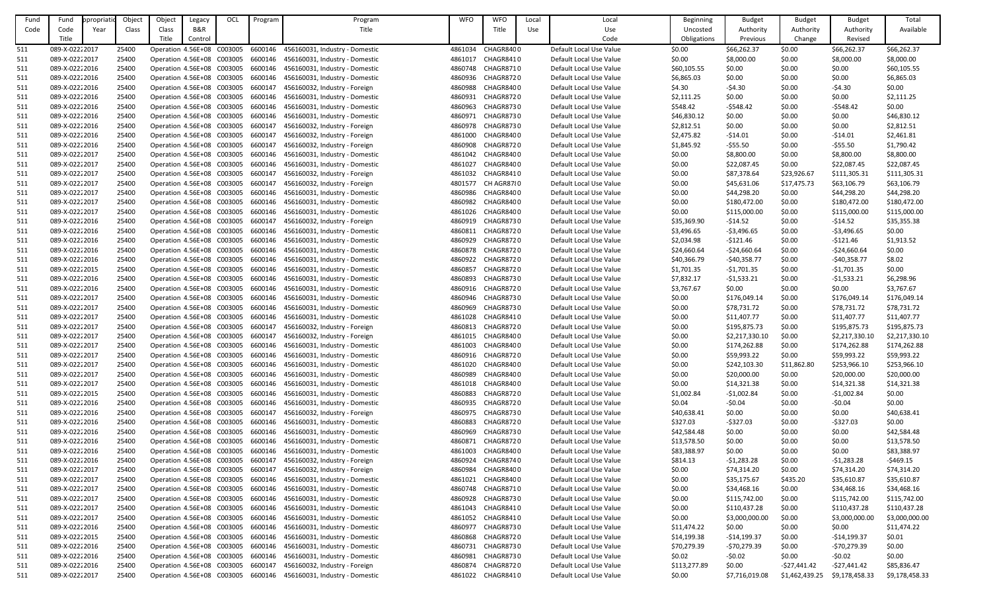| Fund | Fund           | ppropriatio | Object | Object                     | Legacy  | OCL | Program | Program                                                           | <b>WFO</b> | <b>WFO</b>        | Local | Local                   | Beginning    | <b>Budget</b>  | <b>Budget</b>  | <b>Budget</b>  | Total          |
|------|----------------|-------------|--------|----------------------------|---------|-----|---------|-------------------------------------------------------------------|------------|-------------------|-------|-------------------------|--------------|----------------|----------------|----------------|----------------|
| Code | Code           | Year        | Class  | Class                      | B&R     |     |         | Title                                                             |            | Title             | Use   | Use                     | Uncosted     | Authority      | Authority      | Authority      | Available      |
|      | Title          |             |        | Title                      | Control |     |         |                                                                   |            |                   |       | Code                    | Obligations  | Previous       | Change         | Revised        |                |
| 511  | 089-X-02222017 |             | 25400  | Operation 4.56E+08 C003005 |         |     | 6600146 | 456160031, Industry - Domestic                                    | 4861034    | CHAGR8400         |       | Default Local Use Value | \$0.00       | \$66,262.37    | \$0.00         | \$66,262.37    | \$66,262.37    |
| 511  | 089-X-02222017 |             | 25400  | Operation 4.56E+08 C003005 |         |     | 6600146 | 456160031, Industry - Domestic                                    | 4861017    | CHAGR8410         |       | Default Local Use Value | \$0.00       | \$8,000.00     | \$0.00         | \$8,000.00     | \$8,000.00     |
|      | 089-X-02222016 |             | 25400  | Operation 4.56E+08 C003005 |         |     | 6600146 | 456160031, Industry - Domestic                                    | 4860748    | CHAGR8710         |       | Default Local Use Value |              | \$0.00         | \$0.00         |                | \$60,105.55    |
| 511  |                |             |        |                            |         |     |         |                                                                   |            |                   |       |                         | \$60,105.55  |                |                | \$0.00         |                |
| 511  | 089-X-02222016 |             | 25400  | Operation 4.56E+08 C003005 |         |     | 6600146 | 456160031, Industry - Domestic                                    | 4860936    | CHAGR8720         |       | Default Local Use Value | \$6,865.03   | \$0.00         | \$0.00         | \$0.00         | \$6,865.03     |
| 511  | 089-X-02222016 |             | 25400  | Operation 4.56E+08 C003005 |         |     | 6600147 | 456160032, Industry - Foreign                                     | 4860988    | CHAGR8400         |       | Default Local Use Value | \$4.30       | $-54.30$       | \$0.00         | $-54.30$       | \$0.00         |
| 511  | 089-X-02222016 |             | 25400  | Operation 4.56E+08 C003005 |         |     | 6600146 | 456160031, Industry - Domestic                                    | 4860931    | CHAGR8720         |       | Default Local Use Value | \$2,111.25   | \$0.00         | \$0.00         | \$0.00         | \$2,111.25     |
| 511  | 089-X-02222016 |             | 25400  | Operation 4.56E+08 C003005 |         |     | 6600146 | 456160031, Industry - Domestic                                    | 4860963    | CHAGR8730         |       | Default Local Use Value | \$548.42     | $-5548.42$     | \$0.00         | $-5548.42$     | \$0.00         |
| 511  | 089-X-02222016 |             | 25400  | Operation 4.56E+08 C003005 |         |     | 6600146 | 456160031, Industry - Domestic                                    | 4860971    | CHAGR8730         |       | Default Local Use Value | \$46,830.12  | \$0.00         | \$0.00         | \$0.00         | \$46,830.12    |
| 511  | 089-X-02222016 |             | 25400  | Operation 4.56E+08 C003005 |         |     | 6600147 | 456160032, Industry - Foreign                                     | 4860978    | CHAGR8730         |       | Default Local Use Value | \$2,812.51   | \$0.00         | \$0.00         | \$0.00         | \$2,812.51     |
| 511  | 089-X-02222016 |             | 25400  | Operation 4.56E+08 C003005 |         |     | 6600147 | 456160032, Industry - Foreign                                     | 4861000    | CHAGR8400         |       | Default Local Use Value | \$2,475.82   | $-514.01$      | \$0.00         | $-514.01$      | \$2,461.81     |
| 511  | 089-X-02222016 |             | 25400  | Operation 4.56E+08 C003005 |         |     | 6600147 | 456160032, Industry - Foreign                                     | 4860908    | CHAGR8720         |       | Default Local Use Value | \$1,845.92   | -\$55.50       | \$0.00         | $-555.50$      | \$1,790.42     |
| 511  | 089-X-02222017 |             | 25400  | Operation 4.56E+08 C003005 |         |     | 6600146 | 456160031, Industry - Domestic                                    | 4861042    | CHAGR8400         |       | Default Local Use Value | \$0.00       | \$8,800.00     | \$0.00         | \$8,800.00     | \$8,800.00     |
| 511  | 089-X-02222017 |             | 25400  | Operation 4.56E+08 C003005 |         |     | 6600146 | 456160031, Industry - Domestic                                    | 4861027    | CHAGR8400         |       | Default Local Use Value | \$0.00       | \$22,087.45    | \$0.00         | \$22,087.45    | \$22,087.45    |
| 511  | 089-X-02222017 |             | 25400  | Operation 4.56E+08 C003005 |         |     | 6600147 | 456160032, Industry - Foreign                                     | 4861032    | CHAGR8410         |       | Default Local Use Value | \$0.00       | \$87,378.64    | \$23,926.67    | \$111,305.31   | \$111,305.31   |
| 511  | 089-X-02222017 |             | 25400  | Operation 4.56E+08 C003005 |         |     | 6600147 | 456160032, Industry - Foreign                                     | 4801577    | CH AGR8780        |       | Default Local Use Value | \$0.00       | \$45,631.06    | \$17,475.73    | \$63,106.79    | \$63,106.79    |
| 511  | 089-X-02222017 |             | 25400  | Operation 4.56E+08 C003005 |         |     | 6600146 | 456160031, Industry - Domestic                                    | 4860986    | CHAGR8400         |       | Default Local Use Value | \$0.00       | \$44,298.20    | \$0.00         | \$44,298.20    | \$44,298.20    |
| 511  | 089-X-02222017 |             | 25400  | Operation 4.56E+08 C003005 |         |     | 6600146 | 456160031, Industry - Domestic                                    | 4860982    | CHAGR8400         |       | Default Local Use Value | \$0.00       | \$180,472.00   | \$0.00         | \$180,472.00   | \$180,472.00   |
| 511  | 089-X-02222017 |             | 25400  | Operation 4.56E+08 C003005 |         |     | 6600146 | 456160031, Industry - Domestic                                    | 4861026    | CHAGR8400         |       | Default Local Use Value | \$0.00       | \$115,000.00   | \$0.00         | \$115,000.00   | \$115,000.00   |
| 511  | 089-X-02222016 |             | 25400  | Operation 4.56E+08 C003005 |         |     | 6600147 | 456160032, Industry - Foreign                                     | 4860919    | CHAGR8730         |       | Default Local Use Value | \$35,369.90  | -\$14.52       | \$0.00         | $-514.52$      | \$35,355.38    |
| 511  | 089-X-02222016 |             | 25400  | Operation 4.56E+08 C003005 |         |     | 6600146 | 456160031, Industry - Domestic                                    | 4860811    | CHAGR8720         |       | Default Local Use Value | \$3,496.65   | $-53,496.65$   | \$0.00         | $-53,496.65$   | \$0.00         |
| 511  | 089-X-02222016 |             | 25400  | Operation 4.56E+08 C003005 |         |     | 6600146 | 456160031, Industry - Domestic                                    | 4860929    | CHAGR8720         |       | Default Local Use Value | \$2,034.98   | $-5121.46$     | \$0.00         | $-$121.46$     | \$1,913.52     |
| 511  | 089-X-02222016 |             | 25400  | Operation 4.56E+08 C003005 |         |     | 6600146 | 456160031, Industry - Domestic                                    | 4860878    | CHAGR8720         |       | Default Local Use Value | \$24,660.64  | -\$24,660.64   | \$0.00         | $-$24,660.64$  | \$0.00         |
| 511  | 089-X-02222016 |             | 25400  | Operation 4.56E+08 C003005 |         |     | 6600146 | 456160031, Industry - Domestic                                    | 4860922    | CHAGR8720         |       | Default Local Use Value | \$40,366.79  | $-540,358.77$  | \$0.00         | $-$40,358.77$  | \$8.02         |
|      | 089-X-02222015 |             |        |                            |         |     |         |                                                                   |            |                   |       |                         |              |                |                |                |                |
| 511  |                |             | 25400  | Operation 4.56E+08 C003005 |         |     | 6600146 | 456160031, Industry - Domestic                                    | 4860857    | CHAGR8720         |       | Default Local Use Value | \$1,701.35   | $-51,701.35$   | \$0.00         | $-$1,701.35$   | \$0.00         |
| 511  | 089-X-02222016 |             | 25400  | Operation 4.56E+08 C003005 |         |     | 6600146 | 456160031, Industry - Domestic                                    | 4860893    | CHAGR8730         |       | Default Local Use Value | \$7,832.17   | $-51,533.21$   | \$0.00         | $-51,533.21$   | \$6,298.96     |
| 511  | 089-X-02222016 |             | 25400  | Operation 4.56E+08 C003005 |         |     | 6600146 | 456160031, Industry - Domestic                                    | 4860916    | CHAGR8720         |       | Default Local Use Value | \$3,767.67   | \$0.00         | \$0.00         | \$0.00         | \$3,767.67     |
| 511  | 089-X-02222017 |             | 25400  | Operation 4.56E+08 C003005 |         |     | 6600146 | 456160031, Industry - Domestic                                    | 4860946    | <b>CHAGR8730</b>  |       | Default Local Use Value | \$0.00       | \$176,049.14   | \$0.00         | \$176,049.14   | \$176,049.14   |
| 511  | 089-X-02222017 |             | 25400  | Operation 4.56E+08 C003005 |         |     |         | 6600146 456160031, Industry - Domestic                            | 4860969    | CHAGR8730         |       | Default Local Use Value | \$0.00       | \$78,731.72    | \$0.00         | \$78,731.72    | \$78,731.72    |
| 511  | 089-X-02222017 |             | 25400  | Operation 4.56E+08 C003005 |         |     | 6600146 | 456160031, Industry - Domestic                                    | 4861028    | CHAGR8410         |       | Default Local Use Value | \$0.00       | \$11,407.77    | \$0.00         | \$11,407.77    | \$11,407.77    |
| 511  | 089-X-02222017 |             | 25400  | Operation 4.56E+08 C003005 |         |     | 6600147 | 456160032, Industry - Foreign                                     | 4860813    | CHAGR8720         |       | Default Local Use Value | \$0.00       | \$195,875.73   | \$0.00         | \$195,875.73   | \$195,875.73   |
| 511  | 089-X-02222017 |             | 25400  | Operation 4.56E+08 C003005 |         |     | 6600147 | 456160032, Industry - Foreign                                     |            | 4861015 CHAGR8400 |       | Default Local Use Value | \$0.00       | \$2,217,330.10 | \$0.00         | \$2,217,330.10 | \$2,217,330.10 |
| 511  | 089-X-02222017 |             | 25400  | Operation 4.56E+08 C003005 |         |     | 6600146 | 456160031, Industry - Domestic                                    | 4861003    | CHAGR8400         |       | Default Local Use Value | \$0.00       | \$174,262.88   | \$0.00         | \$174,262.88   | \$174,262.88   |
| 511  | 089-X-02222017 |             | 25400  | Operation 4.56E+08 C003005 |         |     | 6600146 | 456160031, Industry - Domestic                                    | 4860916    | CHAGR8720         |       | Default Local Use Value | \$0.00       | \$59,993.22    | \$0.00         | \$59,993.22    | \$59,993.22    |
| 511  | 089-X-02222017 |             | 25400  | Operation 4.56E+08 C003005 |         |     | 6600146 | 456160031, Industry - Domestic                                    | 4861020    | CHAGR8400         |       | Default Local Use Value | \$0.00       | \$242,103.30   | \$11,862.80    | \$253,966.10   | \$253,966.10   |
| 511  | 089-X-02222017 |             | 25400  | Operation 4.56E+08 C003005 |         |     | 6600146 | 456160031, Industry - Domestic                                    | 4860989    | CHAGR8400         |       | Default Local Use Value | \$0.00       | \$20,000.00    | \$0.00         | \$20,000.00    | \$20,000.00    |
| 511  | 089-X-02222017 |             | 25400  | Operation 4.56E+08 C003005 |         |     | 6600146 | 456160031, Industry - Domestic                                    | 4861018    | CHAGR8400         |       | Default Local Use Value | \$0.00       | \$14,321.38    | \$0.00         | \$14,321.38    | \$14,321.38    |
| 511  | 089-X-02222015 |             | 25400  | Operation 4.56E+08 C003005 |         |     | 6600146 | 456160031, Industry - Domestic                                    | 4860883    | CHAGR8720         |       | Default Local Use Value | \$1,002.84   | $-51,002.84$   | \$0.00         | $-$1,002.84$   | \$0.00         |
| 511  | 089-X-02222016 |             | 25400  | Operation 4.56E+08 C003005 |         |     | 6600146 | 456160031, Industry - Domestic                                    | 4860935    | CHAGR8720         |       | Default Local Use Value | \$0.04       | $-50.04$       | \$0.00         | $-50.04$       | \$0.00         |
| 511  | 089-X-02222016 |             | 25400  | Operation 4.56E+08 C003005 |         |     | 6600147 | 456160032, Industry - Foreign                                     | 4860975    | CHAGR8730         |       | Default Local Use Value | \$40,638.41  | \$0.00         | \$0.00         | \$0.00         | \$40,638.41    |
| 511  | 089-X-02222016 |             | 25400  | Operation 4.56E+08 C003005 |         |     | 6600146 | 456160031, Industry - Domestic                                    | 4860883    | CHAGR8720         |       | Default Local Use Value | \$327.03     | $-5327.03$     | \$0.00         | $-5327.03$     | \$0.00         |
| 511  | 089-X-02222016 |             | 25400  | Operation 4.56E+08 C003005 |         |     | 6600146 | 456160031, Industry - Domestic                                    | 4860969    | CHAGR8730         |       | Default Local Use Value | \$42,584.48  | \$0.00         | \$0.00         | \$0.00         | \$42,584.48    |
| 511  | 089-X-02222016 |             | 25400  | Operation 4.56E+08 C003005 |         |     | 6600146 | 456160031, Industry - Domestic                                    | 4860871    | CHAGR8720         |       | Default Local Use Value | \$13,578.50  | \$0.00         | \$0.00         | \$0.00         | \$13,578.50    |
| 511  | 089-X-02222016 |             | 25400  | Operation 4.56E+08 C003005 |         |     | 6600146 | 456160031, Industry - Domestic                                    | 4861003    | CHAGR8400         |       | Default Local Use Value | \$83,388.97  | \$0.00         | \$0.00         | \$0.00         | \$83,388.97    |
| 511  | 089-X-02222016 |             | 25400  | Operation 4.56E+08 C003005 |         |     | 6600147 | 456160032, Industry - Foreign                                     | 4860924    | CHAGR8740         |       | Default Local Use Value | \$814.13     | $-51,283.28$   | \$0.00         | $-51,283.28$   | $-5469.15$     |
| 511  | 089-X-02222017 |             | 25400  | Operation 4.56E+08 C003005 |         |     | 6600147 | 456160032, Industry - Foreign                                     | 4860984    | CHAGR8400         |       | Default Local Use Value | \$0.00       | \$74,314.20    | \$0.00         | \$74,314.20    | \$74,314.20    |
| 511  | 089-X-02222017 |             | 25400  | Operation 4.56E+08 C003005 |         |     | 6600146 | 456160031, Industry - Domestic                                    | 4861021    | CHAGR8400         |       | Default Local Use Value | \$0.00       | \$35,175.67    | \$435.20       | \$35,610.87    | \$35,610.87    |
|      | 089-X-02222017 |             |        |                            |         |     | 6600146 | 456160031, Industry - Domestic                                    |            | 4860748 CHAGR8710 |       | Default Local Use Value |              |                |                | \$34,468.16    |                |
| 511  |                |             | 25400  | Operation 4.56E+08 C003005 |         |     | 6600146 |                                                                   |            |                   |       |                         | \$0.00       | \$34,468.16    | \$0.00         |                | \$34,468.16    |
| 511  | 089-X-02222017 |             | 25400  | Operation 4.56E+08 C003005 |         |     |         | 456160031, Industry - Domestic                                    | 4860928    | CHAGR8730         |       | Default Local Use Value | \$0.00       | \$115,742.00   | \$0.00         | \$115,742.00   | \$115,742.00   |
| 511  | 089-X-02222017 |             | 25400  | Operation 4.56E+08 C003005 |         |     | 6600146 | 456160031, Industry - Domestic                                    | 4861043    | CHAGR8410         |       | Default Local Use Value | \$0.00       | \$110,437.28   | \$0.00         | \$110,437.28   | \$110,437.28   |
| 511  | 089-X-02222017 |             | 25400  | Operation 4.56E+08 C003005 |         |     | 6600146 | 456160031, Industry - Domestic                                    | 4861052    | CHAGR8410         |       | Default Local Use Value | \$0.00       | \$3,000,000.00 | \$0.00         | \$3,000,000.00 | \$3,000,000.00 |
| 511  | 089-X-02222016 |             | 25400  | Operation 4.56E+08 C003005 |         |     | 6600146 | 456160031, Industry - Domestic                                    | 4860977    | CHAGR8730         |       | Default Local Use Value | \$11,474.22  | \$0.00         | \$0.00         | \$0.00         | \$11,474.22    |
| 511  | 089-X-02222015 |             | 25400  | Operation 4.56E+08 C003005 |         |     | 6600146 | 456160031, Industry - Domestic                                    | 4860868    | CHAGR8720         |       | Default Local Use Value | \$14,199.38  | $-$14,199.37$  | \$0.00         | $-$14,199.37$  | \$0.01         |
| 511  | 089-X-02222016 |             | 25400  | Operation 4.56E+08 C003005 |         |     | 6600146 | 456160031, Industry - Domestic                                    | 4860731    | CHAGR8730         |       | Default Local Use Value | \$70,279.39  | -\$70,279.39   | \$0.00         | $-570,279.39$  | \$0.00         |
| 511  | 089-X-02222016 |             | 25400  | Operation 4.56E+08 C003005 |         |     | 6600146 | 456160031, Industry - Domestic                                    | 4860981    | CHAGR8730         |       | Default Local Use Value | \$0.02       | $-50.02$       | \$0.00         | $-50.02$       | \$0.00         |
| 511  | 089-X-02222016 |             | 25400  | Operation 4.56E+08 C003005 |         |     | 6600147 | 456160032, Industry - Foreign                                     | 4860874    | CHAGR8720         |       | Default Local Use Value | \$113,277.89 | \$0.00         | -\$27,441.42   | $-527,441.42$  | \$85,836.47    |
| 511  | 089-X-02222017 |             | 25400  |                            |         |     |         | Operation 4.56E+08 C003005 6600146 456160031, Industry - Domestic |            | 4861022 CHAGR8410 |       | Default Local Use Value | \$0.00       | \$7,716,019.08 | \$1,462,439.25 | \$9,178,458.33 | \$9,178,458.33 |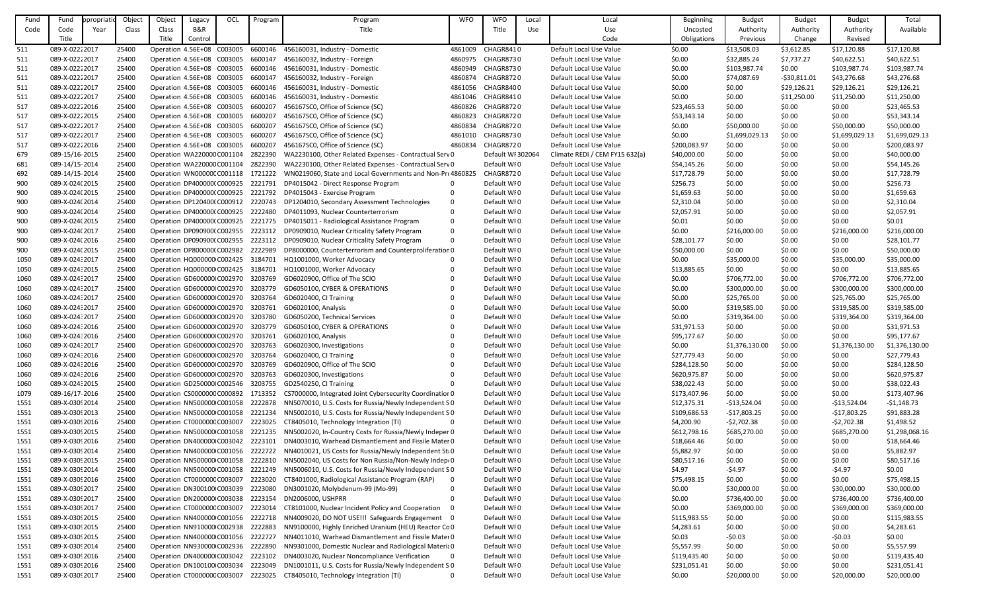| Fund | Fund            | ppropriati | Objec | Object                             | Legacy  | OCL | Program | Program                                                    | <b>WFO</b>   | <b>WFO</b>        | Local | Local                          | Beginning    | <b>Budget</b>  | <b>Budget</b> | <b>Budget</b>  | Total          |
|------|-----------------|------------|-------|------------------------------------|---------|-----|---------|------------------------------------------------------------|--------------|-------------------|-------|--------------------------------|--------------|----------------|---------------|----------------|----------------|
| Code | Code            | Year       | Class | Class                              | B&R     |     |         | Title                                                      |              | Title             | Use   | Use                            | Uncosted     | Authority      | Authority     | Authority      | Available      |
|      | Title           |            |       | Title                              | Control |     |         |                                                            |              |                   |       | Code                           | Obligations  | Previous       | Change        | Revised        |                |
| 511  | 089-X-02222017  |            | 25400 | Operation 4.56E+08 C003005         |         |     | 6600146 | 456160031, Industry - Domestic                             | 4861009      | CHAGR8410         |       | Default Local Use Value        | \$0.00       | \$13,508.03    | \$3,612.85    | \$17,120.88    | \$17,120.88    |
| 511  | 089-X-02222017  |            | 25400 | Operation 4.56E+08 C003005         |         |     | 6600147 | 456160032, Industry - Foreign                              | 4860975      | CHAGR8730         |       | Default Local Use Value        | \$0.00       | \$32,885.24    | \$7,737.27    | \$40,622.51    | \$40,622.51    |
|      | 089-X-02222017  |            | 25400 | Operation 4.56E+08 C003005         |         |     | 6600146 | 456160031, Industry - Domestic                             | 4860949      | CHAGR8730         |       | Default Local Use Value        | \$0.00       |                |               | \$103,987.74   | \$103,987.74   |
| 511  |                 |            |       |                                    |         |     |         |                                                            |              |                   |       |                                |              | \$103,987.74   | \$0.00        |                |                |
| 511  | 089-X-02222017  |            | 25400 | Operation 4.56E+08 C003005         |         |     | 6600147 | 456160032, Industry - Foreign                              | 4860874      | CHAGR8720         |       | Default Local Use Value        | \$0.00       | \$74,087.69    | $-530,811.01$ | \$43,276.68    | \$43,276.68    |
| 511  | 089-X-02222017  |            | 25400 | Operation 4.56E+08 C003005         |         |     | 6600146 | 456160031, Industry - Domestic                             | 4861056      | CHAGR8400         |       | Default Local Use Value        | \$0.00       | \$0.00         | \$29,126.21   | \$29,126.21    | \$29,126.21    |
| 511  | 089-X-02222017  |            | 25400 | Operation 4.56E+08 C003005         |         |     | 6600146 | 456160031, Industry - Domestic                             | 4861046      | CHAGR8410         |       | Default Local Use Value        | \$0.00       | \$0.00         | \$11,250.00   | \$11,250.00    | \$11,250.00    |
| 517  | 089-X-02222016  |            | 25400 | Operation 4.56E+08 C003005         |         |     | 6600207 | 456167SC0, Office of Science (SC)                          | 4860826      | CHAGR8720         |       | Default Local Use Value        | \$23,465.53  | \$0.00         | \$0.00        | \$0.00         | \$23,465.53    |
| 517  | 089-X-02222015  |            | 25400 | Operation 4.56E+08 C003005         |         |     | 6600207 | 456167SC0, Office of Science (SC)                          | 4860823      | CHAGR8720         |       | Default Local Use Value        | \$53,343.14  | \$0.00         | \$0.00        | \$0.00         | \$53,343.14    |
| 517  | 089-X-02222017  |            | 25400 | Operation 4.56E+08 C003005         |         |     | 6600207 | 456167SC0, Office of Science (SC)                          | 4860834      | CHAGR8720         |       | Default Local Use Value        | \$0.00       | \$50,000.00    | \$0.00        | \$50,000.00    | \$50,000.00    |
| 517  | 089-X-02222017  |            | 25400 | Operation 4.56E+08 C003005         |         |     | 6600207 | 456167SC0, Office of Science (SC)                          | 4861010      | CHAGR8730         |       | Default Local Use Value        | \$0.00       | \$1,699,029.13 | \$0.00        | \$1,699,029.13 | \$1,699,029.13 |
| 517  | 089-X-02222016  |            | 25400 | Operation 4.56E+08 C003005         |         |     | 6600207 | 456167SC0, Office of Science (SC)                          | 4860834      | <b>CHAGR8720</b>  |       | Default Local Use Value        | \$200,083.97 | \$0.00         | \$0.00        | \$0.00         | \$200,083.97   |
| 679  | 089-15/16-2015  |            | 25400 | Operation WA220000 C001104         |         |     | 2822390 | WA2230100, Other Related Expenses - Contractual Serv 0     |              | Default WI 302064 |       | Climate REDI / CEM FY15 632(a) | \$40,000.00  | \$0.00         | \$0.00        | \$0.00         | \$40,000.00    |
| 681  | 089-14/15-2014  |            | 25400 | Operation WA220000 C001104         |         |     | 2822390 | WA2230100, Other Related Expenses - Contractual Serv 0     |              | Default WI0       |       | Default Local Use Value        | \$54,145.26  | \$0.00         | \$0.00        | \$0.00         | \$54,145.26    |
| 692  | 089-14/15-2014  |            | 25400 | Operation WN00000CC001118          |         |     | 1721222 | WN0219060, State and Local Governments and Non-Pro 4860825 |              | CHAGR8720         |       | Default Local Use Value        | \$17,728.79  | \$0.00         | \$0.00        | \$0.00         | \$17,728.79    |
| 900  | 089-X-024(2015  |            | 25400 | Operation DP400000(C000925         |         |     | 2221791 | DP4015042 - Direct Response Program                        |              | Default WI0       |       | Default Local Use Value        | \$256.73     | \$0.00         | \$0.00        | \$0.00         | \$256.73       |
| 900  | 089-X-024(2015  |            | 25400 | Operation DP400000(C000925         |         |     | 2221792 | DP4015043 - Exercise Program                               | $\Omega$     | Default WI0       |       | Default Local Use Value        | \$1,659.63   | \$0.00         | \$0.00        | \$0.00         | \$1,659.63     |
| 900  | 089-X-024(2014  |            | 25400 | Operation DP120400(C000912         |         |     | 2220743 | DP1204010, Secondary Assessment Technologies               | 0            | Default WI0       |       | Default Local Use Value        | \$2,310.04   | \$0.00         | \$0.00        | \$0.00         | \$2,310.04     |
| 900  | 089-X-024(2014  |            | 25400 | Operation DP400000(C000925         |         |     | 2222480 | DP4011093, Nuclear Counterterrorism                        | $\Omega$     | Default WI0       |       | Default Local Use Value        | \$2,057.91   | \$0.00         | \$0.00        | \$0.00         | \$2,057.91     |
| 900  | 089-X-024(2015  |            | 25400 | Operation DP400000(C000925         |         |     | 2221775 | DP4015011 - Radiological Assistance Program                | $\Omega$     | Default WI0       |       | Default Local Use Value        | \$0.01       | \$0.00         | \$0.00        | \$0.00         | \$0.01         |
| 900  | 089-X-024(2017  |            | 25400 | Operation DP090900(C002955         |         |     | 2223112 | DP0909010, Nuclear Criticality Safety Program              | $\Omega$     | Default WI0       |       | Default Local Use Value        | \$0.00       | \$216,000.00   | \$0.00        | \$216,000.00   | \$216,000.00   |
| 900  | 089-X-024(2016  |            | 25400 | Operation DP090900(C002955         |         |     | 2223112 | DP0909010, Nuclear Criticality Safety Program              | $\Omega$     | Default WI0       |       | Default Local Use Value        | \$28,101.77  | \$0.00         | \$0.00        | \$0.00         | \$28,101.77    |
| 900  | 089-X-024(2015  |            | 25400 | Operation DP800000(C002982         |         |     | 2222989 | DP8000000, Counterterrorism and Counterproliferation 0     |              | Default WI0       |       | Default Local Use Value        | \$50,000.00  | \$0.00         | \$0.00        | \$0.00         | \$50,000.00    |
| 1050 | 089-X-024:2017  |            | 25400 | Operation HQ000000 C002425         |         |     | 3184701 | HQ1001000, Worker Advocacy                                 | $\Omega$     | Default WI0       |       | Default Local Use Value        | \$0.00       | \$35,000.00    | \$0.00        | \$35,000.00    | \$35,000.00    |
| 1050 | 089-X-024:2015  |            | 25400 | Operation HQ000000 C002425         |         |     | 3184701 | HQ1001000, Worker Advocacy                                 | $\Omega$     | Default WI0       |       | Default Local Use Value        | \$13,885.65  | \$0.00         | \$0.00        | \$0.00         | \$13,885.65    |
|      | 089-X-024: 2017 |            | 25400 | Operation GD600000 C002970         |         |     | 3203769 | GD6020900, Office of The SCIO                              |              | Default WI0       |       |                                | \$0.00       | \$706,772.00   | \$0.00        | \$706,772.00   | \$706,772.00   |
| 1060 | 089-X-024:2017  |            |       |                                    |         |     |         |                                                            | $\Omega$     | Default WI0       |       | Default Local Use Value        |              |                |               |                |                |
| 1060 |                 |            | 25400 | Operation GD600000 C002970         |         |     | 3203779 | GD6050100, CYBER & OPERATIONS                              |              |                   |       | Default Local Use Value        | \$0.00       | \$300,000.00   | \$0.00        | \$300,000.00   | \$300,000.00   |
| 1060 | 089-X-024:2017  |            | 25400 | Operation GD600000 C002970         |         |     | 3203764 | GD6020400, CI Training                                     | $\Omega$     | Default WI0       |       | Default Local Use Value        | \$0.00       | \$25,765.00    | \$0.00        | \$25,765.00    | \$25,765.00    |
| 1060 | 089-X-024: 2017 |            | 25400 | Operation GD600000 C002970 3203761 |         |     |         | GD6020100, Analysis                                        | $\Omega$     | Default WI0       |       | Default Local Use Value        | \$0.00       | \$319,585.00   | \$0.00        | \$319,585.00   | \$319,585.00   |
| 1060 | 089-X-024:2017  |            | 25400 | Operation GD600000(C002970         |         |     | 3203780 | GD6050200, Technical Services                              |              | Default WI0       |       | Default Local Use Value        | \$0.00       | \$319,364.00   | \$0.00        | \$319,364.00   | \$319,364.00   |
| 1060 | 089-X-024:2016  |            | 25400 | Operation GD600000 C002970         |         |     | 3203779 | GD6050100, CYBER & OPERATIONS                              |              | Default WI0       |       | Default Local Use Value        | \$31,971.53  | \$0.00         | \$0.00        | \$0.00         | \$31,971.53    |
| 1060 | 089-X-024: 2016 |            | 25400 | Operation GD600000(C002970 3203761 |         |     |         | GD6020100, Analysis                                        |              | Default WI0       |       | Default Local Use Value        | \$95,177.67  | \$0.00         | \$0.00        | \$0.00         | \$95,177.67    |
| 1060 | 089-X-024:2017  |            | 25400 | Operation GD600000 C002970         |         |     | 3203763 | GD6020300, Investigations                                  |              | Default WI0       |       | Default Local Use Value        | \$0.00       | \$1,376,130.00 | \$0.00        | \$1,376,130.00 | \$1,376,130.00 |
| 1060 | 089-X-024: 2016 |            | 25400 | Operation GD600000(C002970         |         |     | 3203764 | GD6020400, CI Training                                     |              | Default WI0       |       | Default Local Use Value        | \$27,779.43  | \$0.00         | \$0.00        | \$0.00         | \$27,779.43    |
| 1060 | 089-X-024: 2016 |            | 25400 | Operation GD600000(C002970         |         |     | 3203769 | GD6020900, Office of The SCIO                              |              | Default WI0       |       | Default Local Use Value        | \$284,128.50 | \$0.00         | \$0.00        | \$0.00         | \$284,128.50   |
| 1060 | 089-X-024: 2016 |            | 25400 | Operation GD600000(C002970         |         |     | 3203763 | GD6020300, Investigations                                  |              | Default WI0       |       | Default Local Use Value        | \$620,975.87 | \$0.00         | \$0.00        | \$0.00         | \$620,975.87   |
| 1060 | 089-X-024: 2015 |            | 25400 | Operation GD250000 C002546         |         |     | 3203755 | GD2540250, CI Training                                     |              | Default WI0       |       | Default Local Use Value        | \$38,022.43  | \$0.00         | \$0.00        | \$0.00         | \$38,022.43    |
| 1079 | 089-16/17-2016  |            | 25400 | Operation CS0000000 C000892        |         |     | 1713352 | CS7000000, Integrated Joint Cybersecurity Coordinatior 0   |              | Default WI0       |       | Default Local Use Value        | \$173,407.96 | \$0.00         | \$0.00        | \$0.00         | \$173,407.96   |
| 1551 | 089-X-03092014  |            | 25400 | Operation NN500000 C001058         |         |     | 2222878 | NN5070010, U.S. Costs for Russia/Newly Independent SO      |              | Default WI0       |       | Default Local Use Value        | \$12,375.31  | $-$13,524.04$  | \$0.00        | $-$13,524.04$  | $-51,148.73$   |
| 1551 | 089-X-03092013  |            | 25400 | Operation NN500000 C001058         |         |     | 2221234 | NN5002010, U.S. Costs for Russia/Newly Independent SO      |              | Default WI0       |       | Default Local Use Value        | \$109,686.53 | $-$17,803.25$  | \$0.00        | $-$17,803.25$  | \$91,883.28    |
| 1551 | 089-X-0309 2016 |            | 25400 | Operation CT000000C C003007        |         |     | 2223025 | CT8405010, Technology Integration (TI)                     | $\Omega$     | Default WI0       |       | Default Local Use Value        | \$4,200.90   | $-52,702.38$   | \$0.00        | $-52,702.38$   | \$1,498.52     |
| 1551 | 089-X-0309 2015 |            | 25400 | Operation NN500000 C001058         |         |     | 2221235 | NN5002020, In-Country Costs for Russia/Newly Indeper 0     |              | Default WI0       |       | Default Local Use Value        | \$612,798.16 | \$685,270.00   | \$0.00        | \$685,270.00   | \$1,298,068.16 |
| 1551 | 089-X-0309 2016 |            | 25400 | Operation DN400000 C003042         |         |     | 2223101 | DN4003010, Warhead Dismantlement and Fissile Mater 0       |              | Default WI0       |       | Default Local Use Value        | \$18,664.46  | \$0.00         | \$0.00        | \$0.00         | \$18,664.46    |
| 1551 | 089-X-03092014  |            | 25400 | Operation NN400000 C001056         |         |     | 2222722 | NN4010021, US Costs for Russia/Newly Independent Sta0      |              | Default WI0       |       | Default Local Use Value        | \$5,882.97   | \$0.00         | \$0.00        | \$0.00         | \$5,882.97     |
| 1551 | 089-X-03092015  |            | 25400 | Operation NN500000 C001058         |         |     | 2222810 | NN5002040, US Costs for Non Russia/Non-Newly Indep(0)      |              | Default WI0       |       | Default Local Use Value        | \$80,517.16  | \$0.00         | \$0.00        | \$0.00         | \$80,517.16    |
| 1551 | 089-X-03092014  |            | 25400 | Operation NN500000 C001058         |         |     | 2221249 | NN5006010, U.S. Costs for Russia/Newly Independent SO      |              | Default WI0       |       | Default Local Use Value        | \$4.97       | $-54.97$       | \$0.00        | $-54.97$       | \$0.00         |
| 1551 | 089-X-0309 2016 |            | 25400 | Operation CT000000C C003007        |         |     | 2223020 | CT8401000, Radiological Assistance Program (RAP)           | $\mathbf{0}$ | Default WI0       |       | Default Local Use Value        | \$75,498.15  | \$0.00         | \$0.00        | \$0.00         | \$75,498.15    |
| 1551 | 089-X-03092017  |            | 25400 | Operation DN300100 C003039         |         |     | 2223080 | DN3001020, Molybdenum-99 (Mo-99)                           | $\Omega$     | Default WI0       |       | Default Local Use Value        | \$0.00       | \$30,000.00    | \$0.00        | \$30,000.00    | \$30,000.00    |
| 1551 | 089-X-03092017  |            | 25400 | Operation DN200000 C003038         |         |     | 2223154 | DN2006000, USHPRR                                          | $\Omega$     | Default WI0       |       | Default Local Use Value        | \$0.00       | \$736,400.00   | \$0.00        | \$736,400.00   | \$736,400.00   |
| 1551 | 089-X-03092017  |            | 25400 | Operation CT000000C C003007        |         |     | 2223014 | CT8101000, Nuclear Incident Policy and Cooperation         |              | Default WI0       |       | Default Local Use Value        | \$0.00       | \$369,000.00   | \$0.00        | \$369,000.00   | \$369,000.00   |
| 1551 | 089-X-03092015  |            | 25400 | Operation NN400000 C001056         |         |     | 2222718 | NN4009020, DO NOT USE!!! Safeguards Engagement 0           |              | Default WI0       |       | Default Local Use Value        | \$115,983.55 | \$0.00         | \$0.00        | \$0.00         | \$115,983.55   |
| 1551 | 089-X-0309 2015 |            | 25400 | Operation NN910000 C002938         |         |     | 2222883 | NN9100000, Highly Enriched Uranium (HEU) Reactor CoO       |              | Default WI0       |       | Default Local Use Value        | \$4,283.61   | \$0.00         | \$0.00        | \$0.00         | \$4,283.61     |
|      |                 |            |       |                                    |         |     | 2222727 |                                                            |              | Default WI0       |       | Default Local Use Value        | \$0.03       |                |               |                |                |
| 1551 | 089-X-0309 2015 |            | 25400 | Operation NN400000 C001056         |         |     |         | NN4011010, Warhead Dismantlement and Fissile Mater 0       |              |                   |       |                                |              | $-50.03$       | \$0.00        | $-50.03$       | \$0.00         |
| 1551 | 089-X-03092014  |            | 25400 | Operation NN930000 C002936         |         |     | 2222890 | NN9301000, Domestic Nuclear and Radiological Materia 0     |              | Default WI0       |       | Default Local Use Value        | \$5,557.99   | \$0.00         | \$0.00        | \$0.00         | \$5,557.99     |
| 1551 | 089-X-0309 2016 |            | 25400 | Operation DN400000 C003042         |         |     | 2223102 | DN4003020, Nuclear Noncompliance Verification              | 0            | Default WI0       |       | Default Local Use Value        | \$119,435.40 | \$0.00         | \$0.00        | \$0.00         | \$119,435.40   |
| 1551 | 089-X-0309 2016 |            | 25400 | Operation DN100100 C003034         |         |     | 2223049 | DN1001011, U.S. Costs for Russia/Newly Independent S 0     |              | Default WI0       |       | Default Local Use Value        | \$231,051.41 | \$0.00         | \$0.00        | \$0.00         | \$231,051.41   |
| 1551 | 089-X-03092017  |            | 25400 | Operation CT000000C C003007        |         |     | 2223025 | CT8405010, Technology Integration (TI)                     | $\Omega$     | Default WI0       |       | Default Local Use Value        | \$0.00       | \$20,000.00    | \$0.00        | \$20,000.00    | \$20,000.00    |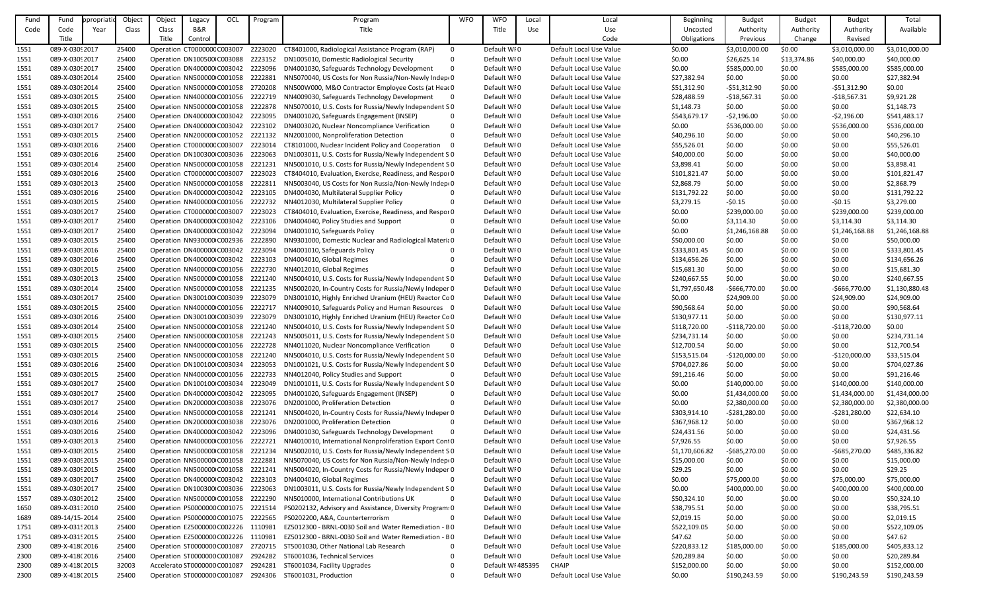| Fund | Fund            | ppropriati | Object | Object                       | Legacy  | OCL | Program | Program                                                  | <b>WFO</b>  | <b>WFO</b>        | Local | Local                   | Beginning      | <b>Budget</b>  | <b>Budget</b> | <b>Budget</b>  | Total          |
|------|-----------------|------------|--------|------------------------------|---------|-----|---------|----------------------------------------------------------|-------------|-------------------|-------|-------------------------|----------------|----------------|---------------|----------------|----------------|
| Code | Code            | Year       | Class  | Class                        | B&R     |     |         | Title                                                    |             | Title             | Use   | Use                     | Uncosted       | Authority      | Authority     | Authority      | Available      |
|      | Title           |            |        | Title                        | Control |     |         |                                                          |             |                   |       | Code                    | Obligations    | Previous       | Change        | Revised        |                |
| 1551 | 089-X-03092017  |            | 25400  | Operation CT000000C C003007  |         |     | 2223020 | CT8401000, Radiological Assistance Program (RAP)         | 0           | Default WI0       |       | Default Local Use Value | \$0.00         | \$3,010,000.00 | \$0.00        | \$3,010,000.00 | \$3,010,000.00 |
|      | 089-X-0309 2017 |            | 25400  | Operation DN100500 C003088   |         |     | 2223152 |                                                          | $\Omega$    | Default WI0       |       | Default Local Use Value | \$0.00         |                | \$13,374.86   | \$40,000.00    | \$40,000.00    |
| 1551 |                 |            |        |                              |         |     |         | DN1005010, Domestic Radiological Security                |             |                   |       |                         |                | \$26,625.14    |               |                |                |
| 1551 | 089-X-0309 2017 |            | 25400  | Operation DN400000 C003042   |         |     | 2223096 | DN4001030, Safeguards Technology Development             | $\Omega$    | Default WI0       |       | Default Local Use Value | \$0.00         | \$585,000.00   | \$0.00        | \$585,000.00   | \$585,000.00   |
| 1551 | 089-X-03092014  |            | 25400  | Operation NN500000 C001058   |         |     | 2222881 | NN5070040, US Costs for Non Russia/Non-Newly Indep(0)    |             | Default WI0       |       | Default Local Use Value | \$27,382.94    | \$0.00         | \$0.00        | \$0.00         | \$27,382.94    |
| 1551 | 089-X-0309 2014 |            | 25400  | Operation NN500000 C001058   |         |     | 2720208 | NN500W000, M&O Contractor Employee Costs (at Head 0      |             | Default WI0       |       | Default Local Use Value | \$51,312.90    | $-551,312.90$  | \$0.00        | $-551,312.90$  | \$0.00         |
| 1551 | 089-X-0309 2015 |            | 25400  | Operation NN400000 C001056   |         |     | 2222719 | NN4009030, Safeguards Technology Development             | $\mathbf 0$ | Default WI0       |       | Default Local Use Value | \$28,488.59    | $-$18,567.31$  | \$0.00        | $-$18,567.31$  | \$9,921.28     |
| 1551 | 089-X-0309 2015 |            | 25400  | Operation NN500000 C001058   |         |     | 2222878 | NN5070010, U.S. Costs for Russia/Newly Independent SO    |             | Default WI0       |       | Default Local Use Value | \$1,148.73     | \$0.00         | \$0.00        | \$0.00         | \$1,148.73     |
| 1551 | 089-X-0309 2016 |            | 25400  | Operation DN400000 C003042   |         |     | 2223095 | DN4001020, Safeguards Engagement (INSEP)                 | $\Omega$    | Default WI0       |       | Default Local Use Value | \$543,679.17   | $-52,196.00$   | \$0.00        | $-52,196.00$   | \$541,483.17   |
| 1551 | 089-X-0309 2017 |            | 25400  | Operation DN400000 C003042   |         |     | 2223102 | DN4003020, Nuclear Noncompliance Verification            | $\Omega$    | Default WI0       |       | Default Local Use Value | \$0.00         | \$536,000.00   | \$0.00        | \$536,000.00   | \$536,000.00   |
| 1551 | 089-X-03092015  |            | 25400  | Operation NN200000 C001052   |         |     | 2221132 | NN2001000, Nonproliferation Detection                    | $\Omega$    | Default WI0       |       | Default Local Use Value | \$40,296.10    | \$0.00         | \$0.00        | \$0.00         | \$40,296.10    |
| 1551 | 089-X-0309 2016 |            | 25400  | Operation CT000000C C003007  |         |     | 2223014 | CT8101000, Nuclear Incident Policy and Cooperation       | - 0         | Default WI0       |       | Default Local Use Value | \$55,526.01    | \$0.00         | \$0.00        | \$0.00         | \$55,526.01    |
| 1551 | 089-X-0309 2016 |            | 25400  | Operation DN100300 C003036   |         |     | 2223063 | DN1003011, U.S. Costs for Russia/Newly Independent S 0   |             | Default WI0       |       | Default Local Use Value | \$40,000.00    | \$0.00         | \$0.00        | \$0.00         | \$40,000.00    |
| 1551 | 089-X-0309 2014 |            | 25400  | Operation NN500000 C001058   |         |     | 2221231 | NN5001010, U.S. Costs for Russia/Newly Independent SO    |             | Default WI0       |       | Default Local Use Value | \$3,898.41     | \$0.00         | \$0.00        | \$0.00         | \$3,898.41     |
|      | 089-X-0309 2016 |            | 25400  | Operation CT000000C C003007  |         |     | 2223023 | CT8404010, Evaluation, Exercise, Readiness, and Respor 0 |             | Default WI0       |       | Default Local Use Value | \$101,821.47   | \$0.00         |               | \$0.00         | \$101,821.47   |
| 1551 |                 |            |        |                              |         |     |         |                                                          |             |                   |       |                         |                |                | \$0.00        |                |                |
| 1551 | 089-X-0309 2013 |            | 25400  | Operation NN500000 C001058   |         |     | 2222811 | NN5003040, US Costs for Non Russia/Non-Newly Indep(0)    |             | Default WI0       |       | Default Local Use Value | \$2,868.79     | \$0.00         | \$0.00        | \$0.00         | \$2,868.79     |
| 1551 | 089-X-0309 2016 |            | 25400  | Operation DN400000 C003042   |         |     | 2223105 | DN4004030, Multilateral Supplier Policy                  | $\Omega$    | Default WI0       |       | Default Local Use Value | \$131,792.22   | \$0.00         | \$0.00        | \$0.00         | \$131,792.22   |
| 1551 | 089-X-03092015  |            | 25400  | Operation NN400000 C001056   |         |     | 2222732 | NN4012030, Multilateral Supplier Policy                  | $\Omega$    | Default WI0       |       | Default Local Use Value | \$3,279.15     | $-50.15$       | \$0.00        | $-50.15$       | \$3,279.00     |
| 1551 | 089-X-0309 2017 |            | 25400  | Operation CT000000C C003007  |         |     | 2223023 | CT8404010, Evaluation, Exercise, Readiness, and Respor 0 |             | Default WI0       |       | Default Local Use Value | \$0.00         | \$239,000.00   | \$0.00        | \$239,000.00   | \$239,000.00   |
| 1551 | 089-X-03092017  |            | 25400  | Operation DN400000 C003042   |         |     | 2223106 | DN4004040, Policy Studies and Support                    | 0           | Default WI0       |       | Default Local Use Value | \$0.00         | \$3,114.30     | \$0.00        | \$3,114.30     | \$3,114.30     |
| 1551 | 089-X-03092017  |            | 25400  | Operation DN400000 C003042   |         |     | 2223094 | DN4001010, Safeguards Policy                             | $\Omega$    | Default WI0       |       | Default Local Use Value | \$0.00         | \$1,246,168.88 | \$0.00        | \$1,246,168.88 | \$1,246,168.88 |
| 1551 | 089-X-03092015  |            | 25400  | Operation NN930000 C002936   |         |     | 2222890 | NN9301000, Domestic Nuclear and Radiological Materia 0   |             | Default WI0       |       | Default Local Use Value | \$50,000.00    | \$0.00         | \$0.00        | \$0.00         | \$50,000.00    |
| 1551 | 089-X-0309 2016 |            | 25400  | Operation DN400000 C003042   |         |     | 2223094 | DN4001010, Safeguards Policy                             | $\Omega$    | Default WI0       |       | Default Local Use Value | \$333,801.45   | \$0.00         | \$0.00        | \$0.00         | \$333,801.45   |
| 1551 | 089-X-0309 2016 |            | 25400  | Operation DN400000 C003042   |         |     | 2223103 | DN4004010, Global Regimes                                |             | Default WI0       |       | Default Local Use Value | \$134,656.26   | \$0.00         | \$0.00        | \$0.00         | \$134,656.26   |
| 1551 | 089-X-0309 2015 |            | 25400  | Operation NN400000 C001056   |         |     | 2222730 | NN4012010, Global Regimes                                |             | Default WI0       |       | Default Local Use Value | \$15,681.30    | \$0.00         | \$0.00        | \$0.00         | \$15,681.30    |
| 1551 | 089-X-03092013  |            | 25400  | Operation NN500000 C001058   |         |     | 2221240 | NN5004010, U.S. Costs for Russia/Newly Independent SO    |             | Default WI0       |       | Default Local Use Value | \$240,667.55   | \$0.00         | \$0.00        | \$0.00         | \$240,667.55   |
| 1551 | 089-X-03092014  |            | 25400  | Operation NN500000 C001058   |         |     | 2221235 | NN5002020, In-Country Costs for Russia/Newly Indeper 0   |             | Default WI0       |       | Default Local Use Value | \$1,797,650.48 | -\$666,770.00  | \$0.00        | $-$666,770.00$ | \$1,130,880.48 |
|      | 089-X-0309 2017 |            | 25400  |                              |         |     |         |                                                          |             | Default WI0       |       | Default Local Use Value |                |                |               |                |                |
| 1551 |                 |            |        | Operation DN300100 C003039   |         |     | 2223079 | DN3001010, Highly Enriched Uranium (HEU) Reactor Co 0    |             |                   |       |                         | \$0.00         | \$24,909.00    | \$0.00        | \$24,909.00    | \$24,909.00    |
| 1551 | 089-X-03092015  |            | 25400  | Operation NN400000 C001056   |         |     | 2222717 | NN4009010, Safeguards Policy and Human Resources 0       |             | Default WI0       |       | Default Local Use Value | \$90,568.64    | \$0.00         | \$0.00        | \$0.00         | \$90,568.64    |
| 1551 | 089-X-0309 2016 |            | 25400  | Operation DN300100 C003039   |         |     | 2223079 | DN3001010, Highly Enriched Uranium (HEU) Reactor Co 0    |             | Default WI0       |       | Default Local Use Value | \$130,977.11   | \$0.00         | \$0.00        | \$0.00         | \$130,977.11   |
| 1551 | 089-X-0309 2014 |            | 25400  | Operation NN500000 C001058   |         |     | 2221240 | NN5004010, U.S. Costs for Russia/Newly Independent SO    |             | Default WI0       |       | Default Local Use Value | \$118,720.00   | $-$118,720.00$ | \$0.00        | $-$118,720.00$ | \$0.00         |
| 1551 | 089-X-03092015  |            | 25400  | Operation NN500000 C001058   |         |     | 2221243 | NN5005011, U.S. Costs for Russia/Newly Independent SO    |             | Default WI0       |       | Default Local Use Value | \$234,731.14   | \$0.00         | \$0.00        | \$0.00         | \$234,731.14   |
| 1551 | 089-X-0309 2015 |            | 25400  | Operation NN400000 C001056   |         |     | 2222728 | NN4011020, Nuclear Noncompliance Verification            | $\mathbf 0$ | Default WI0       |       | Default Local Use Value | \$12,700.54    | \$0.00         | \$0.00        | \$0.00         | \$12,700.54    |
| 1551 | 089-X-03092015  |            | 25400  | Operation NN500000 C001058   |         |     | 2221240 | NN5004010, U.S. Costs for Russia/Newly Independent SO    |             | Default WI0       |       | Default Local Use Value | \$153,515.04   | $-$120,000.00$ | \$0.00        | $-$120,000.00$ | \$33,515.04    |
| 1551 | 089-X-0309 2016 |            | 25400  | Operation DN100100 C003034   |         |     | 2223053 | DN1001021, U.S. Costs for Russia/Newly Independent S 0   |             | Default WI0       |       | Default Local Use Value | \$704,027.86   | \$0.00         | \$0.00        | \$0.00         | \$704,027.86   |
| 1551 | 089-X-0309 2015 |            | 25400  | Operation NN400000 C001056   |         |     | 2222733 | NN4012040, Policy Studies and Support                    | $\Omega$    | Default WI0       |       | Default Local Use Value | \$91,216.46    | \$0.00         | \$0.00        | \$0.00         | \$91,216.46    |
| 1551 | 089-X-03092017  |            | 25400  | Operation DN100100 C003034   |         |     | 2223049 | DN1001011, U.S. Costs for Russia/Newly Independent S 0   |             | Default WI0       |       | Default Local Use Value | \$0.00         | \$140,000.00   | \$0.00        | \$140,000.00   | \$140,000.00   |
| 1551 | 089-X-03092017  |            | 25400  | Operation DN400000 C003042   |         |     | 2223095 | DN4001020, Safeguards Engagement (INSEP)                 | 0           | Default WI0       |       | Default Local Use Value | \$0.00         | \$1,434,000.00 | \$0.00        | \$1,434,000.00 | \$1,434,000.00 |
| 1551 | 089-X-03092017  |            | 25400  | Operation DN200000 C003038   |         |     | 2223076 | DN2001000, Proliferation Detection                       |             | Default WI0       |       | Default Local Use Value | \$0.00         | \$2,380,000.00 | \$0.00        | \$2,380,000.00 | \$2,380,000.00 |
| 1551 | 089-X-03092014  |            | 25400  | Operation NN500000 C001058   |         |     | 2221241 | NN5004020, In-Country Costs for Russia/Newly Indeper 0   |             | Default WI0       |       | Default Local Use Value | \$303,914.10   | $-5281,280.00$ | \$0.00        | $-5281,280.00$ | \$22,634.10    |
| 1551 | 089-X-0309 2016 |            | 25400  | Operation DN200000 C003038   |         |     | 2223076 | DN2001000, Proliferation Detection                       | $\Omega$    | Default WI0       |       | Default Local Use Value | \$367,968.12   | \$0.00         | \$0.00        | \$0.00         | \$367,968.12   |
|      |                 |            |        |                              |         |     |         |                                                          |             |                   |       |                         |                |                |               |                |                |
| 1551 | 089-X-03092016  |            | 25400  | Operation DN400000 C003042   |         |     | 2223096 | DN4001030, Safeguards Technology Development             | $\Omega$    | Default WI0       |       | Default Local Use Value | \$24,431.56    | \$0.00         | \$0.00        | \$0.00         | \$24,431.56    |
| 1551 | 089-X-03092013  |            | 25400  | Operation NN400000 C001056   |         |     | 2222721 | NN4010010, International Nonproliferation Export ContO   |             | Default WI0       |       | Default Local Use Value | \$7,926.55     | \$0.00         | \$0.00        | \$0.00         | \$7,926.55     |
| 1551 | 089-X-03092015  |            | 25400  | Operation NN500000 C001058   |         |     | 2221234 | NN5002010, U.S. Costs for Russia/Newly Independent SO    |             | Default WI0       |       | Default Local Use Value | \$1,170,606.82 | -\$685,270.00  | \$0.00        | $-5685,270.00$ | \$485,336.82   |
| 1551 | 089-X-0309 2015 |            | 25400  | Operation NN500000 C001058   |         |     | 2222881 | NN5070040, US Costs for Non Russia/Non-Newly Indep(0     |             | Default WI0       |       | Default Local Use Value | \$15,000.00    | \$0.00         | \$0.00        | \$0.00         | \$15,000.00    |
| 1551 | 089-X-03092015  |            | 25400  | Operation NN500000 C001058   |         |     | 2221241 | NN5004020, In-Country Costs for Russia/Newly Indeper 0   |             | Default WI0       |       | Default Local Use Value | \$29.25        | \$0.00         | \$0.00        | \$0.00         | \$29.25        |
| 1551 | 089-X-03092017  |            | 25400  | Operation DN400000 C003042   |         |     | 2223103 | DN4004010, Global Regimes                                | 0           | Default WI0       |       | Default Local Use Value | \$0.00         | \$75,000.00    | \$0.00        | \$75,000.00    | \$75,000.00    |
| 1551 | 089-X-03092017  |            | 25400  | Operation DN100300 C003036   |         |     | 2223063 | DN1003011, U.S. Costs for Russia/Newly Independent S 0   |             | Default WI0       |       | Default Local Use Value | \$0.00         | \$400,000.00   | \$0.00        | \$400,000.00   | \$400,000.00   |
| 1557 | 089-X-0309 2012 |            | 25400  | Operation NN500000 C001058   |         |     | 2222290 | NN5010000, International Contributions UK                | $\Omega$    | Default WI0       |       | Default Local Use Value | \$50,324.10    | \$0.00         | \$0.00        | \$0.00         | \$50,324.10    |
| 1650 | 089-X-031:2010  |            | 25400  | Operation PS0000000 C001075  |         |     | 2221514 | PS0202132, Advisory and Assistance, Diversity Program: 0 |             | Default WI0       |       | Default Local Use Value | \$38,795.51    | \$0.00         | \$0.00        | \$0.00         | \$38,795.51    |
| 1689 | 089-14/15-2014  |            | 25400  | Operation PS0000000 C001075  |         |     | 2222565 | PS0202200, A&A, Counterterrorism                         | $\Omega$    | Default WI0       |       | Default Local Use Value | \$2,019.15     | \$0.00         | \$0.00        | \$0.00         | \$2,019.15     |
| 1751 | 089-X-031! 2013 |            | 25400  | Operation EZ5000000 C002226  |         |     | 1110981 | EZ5012300 - BRNL-0030 Soil and Water Remediation - BO    |             | Default WI0       |       | Default Local Use Value | \$522,109.05   | \$0.00         | \$0.00        | \$0.00         | \$522,109.05   |
| 1751 | 089-X-031! 2015 |            | 25400  | Operation EZ5000000 C002226  |         |     | 1110981 | EZ5012300 - BRNL-0030 Soil and Water Remediation - BO    |             | Default WI0       |       | Default Local Use Value | \$47.62        | \$0.00         | \$0.00        | \$0.00         | \$47.62        |
| 2300 | 089-X-418(2016  |            | 25400  | Operation ST0000000 C001087  |         |     | 2720715 | ST5001030, Other National Lab Research                   | 0           | Default WI0       |       | Default Local Use Value | \$220,833.12   | \$185,000.00   | \$0.00        | \$185,000.00   | \$405,833.12   |
|      | 089-X-418(2016  |            |        |                              |         |     | 2924282 |                                                          |             | Default WI0       |       |                         |                |                | \$0.00        |                |                |
| 2300 |                 |            | 25400  | Operation ST0000000 C001087  |         |     |         | ST6001036, Technical Services                            |             |                   |       | Default Local Use Value | \$20,289.84    | \$0.00         |               | \$0.00         | \$20,289.84    |
| 2300 | 089-X-418(2015  |            | 32003  | Accelerato ST0000000 C001087 |         |     | 2924281 | ST6001034, Facility Upgrades                             |             | Default WI 485395 |       | <b>CHAIP</b>            | \$152,000.00   | \$0.00         | \$0.00        | \$0.00         | \$152,000.00   |
| 2300 | 089-X-418(2015  |            | 25400  | Operation ST0000000 C001087  |         |     | 2924306 | ST6001031, Production                                    | $\Omega$    | Default WI0       |       | Default Local Use Value | \$0.00         | \$190,243.59   | \$0.00        | \$190,243.59   | \$190,243.59   |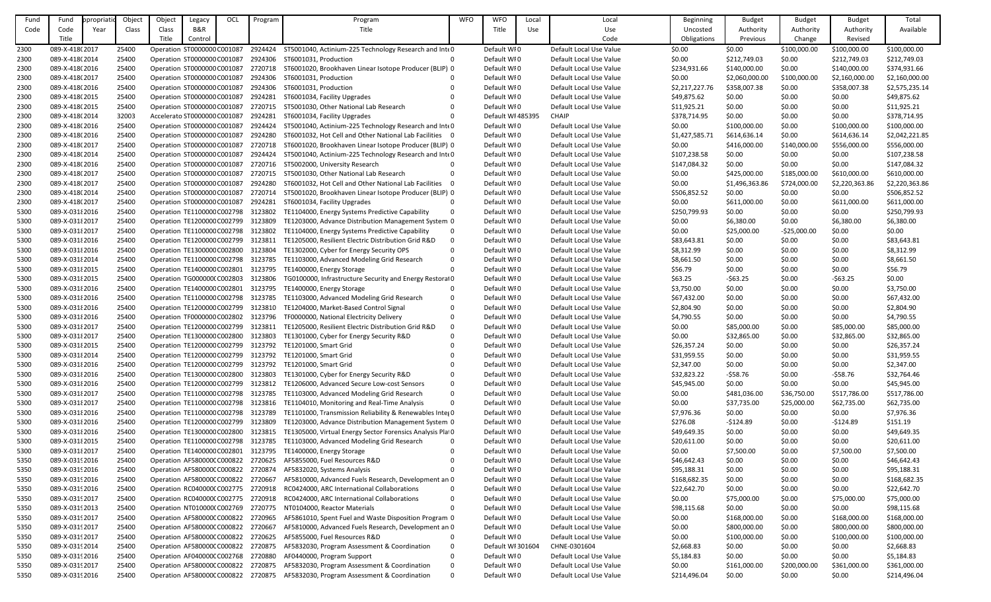| Fund | Fund            | ppropriati | Object | Object                      | Legacy                              | OCL | Program | Program                                                   | <b>WFO</b>   | <b>WFO</b>        | Local      | Local                   | <b>Beginning</b> | <b>Budget</b>  | <b>Budget</b> | <b>Budget</b>  | Total          |
|------|-----------------|------------|--------|-----------------------------|-------------------------------------|-----|---------|-----------------------------------------------------------|--------------|-------------------|------------|-------------------------|------------------|----------------|---------------|----------------|----------------|
| Code | Code            | Year       | Class  | Class                       | B&R                                 |     |         | Title                                                     |              | Title             | <b>Use</b> | Use                     | Uncosted         | Authority      | Authority     | Authority      | Available      |
|      | Title           |            |        | Title                       | Control                             |     |         |                                                           |              |                   |            | Code                    | Obligations      | Previous       | Change        | Revised        |                |
| 2300 | 089-X-418(2017  |            | 25400  |                             | Operation ST0000000 C001087         |     | 2924424 | ST5001040, Actinium-225 Technology Research and InteO     |              | Default WI0       |            | Default Local Use Value | \$0.00           | \$0.00         | \$100,000.00  | \$100,000.00   | \$100,000.00   |
|      |                 |            |        |                             |                                     |     |         |                                                           |              |                   |            |                         |                  |                |               |                |                |
| 2300 | 089-X-418(2014  |            | 25400  |                             | Operation ST0000000 C001087         |     | 2924306 | ST6001031, Production                                     | $\Omega$     | Default WI0       |            | Default Local Use Value | \$0.00           | \$212,749.03   | \$0.00        | \$212,749.03   | \$212,749.03   |
| 2300 | 089-X-418(2016  |            | 25400  |                             | Operation ST0000000 C001087         |     | 2720718 | ST6001020, Brookhaven Linear Isotope Producer (BLIP) 0    |              | Default WI0       |            | Default Local Use Value | \$234,931.66     | \$140,000.00   | \$0.00        | \$140,000.00   | \$374,931.66   |
| 2300 | 089-X-418(2017  |            | 25400  |                             | Operation ST0000000 C001087         |     | 2924306 | ST6001031, Production                                     |              | Default WI0       |            | Default Local Use Value | \$0.00           | \$2,060,000.00 | \$100,000.00  | \$2,160,000.00 | \$2,160,000.00 |
| 2300 | 089-X-418(2016  |            | 25400  |                             | Operation ST0000000 C001087         |     | 2924306 | ST6001031, Production                                     |              | Default WI0       |            | Default Local Use Value | \$2,217,227.76   | \$358,007.38   | \$0.00        | \$358,007.38   | \$2,575,235.14 |
| 2300 | 089-X-418(2015  |            | 25400  |                             | Operation ST0000000 C001087         |     | 2924281 | ST6001034, Facility Upgrades                              |              | Default WI0       |            | Default Local Use Value | \$49,875.62      | \$0.00         | \$0.00        | \$0.00         | \$49,875.62    |
| 2300 | 089-X-418(2015  |            | 25400  |                             | Operation ST0000000 C001087         |     | 2720715 | ST5001030, Other National Lab Research                    |              | Default WI0       |            | Default Local Use Value | \$11,925.21      | \$0.00         | \$0.00        | \$0.00         | \$11,925.21    |
| 2300 | 089-X-418(2014  |            | 32003  |                             | Accelerato ST0000000 C001087        |     | 2924281 | ST6001034, Facility Upgrades                              | $\Omega$     | Default WI 485395 |            | <b>CHAIP</b>            | \$378,714.95     | \$0.00         | \$0.00        | \$0.00         | \$378,714.95   |
| 2300 | 089-X-418(2016  |            | 25400  |                             | Operation ST0000000 C001087         |     | 2924424 | ST5001040, Actinium-225 Technology Research and InteO     |              | Default WI0       |            | Default Local Use Value | \$0.00           | \$100,000.00   | \$0.00        | \$100,000.00   | \$100,000.00   |
| 2300 | 089-X-418(2016  |            | 25400  |                             | Operation ST0000000 C001087         |     | 2924280 | ST6001032, Hot Cell and Other National Lab Facilities 0   |              | Default WI0       |            | Default Local Use Value | \$1,427,585.71   | \$614,636.14   | \$0.00        | \$614,636.14   | \$2,042,221.85 |
| 2300 | 089-X-418(2017  |            | 25400  |                             | Operation ST0000000 C001087         |     | 2720718 | ST6001020, Brookhaven Linear Isotope Producer (BLIP) 0    |              | Default WI0       |            | Default Local Use Value | \$0.00           | \$416,000.00   | \$140,000.00  | \$556,000.00   | \$556,000.00   |
| 2300 | 089-X-418(2014  |            | 25400  |                             | Operation ST0000000 C001087         |     | 2924424 | ST5001040, Actinium-225 Technology Research and InteO     |              | Default WI0       |            | Default Local Use Value | \$107,238.58     | \$0.00         | \$0.00        | \$0.00         | \$107,238.58   |
| 2300 | 089-X-418(2016  |            | 25400  |                             | Operation ST0000000 C001087         |     | 2720716 | ST5002000, University Research                            |              | Default WI0       |            | Default Local Use Value | \$147,084.32     | \$0.00         | \$0.00        | \$0.00         | \$147,084.32   |
|      |                 |            |        |                             |                                     |     |         |                                                           | $\Omega$     |                   |            |                         |                  |                |               |                |                |
| 2300 | 089-X-418(2017  |            | 25400  |                             | Operation ST0000000 C001087         |     | 2720715 | ST5001030, Other National Lab Research                    |              | Default WI0       |            | Default Local Use Value | \$0.00           | \$425,000.00   | \$185,000.00  | \$610,000.00   | \$610,000.00   |
| 2300 | 089-X-418(2017  |            | 25400  |                             | Operation ST0000000 C001087         |     | 2924280 | ST6001032, Hot Cell and Other National Lab Facilities     | $\Omega$     | Default WI0       |            | Default Local Use Value | \$0.00           | \$1,496,363.86 | \$724,000.00  | \$2,220,363.86 | \$2,220,363.86 |
| 2300 | 089-X-418(2014  |            | 25400  |                             | Operation ST0000000 C001087         |     | 2720714 | ST5001020, Brookhaven Linear Isotope Producer (BLIP) 0    |              | Default WI0       |            | Default Local Use Value | \$506,852.52     | \$0.00         | \$0.00        | \$0.00         | \$506,852.52   |
| 2300 | 089-X-418(2017  |            | 25400  |                             | Operation ST0000000 C001087         |     | 2924281 | ST6001034, Facility Upgrades                              | $\Omega$     | Default WI0       |            | Default Local Use Value | \$0.00           | \$611,000.00   | \$0.00        | \$611,000.00   | \$611,000.00   |
| 5300 | 089-X-031 {2016 |            | 25400  |                             | Operation TE1100000 C002798         |     | 3123802 | TE1104000, Energy Systems Predictive Capability           | $\Omega$     | Default WI0       |            | Default Local Use Value | \$250,799.93     | \$0.00         | \$0.00        | \$0.00         | \$250,799.93   |
| 5300 | 089-X-031 {2017 |            | 25400  | Operation TE1200000 C002799 |                                     |     | 3123809 | TE1203000, Advance Distribution Management System 0       |              | Default WI0       |            | Default Local Use Value | \$0.00           | \$6,380.00     | \$0.00        | \$6,380.00     | \$6,380.00     |
| 5300 | 089-X-031 {2017 |            | 25400  |                             | Operation TE1100000 C002798         |     | 3123802 | TE1104000, Energy Systems Predictive Capability           | $\mathbf{0}$ | Default WI0       |            | Default Local Use Value | \$0.00           | \$25,000.00    | $-525,000.00$ | \$0.00         | \$0.00         |
| 5300 | 089-X-031 {2016 |            | 25400  |                             | Operation TE1200000 C002799         |     | 3123811 | TE1205000, Resilient Electric Distribution Grid R&D       | $\Omega$     | Default WI0       |            | Default Local Use Value | \$83,643.81      | \$0.00         | \$0.00        | \$0.00         | \$83,643.81    |
| 5300 | 089-X-031 2016  |            | 25400  |                             | Operation TE1300000 C002800         |     | 3123804 | TE1302000, Cyber for Energy Security OPS                  | $\Omega$     | Default WI0       |            | Default Local Use Value | \$8,312.99       | \$0.00         | \$0.00        | \$0.00         | \$8,312.99     |
| 5300 | 089-X-031 {2014 |            | 25400  |                             | Operation TE1100000 C002798         |     | 3123785 | TE1103000, Advanced Modeling Grid Research                | $\Omega$     | Default WI0       |            | Default Local Use Value | \$8,661.50       | \$0.00         | \$0.00        | \$0.00         | \$8,661.50     |
| 5300 | 089-X-031 2015  |            | 25400  |                             | Operation TE1400000 C002801         |     | 3123795 | TE1400000, Energy Storage                                 | $\Omega$     | Default WI0       |            | Default Local Use Value | \$56.79          | \$0.00         | \$0.00        | \$0.00         | \$56.79        |
|      |                 |            |        |                             |                                     |     |         |                                                           |              |                   |            |                         |                  |                |               |                |                |
| 5300 | 089-X-031 {2015 |            | 25400  |                             | Operation TG000000(C002803          |     | 3123806 | TG0100000, Infrastructure Security and Energy Restora10   |              | Default WI0       |            | Default Local Use Value | \$63.25          | $-563.25$      | \$0.00        | $-563.25$      | \$0.00         |
| 5300 | 089-X-031 {2016 |            | 25400  |                             | Operation TE1400000 C002801         |     | 3123795 | TE1400000, Energy Storage                                 | $\Omega$     | Default WI0       |            | Default Local Use Value | \$3,750.00       | \$0.00         | \$0.00        | \$0.00         | \$3,750.00     |
| 5300 | 089-X-031 {2016 |            | 25400  |                             | Operation TE1100000 C002798         |     | 3123785 | TE1103000, Advanced Modeling Grid Research                | $\Omega$     | Default WI0       |            | Default Local Use Value | \$67,432.00      | \$0.00         | \$0.00        | \$0.00         | \$67,432.00    |
| 5300 | 089-X-031 {2016 |            | 25400  |                             | Operation TE1200000 C002799         |     | 3123810 | TE1204000, Market-Based Control Signal                    | $\Omega$     | Default WI0       |            | Default Local Use Value | \$2,804.90       | \$0.00         | \$0.00        | \$0.00         | \$2,804.90     |
| 5300 | 089-X-031 {2016 |            | 25400  |                             | Operation TF0000000 C002802         |     | 3123796 | TF0000000, National Electricity Delivery                  | $\Omega$     | Default WI0       |            | Default Local Use Value | \$4,790.55       | \$0.00         | \$0.00        | \$0.00         | \$4,790.55     |
| 5300 | 089-X-031 2017  |            | 25400  |                             | Operation TE1200000 C002799         |     | 3123811 | TE1205000, Resilient Electric Distribution Grid R&D       | $\Omega$     | Default WI0       |            | Default Local Use Value | \$0.00           | \$85,000.00    | \$0.00        | \$85,000.00    | \$85,000.00    |
| 5300 | 089-X-031 2017  |            | 25400  |                             | Operation TE1300000 C002800         |     | 3123803 | TE1301000, Cyber for Energy Security R&D                  | $\Omega$     | Default WI0       |            | Default Local Use Value | \$0.00           | \$32,865.00    | \$0.00        | \$32,865.00    | \$32,865.00    |
| 5300 | 089-X-031 2015  |            | 25400  |                             | Operation TE1200000 C002799         |     | 3123792 | TE1201000, Smart Grid                                     | $\Omega$     | Default WI0       |            | Default Local Use Value | \$26,357.24      | \$0.00         | \$0.00        | \$0.00         | \$26,357.24    |
| 5300 | 089-X-031 {2014 |            | 25400  |                             | Operation TE1200000 C002799         |     | 3123792 | TE1201000, Smart Grid                                     |              | Default WI0       |            | Default Local Use Value | \$31,959.55      | \$0.00         | \$0.00        | \$0.00         | \$31,959.55    |
| 5300 | 089-X-031 {2016 |            | 25400  |                             | Operation TE1200000 C002799         |     | 3123792 | TE1201000, Smart Grid                                     |              | Default WI0       |            | Default Local Use Value | \$2,347.00       | \$0.00         | \$0.00        | \$0.00         | \$2,347.00     |
| 5300 | 089-X-031 2016  |            | 25400  |                             | Operation TE1300000 C002800         |     | 3123803 | TE1301000, Cyber for Energy Security R&D                  | $\Omega$     | Default WI0       |            | Default Local Use Value | \$32,823.22      | $-558.76$      | \$0.00        | $-558.76$      | \$32,764.46    |
| 5300 | 089-X-031 2016  |            | 25400  |                             | Operation TE1200000 C002799         |     | 3123812 | TE1206000, Advanced Secure Low-cost Sensors               | $\Omega$     | Default WI0       |            | Default Local Use Value | \$45,945.00      | \$0.00         | \$0.00        | \$0.00         | \$45,945.00    |
| 5300 | 089-X-031 {2017 |            | 25400  |                             | Operation TE1100000 C002798         |     | 3123785 | TE1103000, Advanced Modeling Grid Research                | $\Omega$     | Default WI0       |            | Default Local Use Value | \$0.00           | \$481,036.00   | \$36,750.00   | \$517,786.00   | \$517,786.00   |
|      |                 |            |        |                             |                                     |     |         |                                                           |              |                   |            |                         |                  |                |               |                |                |
| 5300 | 089-X-031 {2017 |            | 25400  | Operation TE1100000 C002798 |                                     |     | 3123816 | TE1104010, Monitoring and Real-Time Analysis              |              | Default WI0       |            | Default Local Use Value | \$0.00           | \$37,735.00    | \$25,000.00   | \$62,735.00    | \$62,735.00    |
| 5300 | 089-X-031 {2016 |            | 25400  |                             | Operation TE1100000 C002798         |     | 3123789 | TE1101000, Transmission Reliability & Renewables Integ0   |              | Default WI0       |            | Default Local Use Value | \$7,976.36       | \$0.00         | \$0.00        | \$0.00         | \$7,976.36     |
| 5300 | 089-X-031 2016  |            | 25400  | Operation TE1200000 C002799 |                                     |     | 3123809 | TE1203000, Advance Distribution Management System 0       |              | Default WI0       |            | Default Local Use Value | \$276.08         | $-$124.89$     | \$0.00        | $-5124.89$     | \$151.19       |
| 5300 | 089-X-031 2016  |            | 25400  |                             | Operation TE1300000 C002800         |     | 3123815 | TE1305000, Virtual Energy Sector Forensics Analysis Plat0 |              | Default WI0       |            | Default Local Use Value | \$49,649.35      | \$0.00         | \$0.00        | \$0.00         | \$49,649.35    |
| 5300 | 089-X-031 {2015 |            | 25400  |                             | Operation TE1100000 C002798         |     | 3123785 | TE1103000, Advanced Modeling Grid Research                | $\mathbf{0}$ | Default WI0       |            | Default Local Use Value | \$20,611.00      | \$0.00         | \$0.00        | \$0.00         | \$20,611.00    |
| 5300 | 089-X-031 {2017 |            | 25400  |                             | Operation TE1400000 C002801         |     | 3123795 | TE1400000, Energy Storage                                 |              | Default WI0       |            | Default Local Use Value | \$0.00           | \$7,500.00     | \$0.00        | \$7,500.00     | \$7,500.00     |
| 5350 | 089-X-03192016  |            | 25400  |                             | Operation AF580000CC000822          |     | 2720625 | AF5855000, Fuel Resources R&D                             |              | Default WI0       |            | Default Local Use Value | \$46,642.43      | \$0.00         | \$0.00        | \$0.00         | \$46,642.43    |
| 5350 | 089-X-03192016  |            | 25400  |                             | Operation AF580000CC000822          |     | 2720874 | AF5832020, Systems Analysis                               | $\Omega$     | Default WI0       |            | Default Local Use Value | \$95,188.31      | \$0.00         | \$0.00        | \$0.00         | \$95,188.31    |
| 5350 | 089-X-03192016  |            | 25400  |                             | Operation AF580000CC000822          |     | 2720667 | AF5810000, Advanced Fuels Research, Development an 0      |              | Default WI0       |            | Default Local Use Value | \$168,682.35     | \$0.00         | \$0.00        | \$0.00         | \$168,682.35   |
| 5350 | 089-X-03192016  |            | 25400  |                             | Operation RC0400000 C002775 2720918 |     |         | RC0424000, ARC International Collaborations               | $\mathbf{0}$ | Default WI0       |            | Default Local Use Value | \$22,642.70      | \$0.00         | \$0.00        | \$0.00         | \$22,642.70    |
| 5350 | 089-X-03192017  |            | 25400  |                             | Operation RC0400000 C002775         |     | 2720918 | RC0424000, ARC International Collaborations               | $\Omega$     | Default WI0       |            | Default Local Use Value | \$0.00           | \$75,000.00    | \$0.00        | \$75,000.00    | \$75,000.00    |
| 5350 | 089-X-0319 2013 |            | 25400  |                             | Operation NT010000(C002769          |     | 2720775 | NT0104000, Reactor Materials                              | $\Omega$     | Default WI0       |            | Default Local Use Value | \$98,115.68      | \$0.00         | \$0.00        | \$0.00         | \$98,115.68    |
| 5350 | 089-X-03192017  |            | 25400  |                             | Operation AF580000CC000822          |     | 2720965 | AF5861010, Spent Fuel and Waste Disposition Program 0     |              | Default WI0       |            | Default Local Use Value | \$0.00           | \$168,000.00   | \$0.00        | \$168,000.00   | \$168,000.00   |
|      |                 |            |        |                             |                                     |     |         |                                                           |              |                   |            |                         |                  |                |               |                |                |
| 5350 | 089-X-03192017  |            | 25400  |                             | Operation AF580000CC000822          |     | 2720667 | AF5810000, Advanced Fuels Research, Development an 0      |              | Default WI0       |            | Default Local Use Value | \$0.00           | \$800,000.00   | \$0.00        | \$800,000.00   | \$800,000.00   |
| 5350 | 089-X-0319 2017 |            | 25400  |                             | Operation AF580000CC000822          |     | 2720625 | AF5855000, Fuel Resources R&D                             | $\mathbf{0}$ | Default WI0       |            | Default Local Use Value | \$0.00           | \$100,000.00   | \$0.00        | \$100,000.00   | \$100,000.00   |
| 5350 | 089-X-03192014  |            | 25400  |                             | Operation AF580000CC000822          |     | 2720875 | AF5832030, Program Assessment & Coordination              | $\mathbf{0}$ | Default WI 301604 |            | CHNE-0301604            | \$2,668.83       | \$0.00         | \$0.00        | \$0.00         | \$2,668.83     |
| 5350 | 089-X-03192016  |            | 25400  |                             | Operation AF040000CC002768          |     | 2720880 | AF0440000, Program Support                                | $\Omega$     | Default WI0       |            | Default Local Use Value | \$5,184.83       | \$0.00         | \$0.00        | \$0.00         | \$5,184.83     |
| 5350 | 089-X-0319 2017 |            | 25400  |                             | Operation AF580000CC000822          |     | 2720875 | AF5832030, Program Assessment & Coordination              | $\mathbf{0}$ | Default WI0       |            | Default Local Use Value | \$0.00           | \$161,000.00   | \$200,000.00  | \$361,000.00   | \$361,000.00   |
| 5350 | 089-X-03192016  |            | 25400  |                             | Operation AF580000CC000822 2720875  |     |         | AF5832030, Program Assessment & Coordination              | $\Omega$     | Default WI0       |            | Default Local Use Value | \$214,496.04     | \$0.00         | \$0.00        | \$0.00         | \$214,496.04   |
|      |                 |            |        |                             |                                     |     |         |                                                           |              |                   |            |                         |                  |                |               |                |                |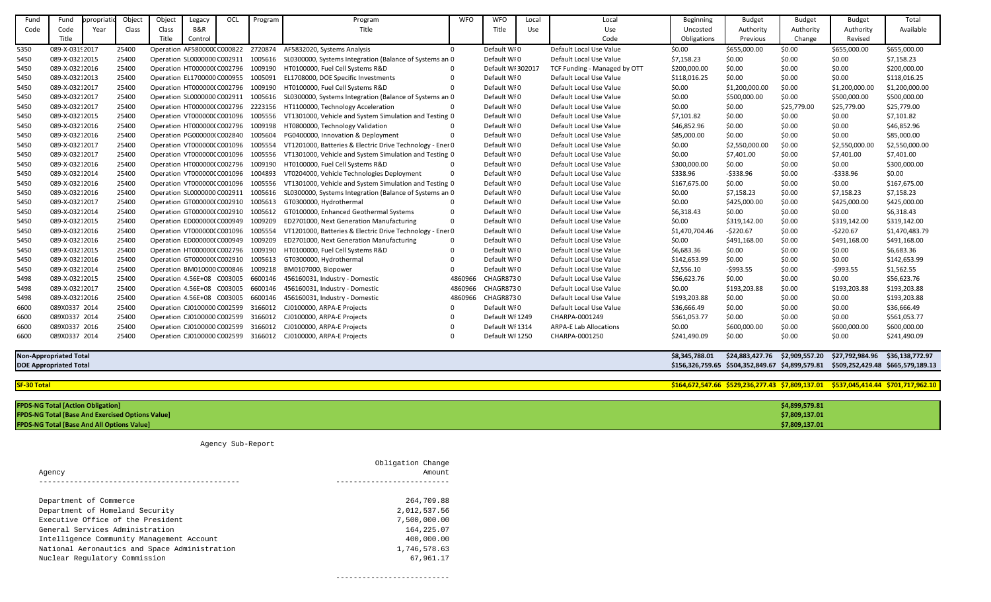| Fund               | Fund                                                    | <b>propriati</b> | Object | Object                      | Legacy  | OCL | Program | Program                                                        | <b>WFO</b> | <b>WFO</b>        | Local | Local                         | Beginning      | <b>Budget</b>                                                                      | <b>Budget</b>  | <b>Budget</b>                                                           | Total                                                                              |
|--------------------|---------------------------------------------------------|------------------|--------|-----------------------------|---------|-----|---------|----------------------------------------------------------------|------------|-------------------|-------|-------------------------------|----------------|------------------------------------------------------------------------------------|----------------|-------------------------------------------------------------------------|------------------------------------------------------------------------------------|
| Code               | Code                                                    | Year             | Class  | Class                       | B&R     |     |         | Title                                                          |            | Title             | Use   | Use                           | Uncosted       | Authority                                                                          | Authority      | Authority                                                               | Available                                                                          |
|                    | Title                                                   |                  |        | Title                       | Control |     |         |                                                                |            |                   |       | Code                          | Obligations    | Previous                                                                           | Change         | Revised                                                                 |                                                                                    |
| 5350               | 089-X-03192017                                          |                  | 25400  | Operation AF580000CC000822  |         |     | 2720874 | AF5832020, Systems Analysis                                    | $\Omega$   | Default WI0       |       | Default Local Use Value       | \$0.00         | \$655,000.00                                                                       | \$0.00         | \$655,000.00                                                            | \$655,000.00                                                                       |
| 5450               | 089-X-03212015                                          |                  | 25400  | Operation SL0000000 C002911 |         |     | 1005616 | SL0300000, Systems Integration (Balance of Systems an 0        |            | Default WI0       |       | Default Local Use Value       | \$7,158.23     | \$0.00                                                                             | \$0.00         | \$0.00                                                                  | \$7,158.23                                                                         |
| 5450               | 089-X-03212016                                          |                  | 25400  | Operation HT0000000 C002796 |         |     | 1009190 | HT0100000, Fuel Cell Systems R&D                               |            | Default WI 302017 |       | TCF Funding - Managed by OTT  | \$200,000.00   | \$0.00                                                                             | \$0.00         | \$0.00                                                                  | \$200,000.00                                                                       |
| 5450               | 089-X-03212013                                          |                  | 25400  | Operation EL1700000 C000955 |         |     | 1005091 | EL1708000, DOE Specific Investments                            |            | Default WI0       |       | Default Local Use Value       | \$118,016.25   | \$0.00                                                                             | \$0.00         | \$0.00                                                                  | \$118,016.25                                                                       |
| 5450               | 089-X-03212017                                          |                  | 25400  | Operation HT000000(C002796  |         |     | 1009190 | HT0100000, Fuel Cell Systems R&D                               |            | Default WI0       |       | Default Local Use Value       | \$0.00         | \$1,200,000.00                                                                     | \$0.00         | \$1,200,000.00                                                          | \$1,200,000.00                                                                     |
| 5450               | 089-X-03212017                                          |                  | 25400  | Operation SL0000000 C002911 |         |     | 1005616 | SL0300000, Systems Integration (Balance of Systems an 0        |            | Default WI0       |       | Default Local Use Value       | \$0.00         | \$500,000.00                                                                       | \$0.00         | \$500,000.00                                                            | \$500,000.00                                                                       |
| 5450               | 089-X-03212017                                          |                  | 25400  | Operation HT0000000 C002796 |         |     | 2223156 | HT1100000, Technology Acceleration                             |            | Default WI0       |       | Default Local Use Value       | \$0.00         | \$0.00                                                                             | \$25,779.00    | \$25,779.00                                                             | \$25,779.00                                                                        |
| 5450               | 089-X-03212015                                          |                  | 25400  | Operation VT000000CC001096  |         |     | 1005556 | VT1301000, Vehicle and System Simulation and Testing 0         |            | Default WI0       |       | Default Local Use Value       | \$7,101.82     | \$0.00                                                                             | \$0.00         | \$0.00                                                                  | \$7,101.82                                                                         |
| 5450               | 089-X-03212016                                          |                  | 25400  | Operation HT0000000 C002796 |         |     | 1009198 | HT0800000, Technology Validation                               |            | Default WI0       |       | Default Local Use Value       | \$46,852.96    | \$0.00                                                                             | \$0.00         | \$0.00                                                                  | \$46,852.96                                                                        |
| 5450               | 089-X-03212016                                          |                  | 25400  | Operation PG000000(C002840  |         |     | 1005604 | PG0400000, Innovation & Deployment                             |            | Default WI0       |       | Default Local Use Value       | \$85,000.00    | \$0.00                                                                             | \$0.00         | \$0.00                                                                  | \$85,000.00                                                                        |
| 5450               | 089-X-03212017                                          |                  | 25400  | Operation VT000000CC001096  |         |     | 1005554 | VT1201000, Batteries & Electric Drive Technology - Ener 0      |            | Default WI0       |       | Default Local Use Value       | \$0.00         | \$2,550,000.00                                                                     | \$0.00         | \$2,550,000.00                                                          | \$2,550,000.00                                                                     |
| 5450               | 089-X-03212017                                          |                  | 25400  | Operation VT000000CC001096  |         |     | 1005556 | VT1301000, Vehicle and System Simulation and Testing 0         |            | Default WI0       |       | Default Local Use Value       | \$0.00         | \$7,401.00                                                                         | \$0.00         | \$7,401.00                                                              | \$7,401.00                                                                         |
| 5450               | 089-X-03212016                                          |                  | 25400  | Operation HT000000(C002796  |         |     | 1009190 | HT0100000, Fuel Cell Systems R&D                               |            | Default WI0       |       | Default Local Use Value       | \$300,000.00   | \$0.00                                                                             | \$0.00         | \$0.00                                                                  | \$300,000.00                                                                       |
| 5450               | 089-X-03212014                                          |                  | 25400  | Operation VT000000CC001096  |         |     | 1004893 | VT0204000, Vehicle Technologies Deployment                     |            | Default WI0       |       | Default Local Use Value       | \$338.96       | $-5338.96$                                                                         | \$0.00         | $-5338.96$                                                              | \$0.00                                                                             |
| 5450               | 089-X-03212016                                          |                  | 25400  | Operation VT000000CC001096  |         |     | 1005556 | VT1301000, Vehicle and System Simulation and Testing 0         |            | Default WI0       |       | Default Local Use Value       | \$167,675.00   | \$0.00                                                                             | \$0.00         | \$0.00                                                                  | \$167,675.00                                                                       |
| 5450               | 089-X-03212016                                          |                  | 25400  | Operation SL0000000 C002911 |         |     | 1005616 | SL0300000, Systems Integration (Balance of Systems an 0        |            | Default WI0       |       | Default Local Use Value       | \$0.00         | \$7,158.23                                                                         | \$0.00         | \$7,158.23                                                              | \$7,158.23                                                                         |
| 5450               | 089-X-03212017                                          |                  | 25400  | Operation GT0000000 C002910 |         |     | 1005613 | GT0300000, Hydrothermal                                        |            | Default WI0       |       | Default Local Use Value       | \$0.00         | \$425,000.00                                                                       | \$0.00         | \$425,000.00                                                            | \$425,000.00                                                                       |
| 5450               | 089-X-03212014                                          |                  | 25400  | Operation GT0000000 C002910 |         |     | 1005612 | GT0100000, Enhanced Geothermal Systems                         |            | Default WI0       |       | Default Local Use Value       | \$6,318.43     | \$0.00                                                                             | \$0.00         | \$0.00                                                                  | \$6,318.43                                                                         |
| 5450               | 089-X-03212015                                          |                  | 25400  | Operation ED0000000 C000949 |         |     | 1009209 | ED2701000, Next Generation Manufacturing                       |            | Default WI0       |       | Default Local Use Value       | \$0.00         | \$319,142.00                                                                       | \$0.00         | \$319,142.00                                                            | \$319,142.00                                                                       |
| 5450               | 089-X-03212016                                          |                  | 25400  | Operation VT000000CC001096  |         |     | 1005554 | VT1201000, Batteries & Electric Drive Technology - Ener 0      |            | Default WI0       |       | Default Local Use Value       | \$1,470,704.46 | $-$220.67$                                                                         | \$0.00         | $-5220.67$                                                              | \$1,470,483.79                                                                     |
| 5450               | 089-X-03212016                                          |                  | 25400  | Operation ED0000000 C000949 |         |     | 1009209 | ED2701000, Next Generation Manufacturing                       | 0          | Default WI0       |       | Default Local Use Value       | \$0.00         | \$491,168.00                                                                       | \$0.00         | \$491,168.00                                                            | \$491,168.00                                                                       |
| 5450               | 089-X-03212015                                          |                  | 25400  | Operation HT0000000 C002796 |         |     | 1009190 | HT0100000, Fuel Cell Systems R&D                               |            | Default WI0       |       | Default Local Use Value       | \$6,683.36     | \$0.00                                                                             | \$0.00         | \$0.00                                                                  | \$6,683.36                                                                         |
| 5450               | 089-X-03212016                                          |                  | 25400  | Operation GT000000(C002910  |         |     | 1005613 | GT0300000, Hydrothermal                                        |            | Default WI0       |       | Default Local Use Value       | \$142,653.99   | \$0.00                                                                             | \$0.00         | \$0.00                                                                  | \$142,653.99                                                                       |
| 5450               | 089-X-03212014                                          |                  | 25400  | Operation BM010000 C000846  |         |     | 1009218 | BM0107000, Biopower                                            |            | Default WI0       |       | Default Local Use Value       | \$2,556.10     | $-$ \$993.55                                                                       | \$0.00         | $-5993.55$                                                              | \$1,562.55                                                                         |
| 5498               | 089-X-03212015                                          |                  | 25400  | Operation 4.56E+08 C003005  |         |     | 6600146 | 456160031, Industry - Domestic                                 | 486096     | <b>CHAGR8730</b>  |       | Default Local Use Value       | \$56,623.76    | \$0.00                                                                             | \$0.00         | \$0.00                                                                  | \$56,623.76                                                                        |
| 5498               | 089-X-03212017                                          |                  | 25400  | Operation 4.56E+08 C003005  |         |     | 6600146 | 456160031, Industry - Domestic                                 | 4860966    | <b>CHAGR8730</b>  |       | Default Local Use Value       | \$0.00         | \$193,203.88                                                                       | \$0.00         | \$193,203.88                                                            | \$193,203.88                                                                       |
| 5498               | 089-X-03212016                                          |                  | 25400  | Operation 4.56E+08 C003005  |         |     | 6600146 | 456160031, Industry - Domestic                                 | 4860966    | CHAGR8730         |       | Default Local Use Value       | \$193,203.88   | \$0.00                                                                             | \$0.00         | \$0.00                                                                  | \$193,203.88                                                                       |
| 6600               | 089X0337 2014                                           |                  | 25400  | Operation CJ0100000 C002599 |         |     | 3166012 | CJ0100000, ARPA-E Projects                                     |            | Default WI0       |       | Default Local Use Value       | \$36,666.49    | \$0.00                                                                             | \$0.00         | \$0.00                                                                  | \$36,666.49                                                                        |
| 6600               | 089X0337 2014                                           |                  | 25400  | Operation CJ0100000 C002599 |         |     | 3166012 | CJ0100000, ARPA-E Projects                                     |            | Default WI 1249   |       | CHARPA-0001249                | \$561,053.77   | \$0.00                                                                             | \$0.00         | \$0.00                                                                  | \$561,053.77                                                                       |
| 6600               | 089X0337 2016                                           |                  | 25400  | Operation CJ0100000 C002599 |         |     | 3166012 | CJ0100000, ARPA-E Projects                                     |            | Default WI 1314   |       | <b>ARPA-E Lab Allocations</b> | \$0.00         | \$600,000.00                                                                       | \$0.00         | \$600,000.00                                                            | \$600,000.00                                                                       |
| 6600               | 089X0337 2014                                           |                  | 25400  |                             |         |     |         | Operation CJ0100000 C002599 3166012 CJ0100000, ARPA-E Projects |            | Default WI 1250   |       | CHARPA-0001250                | \$241,490.09   | \$0.00                                                                             | \$0.00         | \$0.00                                                                  | \$241,490.09                                                                       |
|                    | <b>Non-Appropriated Total</b>                           |                  |        |                             |         |     |         |                                                                |            |                   |       |                               | \$8,345,788.01 |                                                                                    |                | \$24,883,427.76    \$2,909,557.20    \$27,792,984.96    \$36,138,772.97 |                                                                                    |
|                    | <b>DOE Appropriated Total</b>                           |                  |        |                             |         |     |         |                                                                |            |                   |       |                               |                | \$156,326,759.65 \$504,352,849.67 \$4,899,579.81 \$509,252,429.48 \$665,579,189.13 |                |                                                                         |                                                                                    |
| <b>SF-30 Total</b> |                                                         |                  |        |                             |         |     |         |                                                                |            |                   |       |                               |                |                                                                                    |                |                                                                         | \$164,672,547.66 \$529,236,277.43 \$7,809,137.01 \$537,045,414.44 \$701,717,962.10 |
|                    | <b>FPDS-NG Total [Action Obligation]</b>                |                  |        |                             |         |     |         |                                                                |            |                   |       |                               |                |                                                                                    | \$4,899,579.81 |                                                                         |                                                                                    |
|                    | <b>FPDS-NG Total [Base And Exercised Options Value]</b> |                  |        |                             |         |     |         |                                                                |            |                   |       |                               |                |                                                                                    | \$7,809,137.01 |                                                                         |                                                                                    |
|                    | <b>FPDS-NG Total [Base And All Options Value]</b>       |                  |        |                             |         |     |         |                                                                |            |                   |       |                               |                |                                                                                    | \$7,809,137.01 |                                                                         |                                                                                    |

Agency Sub-Report

|                                               | Obligation Change |
|-----------------------------------------------|-------------------|
| Agency                                        | Amount            |
|                                               |                   |
| Department of Commerce                        | 264,709.88        |
| Department of Homeland Security               | 2,012,537.56      |
| Executive Office of the President             | 7,500,000.00      |
| General Services Administration               | 164, 225.07       |
| Intelligence Community Management Account     | 400,000.00        |
| National Aeronautics and Space Administration | 1,746,578.63      |
| Nuclear Regulatory Commission                 | 67,961.17         |
|                                               |                   |

--------------------------